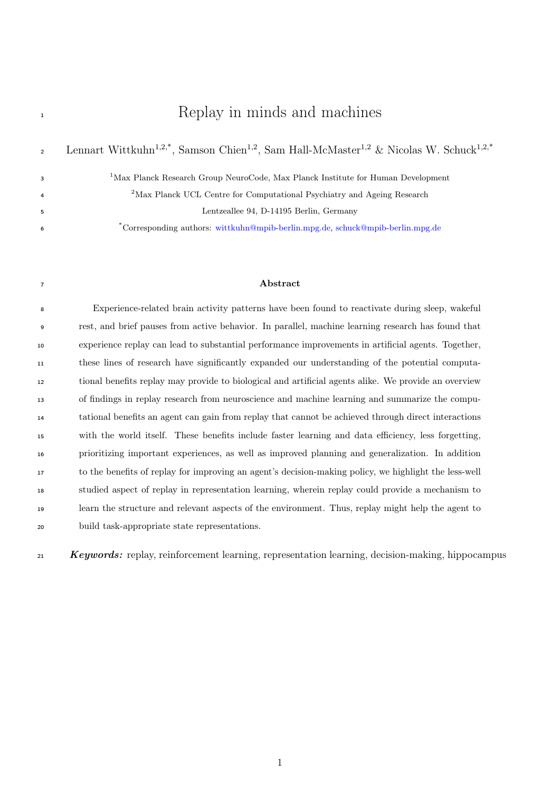# <sup>1</sup> Replay in minds and machines

|   | Lennart Wittkuhn <sup>1,2,*</sup> , Samson Chien <sup>1,2</sup> , Sam Hall-McMaster <sup>1,2</sup> & Nicolas W. Schuck <sup>1,2,*</sup> |
|---|-----------------------------------------------------------------------------------------------------------------------------------------|
|   | <sup>1</sup> Max Planck Research Group NeuroCode, Max Planck Institute for Human Development                                            |
| 4 | <sup>2</sup> Max Planck UCL Centre for Computational Psychiatry and Ageing Research                                                     |
|   | Lentzeallee 94, D-14195 Berlin, Germany                                                                                                 |
| 6 | *Corresponding authors: wittkuhn@mpib-berlin.mpg.de, schuck@mpib-berlin.mpg.de                                                          |

## Abstract

 Experience-related brain activity patterns have been found to reactivate during sleep, wakeful rest, and brief pauses from active behavior. In parallel, machine learning research has found that experience replay can lead to substantial performance improvements in artificial agents. Together, these lines of research have significantly expanded our understanding of the potential computa- tional benefits replay may provide to biological and artificial agents alike. We provide an overview of findings in replay research from neuroscience and machine learning and summarize the compu- tational benefits an agent can gain from replay that cannot be achieved through direct interactions with the world itself. These benefits include faster learning and data efficiency, less forgetting, prioritizing important experiences, as well as improved planning and generalization. In addition to the benefits of replay for improving an agent's decision-making policy, we highlight the less-well studied aspect of replay in representation learning, wherein replay could provide a mechanism to learn the structure and relevant aspects of the environment. Thus, replay might help the agent to build task-appropriate state representations.

21 Keywords: replay, reinforcement learning, representation learning, decision-making, hippocampus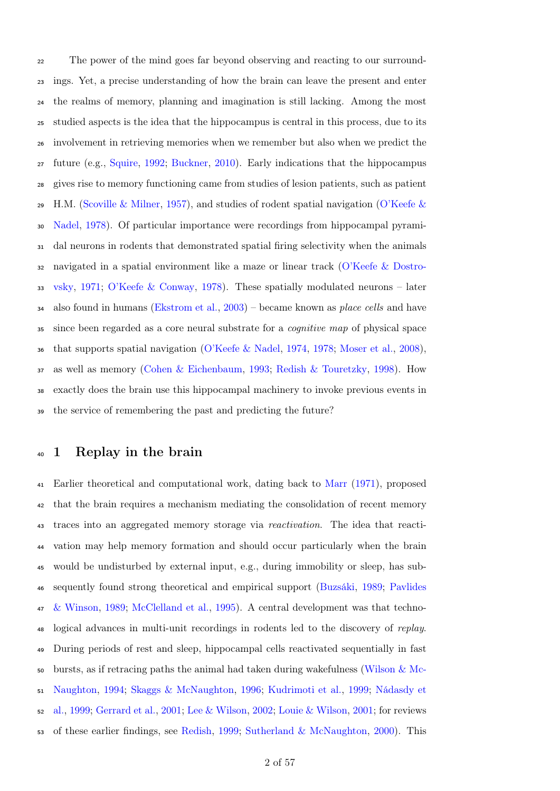The power of the mind goes far beyond observing and reacting to our surround- ings. Yet, a precise understanding of how the brain can leave the present and enter the realms of memory, planning and imagination is still lacking. Among the most studied aspects is the idea that the hippocampus is central in this process, due to its involvement in retrieving memories when we remember but also when we predict the future (e.g., [Squire,](#page-53-0) [1992;](#page-53-0) [Buckner,](#page-41-0) [2010\)](#page-41-0). Early indications that the hippocampus gives rise to memory functioning came from studies of lesion patients, such as patient [H](#page-50-0).M. [\(Scoville & Milner,](#page-52-0) [1957\)](#page-52-0), and studies of rodent spatial navigation [\(O'Keefe &](#page-50-0) [Nadel,](#page-50-0) [1978\)](#page-50-0). Of particular importance were recordings from hippocampal pyrami- dal neurons in rodents that demonstrated spatial firing selectivity when the animals [n](#page-49-0)avigated in a spatial environment like a maze or linear track [\(O'Keefe & Dostro](#page-49-0)[vsky,](#page-49-0) [1971;](#page-49-0) [O'Keefe & Conway,](#page-49-1) [1978\)](#page-49-1). These spatially modulated neurons – later also found in humans [\(Ekstrom et al.,](#page-43-0) [2003\)](#page-43-0) – became known as *place cells* and have since been regarded as a core neural substrate for a cognitive map of physical space that supports spatial navigation [\(O'Keefe & Nadel,](#page-50-1) [1974,](#page-50-1) [1978;](#page-50-0) [Moser et al.,](#page-49-2) [2008\)](#page-49-2), as well as memory [\(Cohen & Eichenbaum,](#page-42-0) [1993;](#page-42-0) [Redish & Touretzky,](#page-51-0) [1998\)](#page-51-0). How exactly does the brain use this hippocampal machinery to invoke previous events in the service of remembering the past and predicting the future?

# <sup>40</sup> 1 Replay in the brain

 Earlier theoretical and computational work, dating back to [Marr](#page-48-0) [\(1971\)](#page-48-0), proposed that the brain requires a mechanism mediating the consolidation of recent memory traces into an aggregated memory storage via reactivation. The idea that reacti- vation may help memory formation and should occur particularly when the brain would be undisturbed by external input, e.g., during immobility or sleep, has sub- [s](#page-50-2)equently found strong theoretical and empirical support [\(Buzsáki,](#page-41-1) [1989;](#page-41-1) [Pavlides](#page-50-2) [& Winson,](#page-50-2) [1989;](#page-50-2) [McClelland et al.,](#page-48-1) [1995\)](#page-48-1). A central development was that techno-<sup>48</sup> logical advances in multi-unit recordings in rodents led to the discovery of replay. During periods of rest and sleep, hippocampal cells reactivated sequentially in fast [b](#page-56-0)ursts, as if retracing paths the animal had taken during wakefulness [\(Wilson & Mc-](#page-56-0) [Naughton,](#page-56-0) [1994;](#page-56-0) [Skaggs & McNaughton,](#page-53-1) [1996;](#page-53-1) [Kudrimoti et al.,](#page-46-0) [1999;](#page-46-0) [Nádasdy et](#page-49-3) [al.,](#page-49-3) [1999;](#page-49-3) [Gerrard et al.,](#page-44-0) [2001;](#page-44-0) [Lee & Wilson,](#page-47-0) [2002;](#page-47-0) [Louie & Wilson,](#page-48-2) [2001;](#page-48-2) for reviews of these earlier findings, see [Redish,](#page-51-1) [1999;](#page-51-1) [Sutherland & McNaughton,](#page-53-2) [2000\)](#page-53-2). This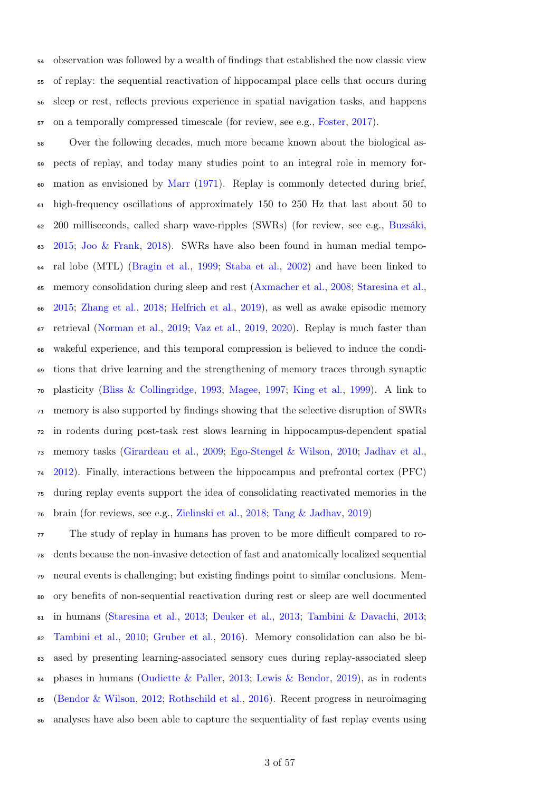observation was followed by a wealth of findings that established the now classic view of replay: the sequential reactivation of hippocampal place cells that occurs during sleep or rest, reflects previous experience in spatial navigation tasks, and happens on a temporally compressed timescale (for review, see e.g., [Foster,](#page-44-1) [2017\)](#page-44-1).

 Over the following decades, much more became known about the biological as- pects of replay, and today many studies point to an integral role in memory for- mation as envisioned by [Marr](#page-48-0) [\(1971\)](#page-48-0). Replay is commonly detected during brief, high-frequency oscillations of approximately 150 to 250 Hz that last about 50 to 200 milliseconds, called sharp wave-ripples (SWRs) (for review, see e.g., [Buzsáki,](#page-41-2) [2015;](#page-41-2) [Joo & Frank,](#page-46-1) [2018\)](#page-46-1). [SWRs](#page-39-0) have also been found in human medial tempo- ral lobe (MTL) [\(Bragin et al.,](#page-41-3) [1999;](#page-41-3) [Staba et al.,](#page-53-3) [2002\)](#page-53-3) and have been linked to memory consolidation during sleep and rest [\(Axmacher et al.,](#page-40-0) [2008;](#page-40-0) [Staresina et al.,](#page-53-4) [2015;](#page-53-4) [Zhang et al.,](#page-56-1) [2018;](#page-56-1) [Helfrich et al.,](#page-45-0) [2019\)](#page-45-0), as well as awake episodic memory retrieval [\(Norman et al.,](#page-49-4) [2019;](#page-49-4) [Vaz et al.,](#page-55-0) [2019,](#page-55-0) [2020\)](#page-55-1). Replay is much faster than wakeful experience, and this temporal compression is believed to induce the condi- tions that drive learning and the strengthening of memory traces through synaptic plasticity [\(Bliss & Collingridge,](#page-41-4) [1993;](#page-41-4) [Magee,](#page-48-3) [1997;](#page-48-3) [King et al.,](#page-46-2) [1999\)](#page-46-2). A link to memory is also supported by findings showing that the selective disruption of [SWRs](#page-39-0) in rodents during post-task rest slows learning in hippocampus-dependent spatial memory tasks [\(Girardeau et al.,](#page-44-2) [2009;](#page-44-2) [Ego-Stengel & Wilson,](#page-43-1) [2010;](#page-43-1) [Jadhav et al.,](#page-46-3) [2012\)](#page-46-3). Finally, interactions between the hippocampus and prefrontal cortex (PFC) during replay events support the idea of consolidating reactivated memories in the brain (for reviews, see e.g., [Zielinski et al.,](#page-56-2) [2018;](#page-56-2) [Tang & Jadhav,](#page-54-0) [2019\)](#page-54-0)

 The study of replay in humans has proven to be more difficult compared to ro- dents because the non-invasive detection of fast and anatomically localized sequential neural events is challenging; but existing findings point to similar conclusions. Mem- ory benefits of non-sequential reactivation during rest or sleep are well documented in humans [\(Staresina et al.,](#page-53-5) [2013;](#page-53-5) [Deuker et al.,](#page-42-1) [2013;](#page-42-1) [Tambini & Davachi,](#page-54-1) [2013;](#page-54-1) [Tambini et al.,](#page-54-2) [2010;](#page-54-2) [Gruber et al.,](#page-45-1) [2016\)](#page-45-1). Memory consolidation can also be bi- ased by presenting learning-associated sensory cues during replay-associated sleep phases in humans [\(Oudiette & Paller,](#page-50-3) [2013;](#page-50-3) [Lewis & Bendor,](#page-47-1) [2019\)](#page-47-1), as in rodents [\(Bendor & Wilson,](#page-40-1) [2012;](#page-40-1) [Rothschild et al.,](#page-51-2) [2016\)](#page-51-2). Recent progress in neuroimaging analyses have also been able to capture the sequentiality of fast replay events using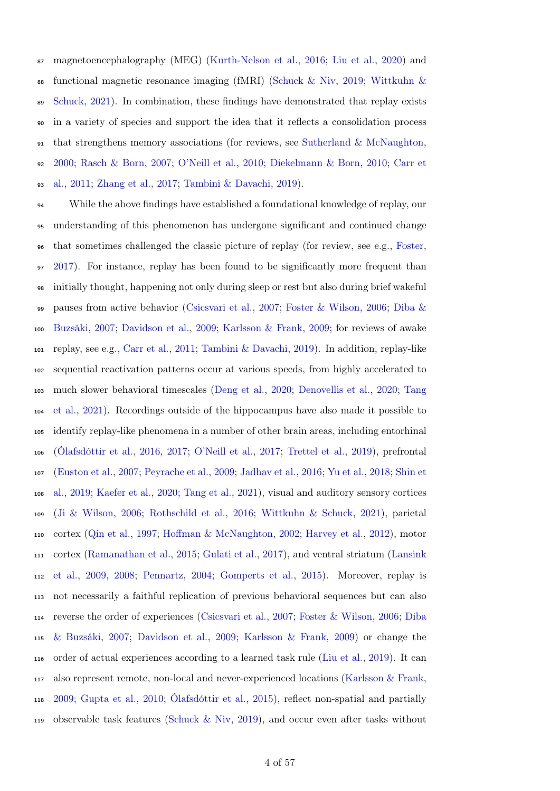magnetoencephalography (MEG) [\(Kurth-Nelson et al.,](#page-47-2) [2016;](#page-47-2) [Liu et al.,](#page-48-4) [2020\)](#page-48-4) and [f](#page-56-3)unctional magnetic resonance imaging (fMRI) [\(Schuck & Niv,](#page-52-1) [2019;](#page-52-1) [Wittkuhn &](#page-56-3) [Schuck,](#page-56-3) [2021\)](#page-56-3). In combination, these findings have demonstrated that replay exists in a variety of species and support the idea that it reflects a consolidation process that strengthens memory associations (for reviews, see [Sutherland & McNaughton,](#page-53-2) [2000;](#page-53-2) [Rasch & Born,](#page-51-3) [2007;](#page-51-3) [O'Neill et al.,](#page-50-4) [2010;](#page-50-4) [Diekelmann & Born,](#page-42-2) [2010;](#page-42-2) [Carr et](#page-41-5) [al.,](#page-41-5) [2011;](#page-41-5) [Zhang et al.,](#page-56-4) [2017;](#page-56-4) [Tambini & Davachi,](#page-54-3) [2019\)](#page-54-3).

 While the above findings have established a foundational knowledge of replay, our understanding of this phenomenon has undergone significant and continued change that sometimes challenged the classic picture of replay (for review, see e.g., [Foster,](#page-44-1) [2017\)](#page-44-1). For instance, replay has been found to be significantly more frequent than initially thought, happening not only during sleep or rest but also during brief wakeful [p](#page-42-4)auses from active behavior [\(Csicsvari et al.,](#page-42-3) [2007;](#page-42-3) [Foster & Wilson,](#page-44-3) [2006;](#page-44-3) [Diba &](#page-42-4) [Buzsáki,](#page-42-4) [2007;](#page-42-4) [Davidson et al.,](#page-42-5) [2009;](#page-42-5) [Karlsson & Frank,](#page-46-4) [2009;](#page-46-4) for reviews of awake replay, see e.g., [Carr et al.,](#page-41-5) [2011;](#page-41-5) [Tambini & Davachi,](#page-54-3) [2019\)](#page-54-3). In addition, replay-like sequential reactivation patterns occur at various speeds, from highly accelerated to [m](#page-54-4)uch slower behavioral timescales [\(Deng et al.,](#page-42-6) [2020;](#page-42-6) [Denovellis et al.,](#page-42-7) [2020;](#page-42-7) [Tang](#page-54-4) [et al.,](#page-54-4) [2021\)](#page-54-4). Recordings outside of the hippocampus have also made it possible to identify replay-like phenomena in a number of other brain areas, including entorhinal [\(Ólafsdóttir et al.,](#page-50-5) [2016,](#page-50-5) [2017;](#page-50-6) [O'Neill et al.,](#page-50-7) [2017;](#page-50-7) [Trettel et al.,](#page-55-2) [2019\)](#page-55-2), prefrontal [\(Euston et al.,](#page-43-2) [2007;](#page-43-2) [Peyrache et al.,](#page-51-4) [2009;](#page-51-4) [Jadhav et al.,](#page-46-5) [2016;](#page-46-5) [Yu et al.,](#page-56-5) [2018;](#page-56-5) [Shin et](#page-52-2) [al.,](#page-52-2) [2019;](#page-52-2) [Kaefer et al.,](#page-46-6) [2020;](#page-46-6) [Tang et al.,](#page-54-4) [2021\)](#page-54-4), visual and auditory sensory cortices [\(Ji & Wilson,](#page-46-7) [2006;](#page-46-7) [Rothschild et al.,](#page-51-2) [2016;](#page-51-2) [Wittkuhn & Schuck,](#page-56-3) [2021\)](#page-56-3), parietal cortex [\(Qin et al.,](#page-51-5) [1997;](#page-51-5) [Hoffman & McNaughton,](#page-45-2) [2002;](#page-45-2) [Harvey et al.,](#page-45-3) [2012\)](#page-45-3), motor [c](#page-47-3)ortex [\(Ramanathan et al.,](#page-51-6) [2015;](#page-51-6) [Gulati et al.,](#page-45-4) [2017\)](#page-45-4), and ventral striatum [\(Lansink](#page-47-3) [et al.,](#page-47-3) [2009,](#page-47-3) [2008;](#page-47-4) [Pennartz,](#page-50-8) [2004;](#page-50-8) [Gomperts et al.,](#page-45-5) [2015\)](#page-45-5). Moreover, replay is not necessarily a faithful replication of previous behavioral sequences but can also [r](#page-42-4)everse the order of experiences [\(Csicsvari et al.,](#page-42-3) [2007;](#page-42-3) [Foster & Wilson,](#page-44-3) [2006;](#page-44-3) [Diba](#page-42-4) [& Buzsáki,](#page-42-4) [2007;](#page-42-4) [Davidson et al.,](#page-42-5) [2009;](#page-42-5) [Karlsson & Frank,](#page-46-4) [2009\)](#page-46-4) or change the order of actual experiences according to a learned task rule [\(Liu et al.,](#page-48-5) [2019\)](#page-48-5). It can also represent remote, non-local and never-experienced locations [\(Karlsson & Frank,](#page-46-4) [2009;](#page-46-4) [Gupta et al.,](#page-45-6) [2010;](#page-45-6) [Ólafsdóttir et al.,](#page-50-9) [2015\)](#page-50-9), reflect non-spatial and partially observable task features [\(Schuck & Niv,](#page-52-1) [2019\)](#page-52-1), and occur even after tasks without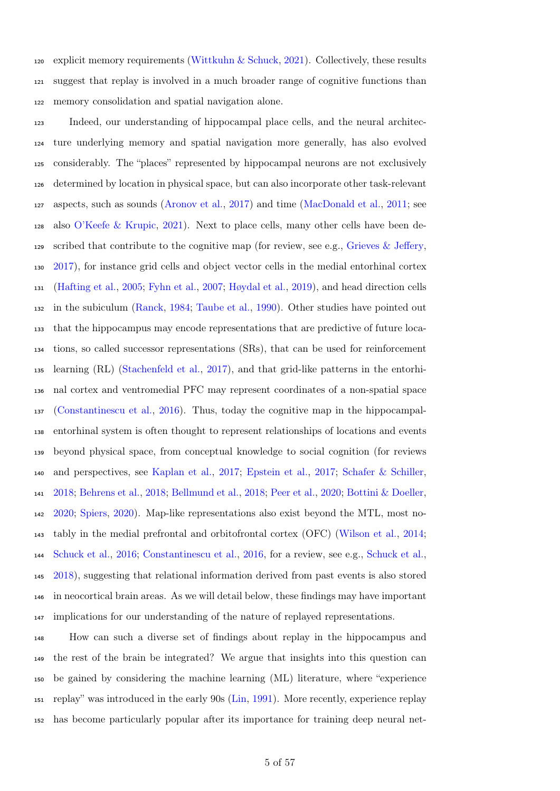120 explicit memory requirements [\(Wittkuhn & Schuck,](#page-56-3) [2021\)](#page-56-3). Collectively, these results suggest that replay is involved in a much broader range of cognitive functions than memory consolidation and spatial navigation alone.

 Indeed, our understanding of hippocampal place cells, and the neural architec- ture underlying memory and spatial navigation more generally, has also evolved considerably. The "places" represented by hippocampal neurons are not exclusively determined by location in physical space, but can also incorporate other task-relevant aspects, such as sounds [\(Aronov et al.,](#page-40-2) [2017\)](#page-40-2) and time [\(MacDonald et al.,](#page-48-6) [2011;](#page-48-6) see also [O'Keefe & Krupic,](#page-49-5) [2021\)](#page-49-5). Next to place cells, many other cells have been de-129 scribed that contribute to the cognitive map (for review, see e.g., [Grieves & Jeffery,](#page-45-7) [2017\)](#page-45-7), for instance grid cells and object vector cells in the medial entorhinal cortex [\(Hafting et al.,](#page-45-8) [2005;](#page-45-8) [Fyhn et al.,](#page-44-4) [2007;](#page-44-4) [Høydal et al.,](#page-45-9) [2019\)](#page-45-9), and head direction cells in the subiculum [\(Ranck,](#page-51-7) [1984;](#page-51-7) [Taube et al.,](#page-54-5) [1990\)](#page-54-5). Other studies have pointed out that the hippocampus may encode representations that are predictive of future loca- tions, so called successor representations (SRs), that can be used for reinforcement learning (RL) [\(Stachenfeld et al.,](#page-53-6) [2017\)](#page-53-6), and that grid-like patterns in the entorhi- nal cortex and ventromedial [PFC](#page-39-1) may represent coordinates of a non-spatial space [\(Constantinescu et al.,](#page-42-8) [2016\)](#page-42-8). Thus, today the cognitive map in the hippocampal- entorhinal system is often thought to represent relationships of locations and events beyond physical space, from conceptual knowledge to social cognition (for reviews and perspectives, see [Kaplan et al.,](#page-46-8) [2017;](#page-46-8) [Epstein et al.,](#page-43-3) [2017;](#page-43-3) [Schafer & Schiller,](#page-52-3) [2018;](#page-52-3) [Behrens et al.,](#page-40-3) [2018;](#page-40-3) [Bellmund et al.,](#page-40-4) [2018;](#page-40-4) [Peer et al.,](#page-50-10) [2020;](#page-50-10) [Bottini & Doeller,](#page-41-6) [2020;](#page-41-6) [Spiers,](#page-53-7) [2020\)](#page-53-7). Map-like representations also exist beyond the [MTL,](#page-39-2) most no- tably in the medial prefrontal and orbitofrontal cortex (OFC) [\(Wilson et al.,](#page-56-6) [2014;](#page-56-6) [Schuck et al.,](#page-52-4) [2016;](#page-52-4) [Constantinescu et al.,](#page-42-8) [2016,](#page-42-8) for a review, see e.g., [Schuck et al.,](#page-52-5) [2018\)](#page-52-5), suggesting that relational information derived from past events is also stored in neocortical brain areas. As we will detail below, these findings may have important implications for our understanding of the nature of replayed representations.

 How can such a diverse set of findings about replay in the hippocampus and the rest of the brain be integrated? We argue that insights into this question can be gained by considering the machine learning (ML) literature, where "experience replay" was introduced in the early 90s [\(Lin,](#page-47-5) [1991\)](#page-47-5). More recently, experience replay has become particularly popular after its importance for training deep neural net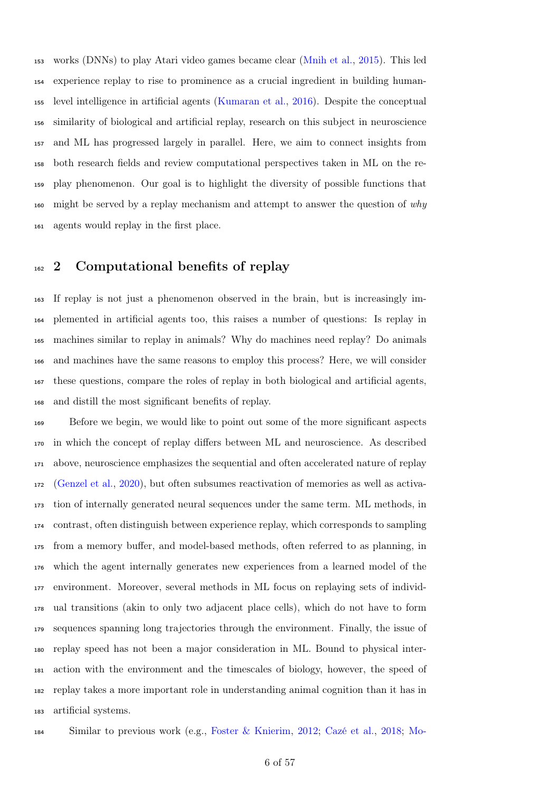works (DNNs) to play Atari video games became clear [\(Mnih et al.,](#page-49-6) [2015\)](#page-49-6). This led experience replay to rise to prominence as a crucial ingredient in building human- level intelligence in artificial agents [\(Kumaran et al.,](#page-47-6) [2016\)](#page-47-6). Despite the conceptual similarity of biological and artificial replay, research on this subject in neuroscience and [ML](#page-39-3) has progressed largely in parallel. Here, we aim to connect insights from both research fields and review computational perspectives taken in [ML](#page-39-3) on the re- play phenomenon. Our goal is to highlight the diversity of possible functions that  $_{160}$  might be served by a replay mechanism and attempt to answer the question of why agents would replay in the first place.

# <sup>162</sup> 2 Computational benefits of replay

 If replay is not just a phenomenon observed in the brain, but is increasingly im- plemented in artificial agents too, this raises a number of questions: Is replay in machines similar to replay in animals? Why do machines need replay? Do animals and machines have the same reasons to employ this process? Here, we will consider these questions, compare the roles of replay in both biological and artificial agents, and distill the most significant benefits of replay.

 Before we begin, we would like to point out some of the more significant aspects in which the concept of replay differs between [ML](#page-39-3) and neuroscience. As described above, neuroscience emphasizes the sequential and often accelerated nature of replay [\(Genzel et al.,](#page-44-5) [2020\)](#page-44-5), but often subsumes reactivation of memories as well as activa- tion of internally generated neural sequences under the same term. [ML](#page-39-3) methods, in contrast, often distinguish between experience replay, which corresponds to sampling from a memory buffer, and model-based methods, often referred to as planning, in which the agent internally generates new experiences from a learned model of the environment. Moreover, several methods in [ML](#page-39-3) focus on replaying sets of individ- ual transitions (akin to only two adjacent place cells), which do not have to form sequences spanning long trajectories through the environment. Finally, the issue of replay speed has not been a major consideration in [ML.](#page-39-3) Bound to physical inter- action with the environment and the timescales of biology, however, the speed of replay takes a more important role in understanding animal cognition than it has in artificial systems.

Similar to previous work (e.g., [Foster & Knierim,](#page-44-6) [2012;](#page-44-6) [Cazé et al.,](#page-42-9) [2018;](#page-42-9) [Mo-](#page-49-7)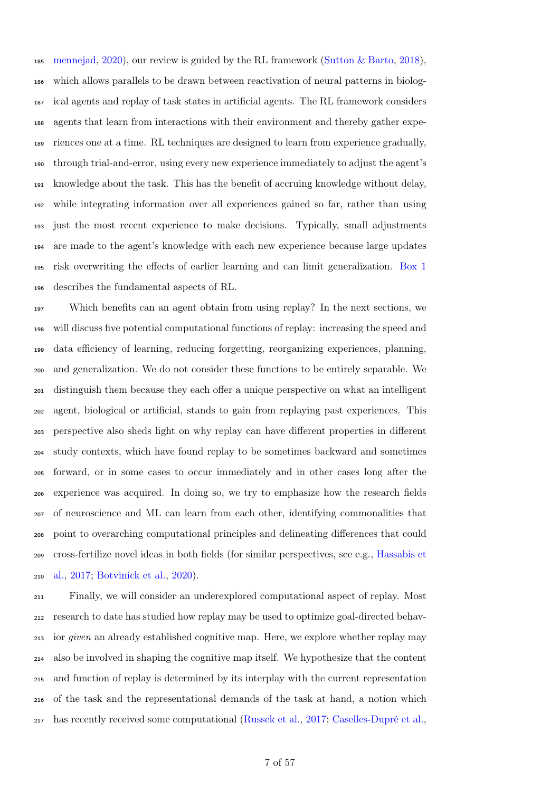[mennejad,](#page-49-7) [2020\)](#page-49-7), our review is guided by the [RL](#page-39-4) framework [\(Sutton & Barto,](#page-54-6) [2018\)](#page-54-6), which allows parallels to be drawn between reactivation of neural patterns in biolog- ical agents and replay of task states in artificial agents. The [RL](#page-39-4) framework considers agents that learn from interactions with their environment and thereby gather expe- riences one at a time. [RL](#page-39-4) techniques are designed to learn from experience gradually, through trial-and-error, using every new experience immediately to adjust the agent's knowledge about the task. This has the benefit of accruing knowledge without delay, while integrating information over all experiences gained so far, rather than using just the most recent experience to make decisions. Typically, small adjustments are made to the agent's knowledge with each new experience because large updates risk overwriting the effects of earlier learning and can limit generalization. [Box 1](#page-7-0) describes the fundamental aspects of [RL.](#page-39-4)

 Which benefits can an agent obtain from using replay? In the next sections, we will discuss five potential computational functions of replay: increasing the speed and data efficiency of learning, reducing forgetting, reorganizing experiences, planning, and generalization. We do not consider these functions to be entirely separable. We distinguish them because they each offer a unique perspective on what an intelligent agent, biological or artificial, stands to gain from replaying past experiences. This perspective also sheds light on why replay can have different properties in different study contexts, which have found replay to be sometimes backward and sometimes forward, or in some cases to occur immediately and in other cases long after the experience was acquired. In doing so, we try to emphasize how the research fields of neuroscience and [ML](#page-39-3) can learn from each other, identifying commonalities that point to overarching computational principles and delineating differences that could [c](#page-45-10)ross-fertilize novel ideas in both fields (for similar perspectives, see e.g., [Hassabis et](#page-45-10) [al.,](#page-45-10) [2017;](#page-45-10) [Botvinick et al.,](#page-41-7) [2020\)](#page-41-7).

 Finally, we will consider an underexplored computational aspect of replay. Most research to date has studied how replay may be used to optimize goal-directed behav- ior given an already established cognitive map. Here, we explore whether replay may also be involved in shaping the cognitive map itself. We hypothesize that the content and function of replay is determined by its interplay with the current representation of the task and the representational demands of the task at hand, a notion which has recently received some computational [\(Russek et al.,](#page-52-6) [2017;](#page-52-6) [Caselles-Dupré et al.,](#page-42-10)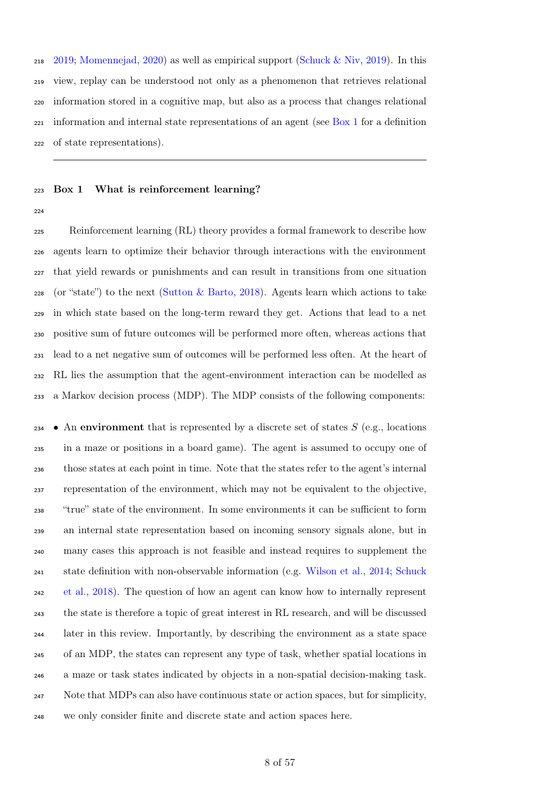[2019;](#page-42-10) [Momennejad,](#page-49-7) [2020\)](#page-49-7) as well as empirical support [\(Schuck & Niv,](#page-52-1) [2019\)](#page-52-1). In this view, replay can be understood not only as a phenomenon that retrieves relational information stored in a cognitive map, but also as a process that changes relational  $_{221}$  information and internal state representations of an agent (see [Box 1](#page-7-0) for a definition of state representations).

### <span id="page-7-0"></span>Box 1 What is reinforcement learning?

 [Reinforcement learning](#page-39-4) [\(RL\)](#page-39-4) theory provides a formal framework to describe how agents learn to optimize their behavior through interactions with the environment that yield rewards or punishments and can result in transitions from one situation (or "state") to the next [\(Sutton & Barto,](#page-54-6) [2018\)](#page-54-6). Agents learn which actions to take in which state based on the long-term reward they get. Actions that lead to a net positive sum of future outcomes will be performed more often, whereas actions that lead to a net negative sum of outcomes will be performed less often. At the heart of [RL](#page-39-4) lies the assumption that the agent-environment interaction can be modelled as a Markov decision process (MDP). The [MDP](#page-39-5) consists of the following components:

234 • An environment that is represented by a discrete set of states  $S$  (e.g., locations in a maze or positions in a board game). The agent is assumed to occupy one of those states at each point in time. Note that the states refer to the agent's internal representation of the environment, which may not be equivalent to the objective, "true" state of the environment. In some environments it can be sufficient to form an internal state representation based on incoming sensory signals alone, but in many cases this approach is not feasible and instead requires to supplement the state definition with non-observable information (e.g. [Wilson et al.,](#page-56-6) [2014;](#page-56-6) [Schuck](#page-52-5) [et al.,](#page-52-5) [2018\)](#page-52-5). The question of how an agent can know how to internally represent the state is therefore a topic of great interest in [RL](#page-39-4) research, and will be discussed later in this review. Importantly, by describing the environment as a state space of an [MDP,](#page-39-5) the states can represent any type of task, whether spatial locations in a maze or task states indicated by objects in a non-spatial decision-making task. Note that [MDPs](#page-39-5) can also have continuous state or action spaces, but for simplicity, we only consider finite and discrete state and action spaces here.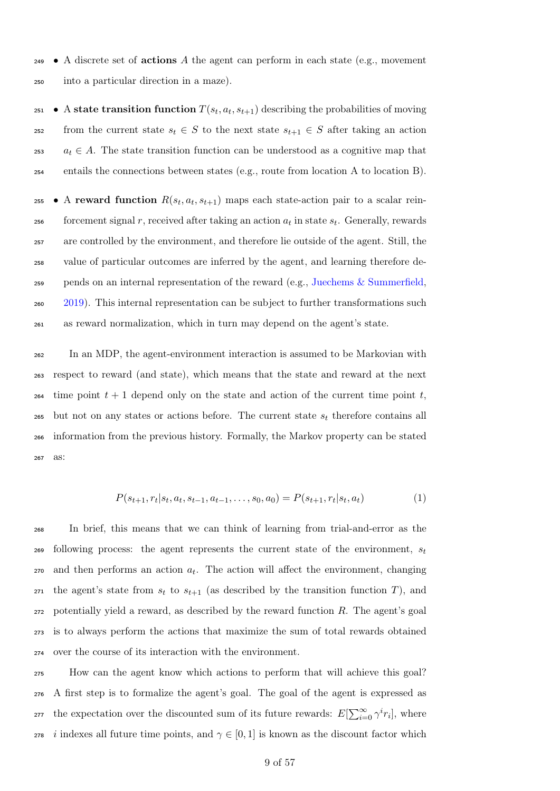$\bullet$  A discrete set of **actions** A the agent can perform in each state (e.g., movement <sup>250</sup> into a particular direction in a maze).

<sup>251</sup> • A state transition function  $T(s_t, a_t, s_{t+1})$  describing the probabilities of moving 252 from the current state  $s_t \in S$  to the next state  $s_{t+1} \in S$  after taking an action 253  $a_t \in A$ . The state transition function can be understood as a cognitive map that <sup>254</sup> entails the connections between states (e.g., route from location A to location B).

255 • A reward function  $R(s_t, a_t, s_{t+1})$  maps each state-action pair to a scalar rein- $\epsilon_{156}$  forcement signal r, received after taking an action  $a_t$  in state  $s_t$ . Generally, rewards are controlled by the environment, and therefore lie outside of the agent. Still, the value of particular outcomes are inferred by the agent, and learning therefore de- pends on an internal representation of the reward (e.g., [Juechems & Summerfield,](#page-46-9) [2019\)](#page-46-9). This internal representation can be subject to further transformations such as reward normalization, which in turn may depend on the agent's state.

 In an [MDP,](#page-39-5) the agent-environment interaction is assumed to be Markovian with respect to reward (and state), which means that the state and reward at the next 264 time point  $t + 1$  depend only on the state and action of the current time point  $t$ , but not on any states or actions before. The current state  $s_t$  therefore contains all information from the previous history. Formally, the Markov property can be stated <sup>267</sup> as:

$$
P(s_{t+1}, r_t | s_t, a_t, s_{t-1}, a_{t-1}, \dots, s_0, a_0) = P(s_{t+1}, r_t | s_t, a_t)
$$
\n<sup>(1)</sup>

 In brief, this means that we can think of learning from trial-and-error as the following process: the agent represents the current state of the environment,  $s_t$  and then performs an action  $a_t$ . The action will affect the environment, changing 271 the agent's state from  $s_t$  to  $s_{t+1}$  (as described by the transition function T), and potentially yield a reward, as described by the reward function R. The agent's goal is to always perform the actions that maximize the sum of total rewards obtained over the course of its interaction with the environment.

 How can the agent know which actions to perform that will achieve this goal? A first step is to formalize the agent's goal. The goal of the agent is expressed as <sup>277</sup> the expectation over the discounted sum of its future rewards:  $E[\sum_{i=0}^{\infty} \gamma^{i} r_{i}]$ , where *i* indexes all future time points, and  $\gamma \in [0, 1]$  is known as the discount factor which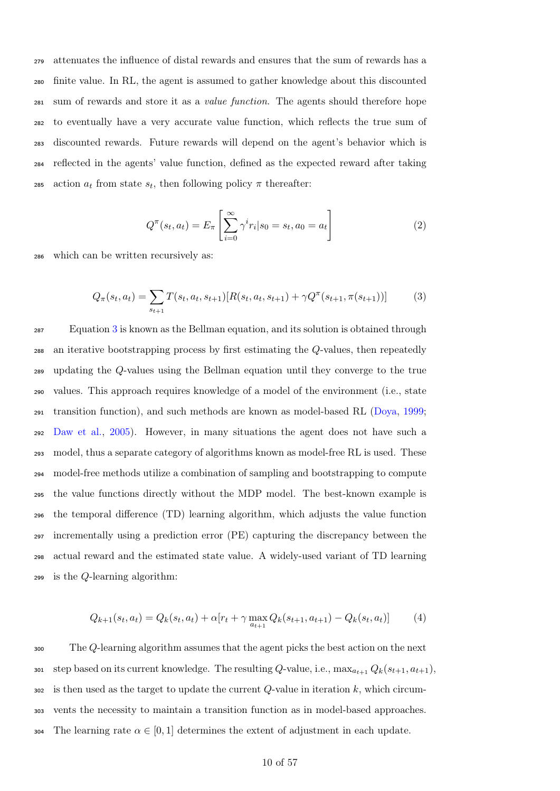attenuates the influence of distal rewards and ensures that the sum of rewards has a finite value. In [RL,](#page-39-4) the agent is assumed to gather knowledge about this discounted sum of rewards and store it as a value function. The agents should therefore hope to eventually have a very accurate value function, which reflects the true sum of discounted rewards. Future rewards will depend on the agent's behavior which is reflected in the agents' value function, defined as the expected reward after taking 285 action  $a_t$  from state  $s_t$ , then following policy π thereafter:

$$
Q^{\pi}(s_t, a_t) = E_{\pi} \left[ \sum_{i=0}^{\infty} \gamma^i r_i | s_0 = s_t, a_0 = a_t \right]
$$
 (2)

<span id="page-9-0"></span><sup>286</sup> which can be written recursively as:

$$
Q_{\pi}(s_t, a_t) = \sum_{s_{t+1}} T(s_t, a_t, s_{t+1}) [R(s_t, a_t, s_{t+1}) + \gamma Q^{\pi}(s_{t+1}, \pi(s_{t+1}))]
$$
(3)

 Equation [3](#page-9-0) is known as the Bellman equation, and its solution is obtained through an iterative bootstrapping process by first estimating the Q-values, then repeatedly updating the Q-values using the Bellman equation until they converge to the true values. This approach requires knowledge of a model of the environment (i.e., state transition function), and such methods are known as model-based [RL](#page-39-4) [\(Doya,](#page-42-11) [1999;](#page-42-11) [Daw et al.,](#page-42-12) [2005\)](#page-42-12). However, in many situations the agent does not have such a model, thus a separate category of algorithms known as model-free [RL](#page-39-4) is used. These model-free methods utilize a combination of sampling and bootstrapping to compute the value functions directly without the [MDP](#page-39-5) model. The best-known example is the temporal difference (TD) learning algorithm, which adjusts the value function incrementally using a [prediction error](#page-39-6) [\(PE\)](#page-39-6) capturing the discrepancy between the actual reward and the estimated state value. A widely-used variant of [TD](#page-39-7) learning is the Q-learning algorithm:

<span id="page-9-1"></span>
$$
Q_{k+1}(s_t, a_t) = Q_k(s_t, a_t) + \alpha [r_t + \gamma \max_{a_{t+1}} Q_k(s_{t+1}, a_{t+1}) - Q_k(s_t, a_t)] \tag{4}
$$

<sup>300</sup> The Q-learning algorithm assumes that the agent picks the best action on the next 301 step based on its current knowledge. The resulting Q-value, i.e.,  $\max_{a_{t+1}} Q_k(s_{t+1}, a_{t+1}),$  $302$  is then used as the target to update the current Q-value in iteration k, which circum-<sup>303</sup> vents the necessity to maintain a transition function as in model-based approaches. 304 The learning rate  $\alpha \in [0, 1]$  determines the extent of adjustment in each update.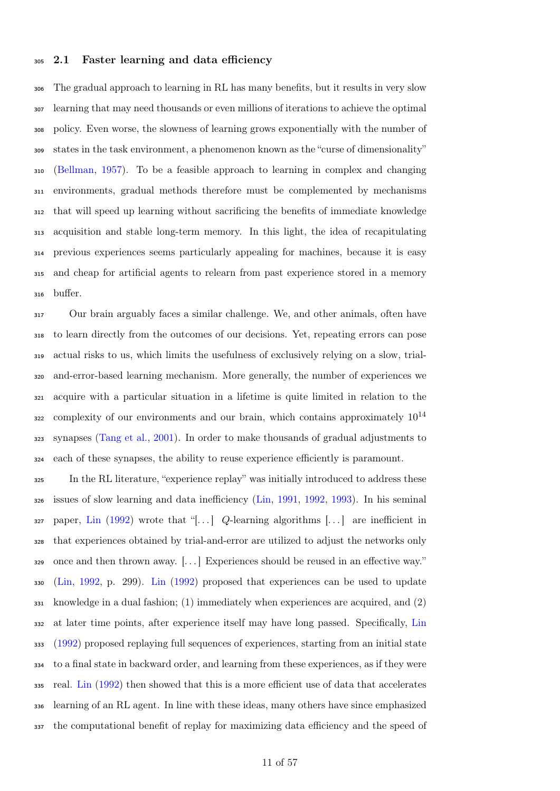### 2.1 Faster learning and data efficiency

 The gradual approach to learning in [RL](#page-39-4) has many benefits, but it results in very slow learning that may need thousands or even millions of iterations to achieve the optimal policy. Even worse, the slowness of learning grows exponentially with the number of states in the task environment, a phenomenon known as the "curse of dimensionality" [\(Bellman,](#page-40-5) [1957\)](#page-40-5). To be a feasible approach to learning in complex and changing environments, gradual methods therefore must be complemented by mechanisms that will speed up learning without sacrificing the benefits of immediate knowledge acquisition and stable long-term memory. In this light, the idea of recapitulating previous experiences seems particularly appealing for machines, because it is easy and cheap for artificial agents to relearn from past experience stored in a memory buffer.

 Our brain arguably faces a similar challenge. We, and other animals, often have to learn directly from the outcomes of our decisions. Yet, repeating errors can pose actual risks to us, which limits the usefulness of exclusively relying on a slow, trial- and-error-based learning mechanism. More generally, the number of experiences we acquire with a particular situation in a lifetime is quite limited in relation to the s22 complexity of our environments and our brain, which contains approximately  $10^{14}$  synapses [\(Tang et al.,](#page-54-7) [2001\)](#page-54-7). In order to make thousands of gradual adjustments to each of these synapses, the ability to reuse experience efficiently is paramount.

 In the [RL](#page-39-4) literature, "experience replay" was initially introduced to address these issues of slow learning and data inefficiency [\(Lin,](#page-47-5) [1991,](#page-47-5) [1992,](#page-47-7) [1993\)](#page-47-8). In his seminal paper, [Lin](#page-47-7) [\(1992\)](#page-47-7) wrote that "[...] Q-learning algorithms [...] are inefficient in that experiences obtained by trial-and-error are utilized to adjust the networks only once and then thrown away. [. . . ] Experiences should be reused in an effective way." [\(Lin,](#page-47-7) [1992,](#page-47-7) p. 299). [Lin](#page-47-7) [\(1992\)](#page-47-7) proposed that experiences can be used to update knowledge in a dual fashion; (1) immediately when experiences are acquired, and (2) at later time points, after experience itself may have long passed. Specifically, [Lin](#page-47-7) [\(1992\)](#page-47-7) proposed replaying full sequences of experiences, starting from an initial state to a final state in backward order, and learning from these experiences, as if they were real. [Lin](#page-47-7) [\(1992\)](#page-47-7) then showed that this is a more efficient use of data that accelerates learning of an [RL](#page-39-4) agent. In line with these ideas, many others have since emphasized the computational benefit of replay for maximizing data efficiency and the speed of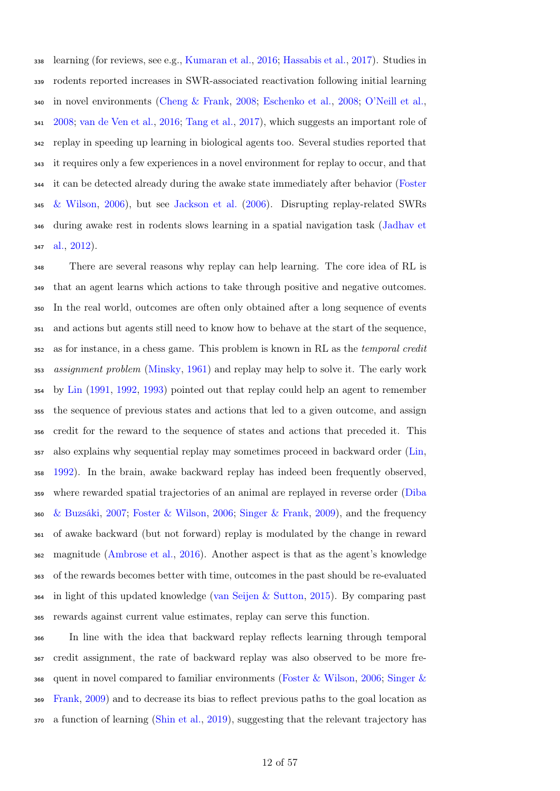learning (for reviews, see e.g., [Kumaran et al.,](#page-47-6) [2016;](#page-47-6) [Hassabis et al.,](#page-45-10) [2017\)](#page-45-10). Studies in rodents reported increases in [SWR-](#page-39-0)associated reactivation following initial learning in novel environments [\(Cheng & Frank,](#page-42-13) [2008;](#page-42-13) [Eschenko et al.,](#page-43-4) [2008;](#page-43-4) [O'Neill et al.,](#page-50-11) [2008;](#page-50-11) [van de Ven et al.,](#page-55-3) [2016;](#page-55-3) [Tang et al.,](#page-54-8) [2017\)](#page-54-8), which suggests an important role of replay in speeding up learning in biological agents too. Several studies reported that it requires only a few experiences in a novel environment for replay to occur, and that [i](#page-44-3)t can be detected already during the awake state immediately after behavior [\(Foster](#page-44-3) [& Wilson,](#page-44-3) [2006\)](#page-44-3), but see [Jackson et al.](#page-46-10) [\(2006\)](#page-46-10). Disrupting replay-related [SWRs](#page-39-0) [d](#page-46-3)uring awake rest in rodents slows learning in a spatial navigation task [\(Jadhav et](#page-46-3) [al.,](#page-46-3) [2012\)](#page-46-3).

 There are several reasons why replay can help learning. The core idea of [RL](#page-39-4) is that an agent learns which actions to take through positive and negative outcomes. In the real world, outcomes are often only obtained after a long sequence of events and actions but agents still need to know how to behave at the start of the sequence, as for instance, in a chess game. This problem is known in [RL](#page-39-4) as the temporal credit assignment problem [\(Minsky,](#page-48-7) [1961\)](#page-48-7) and replay may help to solve it. The early work by [Lin](#page-47-5) [\(1991,](#page-47-5) [1992,](#page-47-7) [1993\)](#page-47-8) pointed out that replay could help an agent to remember the sequence of previous states and actions that led to a given outcome, and assign credit for the reward to the sequence of states and actions that preceded it. This also explains why sequential replay may sometimes proceed in backward order [\(Lin,](#page-47-7) [1992\)](#page-47-7). In the brain, awake backward replay has indeed been frequently observed, [w](#page-42-4)here rewarded spatial trajectories of an animal are replayed in reverse order [\(Diba](#page-42-4) [& Buzsáki,](#page-42-4) [2007;](#page-42-4) [Foster & Wilson,](#page-44-3) [2006;](#page-44-3) [Singer & Frank,](#page-53-8) [2009\)](#page-53-8), and the frequency of awake backward (but not forward) replay is modulated by the change in reward magnitude [\(Ambrose et al.,](#page-40-6) [2016\)](#page-40-6). Another aspect is that as the agent's knowledge of the rewards becomes better with time, outcomes in the past should be re-evaluated in light of this updated knowledge [\(van Seijen & Sutton,](#page-55-4) [2015\)](#page-55-4). By comparing past rewards against current value estimates, replay can serve this function.

 In line with the idea that backward replay reflects learning through temporal credit assignment, the rate of backward replay was also observed to be more fre- [q](#page-53-8)uent in novel compared to familiar environments [\(Foster & Wilson,](#page-44-3) [2006;](#page-44-3) [Singer &](#page-53-8) [Frank,](#page-53-8) [2009\)](#page-53-8) and to decrease its bias to reflect previous paths to the goal location as a function of learning [\(Shin et al.,](#page-52-2) [2019\)](#page-52-2), suggesting that the relevant trajectory has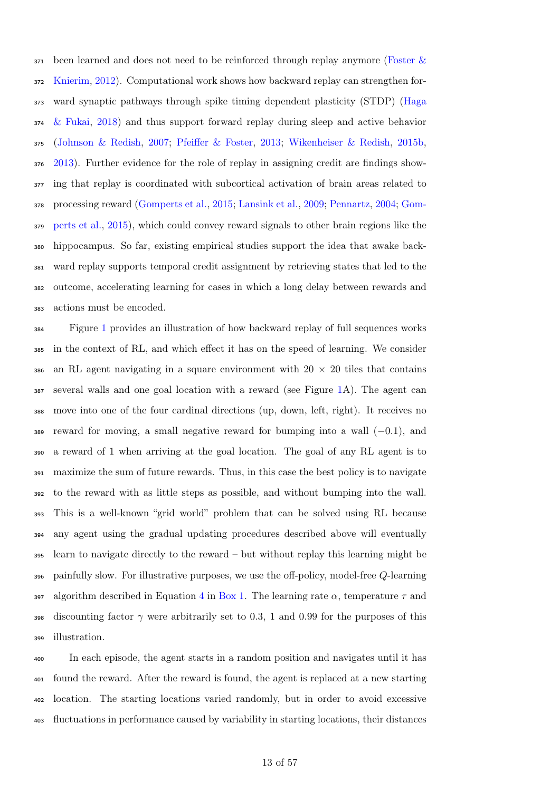[b](#page-44-6)een learned and does not need to be reinforced through replay anymore [\(Foster &](#page-44-6) [Knierim,](#page-44-6) [2012\)](#page-44-6). Computational work shows how backward replay can strengthen for- [w](#page-45-11)ard synaptic pathways through spike timing dependent plasticity (STDP) [\(Haga](#page-45-11) [& Fukai,](#page-45-11) [2018\)](#page-45-11) and thus support forward replay during sleep and active behavior [\(Johnson & Redish,](#page-46-11) [2007;](#page-46-11) [Pfeiffer & Foster,](#page-51-8) [2013;](#page-51-8) [Wikenheiser & Redish,](#page-55-5) [2015b,](#page-55-5) [2013\)](#page-55-6). Further evidence for the role of replay in assigning credit are findings show- ing that replay is coordinated with subcortical activation of brain areas related to [p](#page-45-5)rocessing reward [\(Gomperts et al.,](#page-45-5) [2015;](#page-45-5) [Lansink et al.,](#page-47-3) [2009;](#page-47-3) [Pennartz,](#page-50-8) [2004;](#page-50-8) [Gom-](#page-45-5) [perts et al.,](#page-45-5) [2015\)](#page-45-5), which could convey reward signals to other brain regions like the hippocampus. So far, existing empirical studies support the idea that awake back- ward replay supports temporal credit assignment by retrieving states that led to the outcome, accelerating learning for cases in which a long delay between rewards and actions must be encoded.

 Figure [1](#page-13-0) provides an illustration of how backward replay of full sequences works in the context of [RL,](#page-39-4) and which effect it has on the speed of learning. We consider 386 an [RL](#page-39-4) agent navigating in a square environment with  $20 \times 20$  tiles that contains several walls and one goal location with a reward (see Figure [1A](#page-13-0)). The agent can move into one of the four cardinal directions (up, down, left, right). It receives no reward for moving, a small negative reward for bumping into a wall  $(-0.1)$ , and a reward of 1 when arriving at the goal location. The goal of any [RL](#page-39-4) agent is to maximize the sum of future rewards. Thus, in this case the best policy is to navigate to the reward with as little steps as possible, and without bumping into the wall. This is a well-known "grid world" problem that can be solved using [RL](#page-39-4) because any agent using the gradual updating procedures described above will eventually learn to navigate directly to the reward – but without replay this learning might be painfully slow. For illustrative purposes, we use the off-policy, model-free Q-learning 397 algorithm described in Equation [4](#page-9-1) in [Box 1.](#page-7-0) The learning rate  $\alpha$ , temperature  $\tau$  and 398 discounting factor  $\gamma$  were arbitrarily set to 0.3, 1 and 0.99 for the purposes of this illustration.

 In each episode, the agent starts in a random position and navigates until it has found the reward. After the reward is found, the agent is replaced at a new starting location. The starting locations varied randomly, but in order to avoid excessive fluctuations in performance caused by variability in starting locations, their distances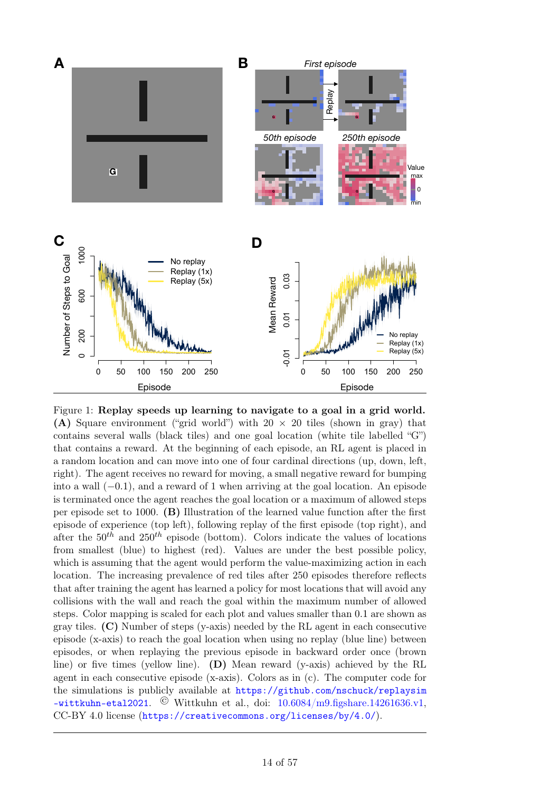<span id="page-13-0"></span>

(A) Square environment ("grid world") with  $20 \times 20$  tiles (shown in gray) that Figure 1: Replay speeds up learning to navigate to a goal in a grid world. contains several walls (black tiles) and one goal location (white tile labelled "G") that contains a reward. At the beginning of each episode, an [RL](#page-39-4) agent is placed in a random location and can move into one of four cardinal directions (up, down, left, right). The agent receives no reward for moving, a small negative reward for bumping into a wall (−0.1), and a reward of 1 when arriving at the goal location. An episode is terminated once the agent reaches the goal location or a maximum of allowed steps per episode set to 1000. (B) Illustration of the learned value function after the first episode of experience (top left), following replay of the first episode (top right), and after the  $50<sup>th</sup>$  and  $250<sup>th</sup>$  episode (bottom). Colors indicate the values of locations from smallest (blue) to highest (red). Values are under the best possible policy, which is assuming that the agent would perform the value-maximizing action in each location. The increasing prevalence of red tiles after 250 episodes therefore reflects that after training the agent has learned a policy for most locations that will avoid any collisions with the wall and reach the goal within the maximum number of allowed steps. Color mapping is scaled for each plot and values smaller than 0.1 are shown as gray tiles.  $(C)$  Number of steps (y-axis) needed by the [RL](#page-39-4) agent in each consecutive episode (x-axis) to reach the goal location when using no replay (blue line) between episodes, or when replaying the previous episode in backward order once (brown line) or five times (yellow line). (D) Mean reward (y-axis) achieved by the [RL](#page-39-4) agent in each consecutive episode  $(x-axis)$ . Colors as in  $(c)$ . The computer code for the simulations is publicly available at [https://github.com/nschuck/replaysim](https://github.com/nschuck/replaysim-wittkuhn-etal2021)  $-$ wittkuhn-etal2021. © Wittkuhn et al., doi:  $10.6084/m9.$ figshare.14261636.v1, CC-BY 4.0 license (<https://creativecommons.org/licenses/by/4.0/>).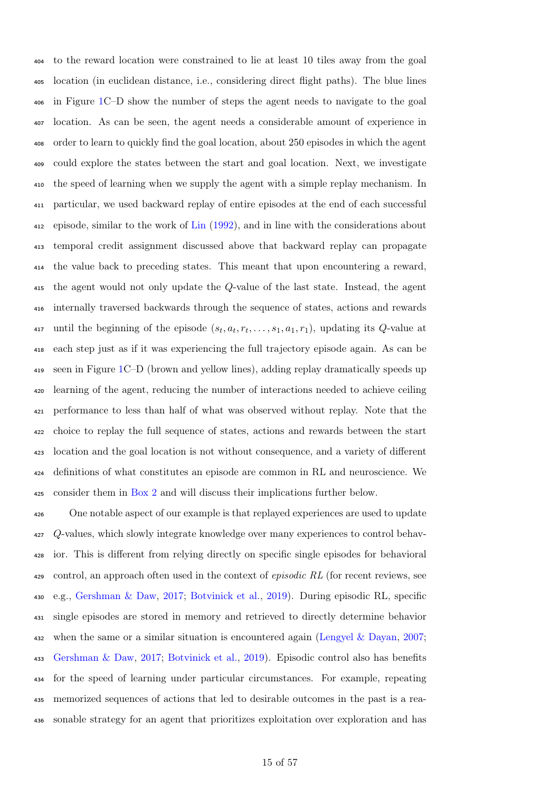to the reward location were constrained to lie at least 10 tiles away from the goal location (in euclidean distance, i.e., considering direct flight paths). The blue lines in Figure [1C](#page-13-0)–D show the number of steps the agent needs to navigate to the goal location. As can be seen, the agent needs a considerable amount of experience in order to learn to quickly find the goal location, about 250 episodes in which the agent could explore the states between the start and goal location. Next, we investigate the speed of learning when we supply the agent with a simple replay mechanism. In particular, we used backward replay of entire episodes at the end of each successful episode, similar to the work of [Lin](#page-47-7) [\(1992\)](#page-47-7), and in line with the considerations about temporal credit assignment discussed above that backward replay can propagate the value back to preceding states. This meant that upon encountering a reward, the agent would not only update the Q-value of the last state. Instead, the agent internally traversed backwards through the sequence of states, actions and rewards 417 until the beginning of the episode  $(s_t, a_t, r_t, \ldots, s_1, a_1, r_1)$ , updating its Q-value at each step just as if it was experiencing the full trajectory episode again. As can be seen in Figure [1C](#page-13-0)–D (brown and yellow lines), adding replay dramatically speeds up learning of the agent, reducing the number of interactions needed to achieve ceiling performance to less than half of what was observed without replay. Note that the choice to replay the full sequence of states, actions and rewards between the start location and the goal location is not without consequence, and a variety of different definitions of what constitutes an episode are common in [RL](#page-39-4) and neuroscience. We consider them in [Box 2](#page-15-0) and will discuss their implications further below.

 One notable aspect of our example is that replayed experiences are used to update Q-values, which slowly integrate knowledge over many experiences to control behav- ior. This is different from relying directly on specific single episodes for behavioral control, an approach often used in the context of episodic [RL](#page-39-4) (for recent reviews, see e.g., [Gershman & Daw,](#page-44-7) [2017;](#page-44-7) [Botvinick et al.,](#page-41-8) [2019\)](#page-41-8). During episodic [RL,](#page-39-4) specific single episodes are stored in memory and retrieved to directly determine behavior when the same or a similar situation is encountered again [\(Lengyel & Dayan,](#page-47-9) [2007;](#page-47-9) [Gershman & Daw,](#page-44-7) [2017;](#page-44-7) [Botvinick et al.,](#page-41-8) [2019\)](#page-41-8). Episodic control also has benefits for the speed of learning under particular circumstances. For example, repeating memorized sequences of actions that led to desirable outcomes in the past is a rea-sonable strategy for an agent that prioritizes exploitation over exploration and has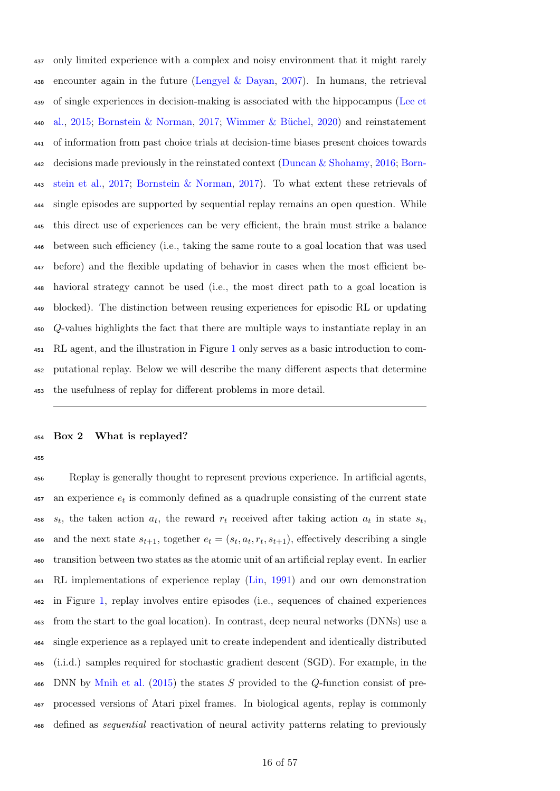only limited experience with a complex and noisy environment that it might rarely 438 encounter again in the future [\(Lengyel & Dayan,](#page-47-9) [2007\)](#page-47-9). In humans, the retrieval [o](#page-47-10)f single experiences in decision-making is associated with the hippocampus [\(Lee et](#page-47-10) [al.,](#page-47-10) [2015;](#page-47-10) [Bornstein & Norman,](#page-41-9) [2017;](#page-41-9) [Wimmer & Büchel,](#page-56-7) [2020\)](#page-56-7) and reinstatement of information from past choice trials at decision-time biases present choices towards [d](#page-41-10)ecisions made previously in the reinstated context [\(Duncan & Shohamy,](#page-43-5) [2016;](#page-43-5) [Born-](#page-41-10) [stein et al.,](#page-41-10) [2017;](#page-41-10) [Bornstein & Norman,](#page-41-9) [2017\)](#page-41-9). To what extent these retrievals of single episodes are supported by sequential replay remains an open question. While this direct use of experiences can be very efficient, the brain must strike a balance between such efficiency (i.e., taking the same route to a goal location that was used before) and the flexible updating of behavior in cases when the most efficient be- havioral strategy cannot be used (i.e., the most direct path to a goal location is blocked). The distinction between reusing experiences for episodic [RL](#page-39-4) or updating Q-values highlights the fact that there are multiple ways to instantiate replay in an [RL](#page-39-4) agent, and the illustration in Figure [1](#page-13-0) only serves as a basic introduction to com- putational replay. Below we will describe the many different aspects that determine the usefulness of replay for different problems in more detail.

### <span id="page-15-0"></span>Box 2 What is replayed?

 Replay is generally thought to represent previous experience. In artificial agents,  $\frac{457}{457}$  an experience  $e_t$  is commonly defined as a quadruple consisting of the current state  $s_t$ , the taken action  $a_t$ , the reward  $r_t$  received after taking action  $a_t$  in state  $s_t$ , 459 and the next state  $s_{t+1}$ , together  $e_t = (s_t, a_t, r_t, s_{t+1})$ , effectively describing a single transition between two states as the atomic unit of an artificial replay event. In earlier [RL](#page-39-4) implementations of experience replay [\(Lin,](#page-47-5) [1991\)](#page-47-5) and our own demonstration in Figure [1,](#page-13-0) replay involves entire episodes (i.e., sequences of chained experiences from the start to the goal location). In contrast, [deep neural networks](#page-39-8) [\(DNNs\)](#page-39-8) use a single experience as a replayed unit to create independent and identically distributed (i.i.d.) samples required for stochastic gradient descent (SGD). For example, in the [DNN](#page-39-8) by [Mnih et al.](#page-49-6)  $(2015)$  the states S provided to the Q-function consist of pre- processed versions of Atari pixel frames. In biological agents, replay is commonly defined as sequential reactivation of neural activity patterns relating to previously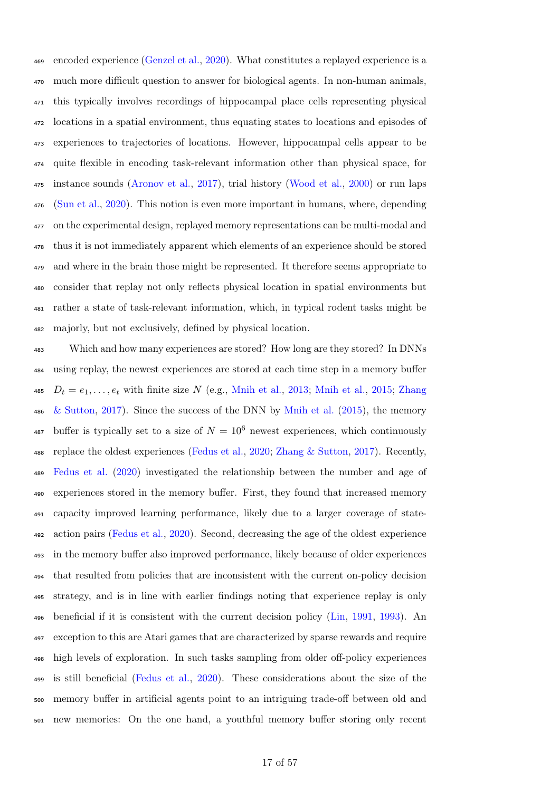encoded experience [\(Genzel et al.,](#page-44-5) [2020\)](#page-44-5). What constitutes a replayed experience is a much more difficult question to answer for biological agents. In non-human animals, this typically involves recordings of hippocampal place cells representing physical locations in a spatial environment, thus equating states to locations and episodes of experiences to trajectories of locations. However, hippocampal cells appear to be quite flexible in encoding task-relevant information other than physical space, for instance sounds [\(Aronov et al.,](#page-40-2) [2017\)](#page-40-2), trial history [\(Wood et al.,](#page-56-8) [2000\)](#page-56-8) or run laps [\(Sun et al.,](#page-53-9) [2020\)](#page-53-9). This notion is even more important in humans, where, depending on the experimental design, replayed memory representations can be multi-modal and thus it is not immediately apparent which elements of an experience should be stored and where in the brain those might be represented. It therefore seems appropriate to consider that replay not only reflects physical location in spatial environments but rather a state of task-relevant information, which, in typical rodent tasks might be majorly, but not exclusively, defined by physical location.

 Which and how many experiences are stored? How long are they stored? In [DNNs](#page-39-8) using replay, the newest experiences are stored at each time step in a memory buffer  $D_t = e_1, \ldots, e_t$  $D_t = e_1, \ldots, e_t$  with finite size N (e.g., [Mnih et al.,](#page-49-6) [2013;](#page-48-8) Mnih et al., [2015;](#page-49-6) [Zhang](#page-56-9) [& Sutton,](#page-56-9) [2017\)](#page-56-9). Since the success of the [DNN](#page-39-8) by [Mnih et al.](#page-49-6) [\(2015\)](#page-49-6), the memory 487 buffer is typically set to a size of  $N = 10^6$  newest experiences, which continuously replace the oldest experiences [\(Fedus et al.,](#page-44-8) [2020;](#page-44-8) [Zhang & Sutton,](#page-56-9) [2017\)](#page-56-9). Recently, [Fedus et al.](#page-44-8) [\(2020\)](#page-44-8) investigated the relationship between the number and age of experiences stored in the memory buffer. First, they found that increased memory capacity improved learning performance, likely due to a larger coverage of state- action pairs [\(Fedus et al.,](#page-44-8) [2020\)](#page-44-8). Second, decreasing the age of the oldest experience in the memory buffer also improved performance, likely because of older experiences that resulted from policies that are inconsistent with the current on-policy decision strategy, and is in line with earlier findings noting that experience replay is only beneficial if it is consistent with the current decision policy [\(Lin,](#page-47-5) [1991,](#page-47-5) [1993\)](#page-47-8). An exception to this are Atari games that are characterized by sparse rewards and require high levels of exploration. In such tasks sampling from older off-policy experiences is still beneficial [\(Fedus et al.,](#page-44-8) [2020\)](#page-44-8). These considerations about the size of the memory buffer in artificial agents point to an intriguing trade-off between old and new memories: On the one hand, a youthful memory buffer storing only recent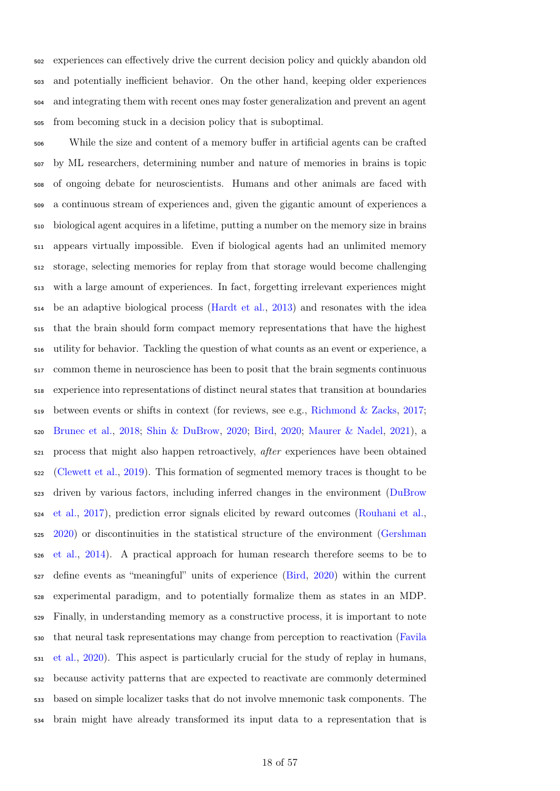experiences can effectively drive the current decision policy and quickly abandon old and potentially inefficient behavior. On the other hand, keeping older experiences and integrating them with recent ones may foster generalization and prevent an agent from becoming stuck in a decision policy that is suboptimal.

 While the size and content of a memory buffer in artificial agents can be crafted by [ML](#page-39-3) researchers, determining number and nature of memories in brains is topic of ongoing debate for neuroscientists. Humans and other animals are faced with a continuous stream of experiences and, given the gigantic amount of experiences a biological agent acquires in a lifetime, putting a number on the memory size in brains appears virtually impossible. Even if biological agents had an unlimited memory storage, selecting memories for replay from that storage would become challenging with a large amount of experiences. In fact, forgetting irrelevant experiences might be an adaptive biological process [\(Hardt et al.,](#page-45-12) [2013\)](#page-45-12) and resonates with the idea that the brain should form compact memory representations that have the highest utility for behavior. Tackling the question of what counts as an event or experience, a common theme in neuroscience has been to posit that the brain segments continuous experience into representations of distinct neural states that transition at boundaries  $_{519}$  between events or shifts in context (for reviews, see e.g., [Richmond & Zacks,](#page-51-9) [2017;](#page-51-9) [Brunec et al.,](#page-41-11) [2018;](#page-41-11) [Shin & DuBrow,](#page-53-10) [2020;](#page-53-10) [Bird,](#page-41-12) [2020;](#page-41-12) [Maurer & Nadel,](#page-48-9) [2021\)](#page-48-9), a process that might also happen retroactively, after experiences have been obtained [\(Clewett et al.,](#page-42-14) [2019\)](#page-42-14). This formation of segmented memory traces is thought to be [d](#page-43-6)riven by various factors, including inferred changes in the environment [\(DuBrow](#page-43-6) [et al.,](#page-43-6) [2017\)](#page-43-6), prediction error signals elicited by reward outcomes [\(Rouhani et al.,](#page-51-10) [2020\)](#page-51-10) or discontinuities in the statistical structure of the environment [\(Gershman](#page-44-9) [et al.,](#page-44-9) [2014\)](#page-44-9). A practical approach for human research therefore seems to be to define events as "meaningful" units of experience [\(Bird,](#page-41-12) [2020\)](#page-41-12) within the current experimental paradigm, and to potentially formalize them as states in an [MDP.](#page-39-5) Finally, in understanding memory as a constructive process, it is important to note [t](#page-43-7)hat neural task representations may change from perception to reactivation [\(Favila](#page-43-7) [et al.,](#page-43-7) [2020\)](#page-43-7). This aspect is particularly crucial for the study of replay in humans, because activity patterns that are expected to reactivate are commonly determined based on simple localizer tasks that do not involve mnemonic task components. The brain might have already transformed its input data to a representation that is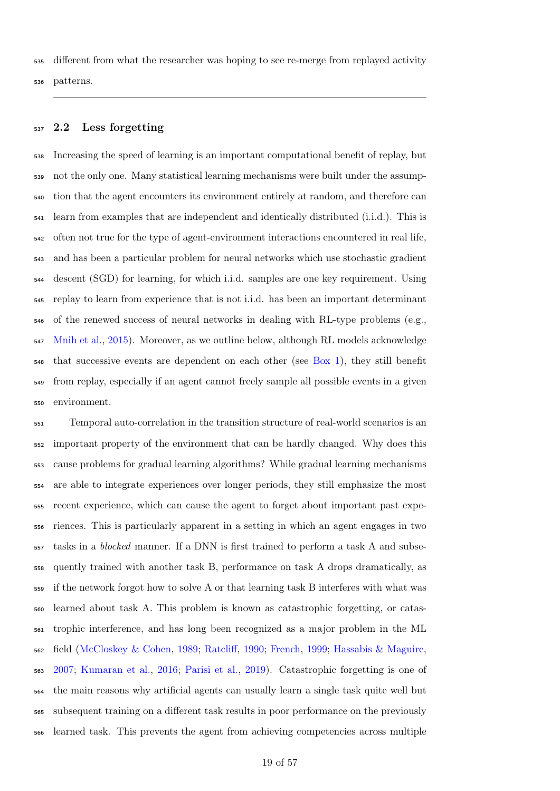different from what the researcher was hoping to see re-merge from replayed activity patterns.

### 2.2 Less forgetting

 Increasing the speed of learning is an important computational benefit of replay, but not the only one. Many statistical learning mechanisms were built under the assump- tion that the agent encounters its environment entirely at random, and therefore can learn from examples that are [independent and identically distributed](#page-39-9) [\(i.i.d.\)](#page-39-9). This is often not true for the type of agent-environment interactions encountered in real life, [a](#page-39-10)nd has been a particular problem for neural networks which use [stochastic gradient](#page-39-10) [descent](#page-39-10) [\(SGD\)](#page-39-10) for learning, for which [i.i.d.](#page-39-9) samples are one key requirement. Using replay to learn from experience that is not [i.i.d.](#page-39-9) has been an important determinant of the renewed success of neural networks in dealing with [RL-](#page-39-4)type problems (e.g., [Mnih et al.,](#page-49-6) [2015\)](#page-49-6). Moreover, as we outline below, although [RL](#page-39-4) models acknowledge that successive events are dependent on each other (see [Box 1\)](#page-7-0), they still benefit from replay, especially if an agent cannot freely sample all possible events in a given environment.

 Temporal auto-correlation in the transition structure of real-world scenarios is an important property of the environment that can be hardly changed. Why does this cause problems for gradual learning algorithms? While gradual learning mechanisms are able to integrate experiences over longer periods, they still emphasize the most recent experience, which can cause the agent to forget about important past expe- riences. This is particularly apparent in a setting in which an agent engages in two tasks in a blocked manner. If a [DNN](#page-39-8) is first trained to perform a task A and subse- quently trained with another task B, performance on task A drops dramatically, as if the network forgot how to solve A or that learning task B interferes with what was learned about task A. This problem is known as catastrophic forgetting, or catas- trophic interference, and has long been recognized as a major problem in the [ML](#page-39-3) field [\(McCloskey & Cohen,](#page-48-10) [1989;](#page-48-10) [Ratcliff,](#page-51-11) [1990;](#page-51-11) [French,](#page-44-10) [1999;](#page-44-10) [Hassabis & Maguire,](#page-45-13) [2007;](#page-45-13) [Kumaran et al.,](#page-47-6) [2016;](#page-47-6) [Parisi et al.,](#page-50-12) [2019\)](#page-50-12). Catastrophic forgetting is one of the main reasons why artificial agents can usually learn a single task quite well but subsequent training on a different task results in poor performance on the previously learned task. This prevents the agent from achieving competencies across multiple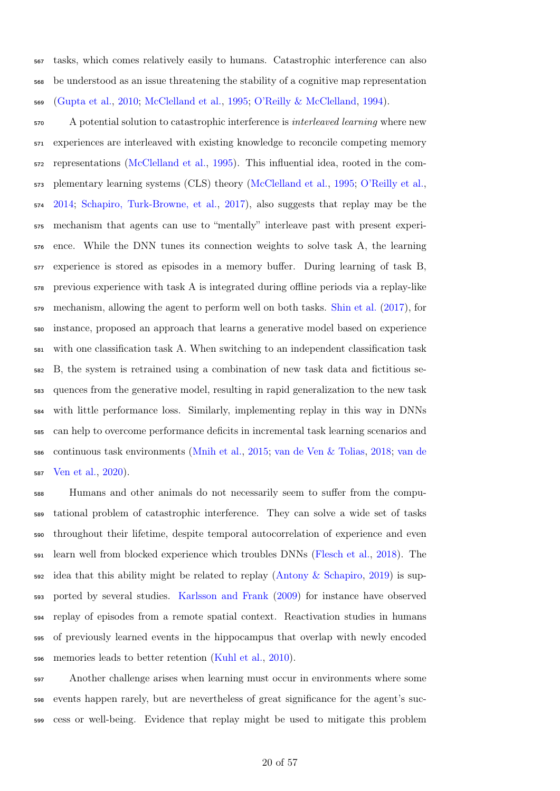tasks, which comes relatively easily to humans. Catastrophic interference can also be understood as an issue threatening the stability of a cognitive map representation [\(Gupta et al.,](#page-45-6) [2010;](#page-45-6) [McClelland et al.,](#page-48-1) [1995;](#page-48-1) [O'Reilly & McClelland,](#page-50-13) [1994\)](#page-50-13).

 A potential solution to catastrophic interference is interleaved learning where new experiences are interleaved with existing knowledge to reconcile competing memory representations [\(McClelland et al.,](#page-48-1) [1995\)](#page-48-1). This influential idea, rooted in the com- plementary learning systems (CLS) theory [\(McClelland et al.,](#page-48-1) [1995;](#page-48-1) [O'Reilly et al.,](#page-50-14) [2014;](#page-50-14) [Schapiro, Turk-Browne, et al.,](#page-52-7) [2017\)](#page-52-7), also suggests that replay may be the mechanism that agents can use to "mentally" interleave past with present experi- ence. While the [DNN](#page-39-8) tunes its connection weights to solve task A, the learning experience is stored as episodes in a memory buffer. During learning of task B, previous experience with task A is integrated during offline periods via a replay-like mechanism, allowing the agent to perform well on both tasks. [Shin et al.](#page-52-8) [\(2017\)](#page-52-8), for instance, proposed an approach that learns a generative model based on experience with one classification task A. When switching to an independent classification task B, the system is retrained using a combination of new task data and fictitious se- quences from the generative model, resulting in rapid generalization to the new task with little performance loss. Similarly, implementing replay in this way in [DNNs](#page-39-8) can help to overcome performance deficits in incremental task learning scenarios and [c](#page-55-8)ontinuous task environments [\(Mnih et al.,](#page-49-6) [2015;](#page-49-6) [van de Ven & Tolias,](#page-55-7) [2018;](#page-55-7) [van de](#page-55-8) [Ven et al.,](#page-55-8) [2020\)](#page-55-8).

 Humans and other animals do not necessarily seem to suffer from the compu- tational problem of catastrophic interference. They can solve a wide set of tasks throughout their lifetime, despite temporal autocorrelation of experience and even learn well from blocked experience which troubles [DNNs](#page-39-8) [\(Flesch et al.,](#page-44-11) [2018\)](#page-44-11). The idea that this ability might be related to replay [\(Antony & Schapiro,](#page-40-7) [2019\)](#page-40-7) is sup- ported by several studies. [Karlsson and Frank](#page-46-4) [\(2009\)](#page-46-4) for instance have observed replay of episodes from a remote spatial context. Reactivation studies in humans of previously learned events in the hippocampus that overlap with newly encoded memories leads to better retention [\(Kuhl et al.,](#page-46-12) [2010\)](#page-46-12).

 Another challenge arises when learning must occur in environments where some events happen rarely, but are nevertheless of great significance for the agent's suc-cess or well-being. Evidence that replay might be used to mitigate this problem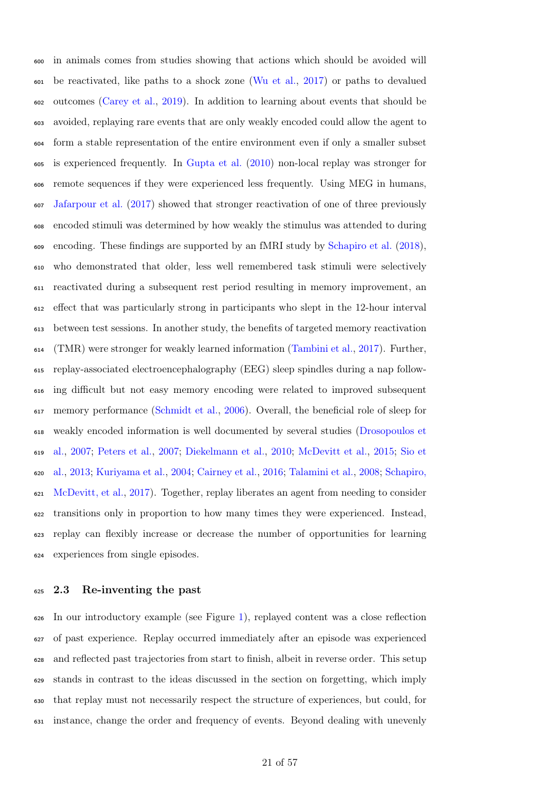in animals comes from studies showing that actions which should be avoided will be reactivated, like paths to a shock zone [\(Wu et al.,](#page-56-10) [2017\)](#page-56-10) or paths to devalued outcomes [\(Carey et al.,](#page-41-13) [2019\)](#page-41-13). In addition to learning about events that should be avoided, replaying rare events that are only weakly encoded could allow the agent to form a stable representation of the entire environment even if only a smaller subset is experienced frequently. In [Gupta et al.](#page-45-6) [\(2010\)](#page-45-6) non-local replay was stronger for remote sequences if they were experienced less frequently. Using [MEG](#page-39-11) in humans, [Jafarpour et al.](#page-46-13) [\(2017\)](#page-46-13) showed that stronger reactivation of one of three previously encoded stimuli was determined by how weakly the stimulus was attended to during encoding. These findings are supported by an [fMRI](#page-39-12) study by [Schapiro et al.](#page-52-9) [\(2018\)](#page-52-9), who demonstrated that older, less well remembered task stimuli were selectively reactivated during a subsequent rest period resulting in memory improvement, an effect that was particularly strong in participants who slept in the 12-hour interval between test sessions. In another study, the benefits of [targeted memory reactivation](#page-39-13) [\(TMR\)](#page-39-13) were stronger for weakly learned information [\(Tambini et al.,](#page-54-9) [2017\)](#page-54-9). Further, replay-associated electroencephalography (EEG) sleep spindles during a nap follow- ing difficult but not easy memory encoding were related to improved subsequent memory performance [\(Schmidt et al.,](#page-52-10) [2006\)](#page-52-10). Overall, the beneficial role of sleep for [w](#page-43-8)eakly encoded information is well documented by several studies [\(Drosopoulos et](#page-43-8) [al.,](#page-43-8) [2007;](#page-43-8) [Peters et al.,](#page-51-12) [2007;](#page-51-12) [Diekelmann et al.,](#page-42-15) [2010;](#page-42-15) [McDevitt et al.,](#page-48-11) [2015;](#page-48-11) [Sio et](#page-53-11) [al.,](#page-53-11) [2013;](#page-53-11) [Kuriyama et al.,](#page-47-11) [2004;](#page-47-11) [Cairney et al.,](#page-41-14) [2016;](#page-41-14) [Talamini et al.,](#page-54-10) [2008;](#page-54-10) [Schapiro,](#page-52-11) [McDevitt, et al.,](#page-52-11) [2017\)](#page-52-11). Together, replay liberates an agent from needing to consider transitions only in proportion to how many times they were experienced. Instead, replay can flexibly increase or decrease the number of opportunities for learning experiences from single episodes.

### 2.3 Re-inventing the past

 In our introductory example (see Figure [1\)](#page-13-0), replayed content was a close reflection of past experience. Replay occurred immediately after an episode was experienced and reflected past trajectories from start to finish, albeit in reverse order. This setup stands in contrast to the ideas discussed in the section on forgetting, which imply that replay must not necessarily respect the structure of experiences, but could, for instance, change the order and frequency of events. Beyond dealing with unevenly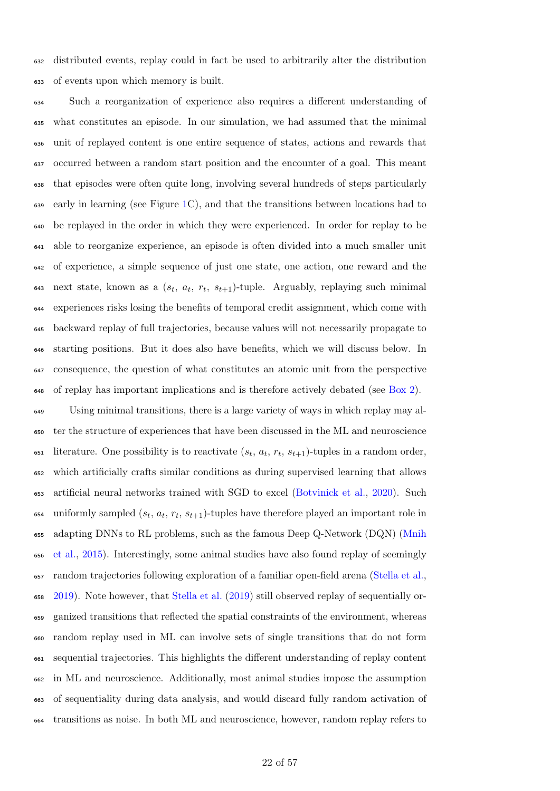distributed events, replay could in fact be used to arbitrarily alter the distribution of events upon which memory is built.

 Such a reorganization of experience also requires a different understanding of what constitutes an episode. In our simulation, we had assumed that the minimal unit of replayed content is one entire sequence of states, actions and rewards that occurred between a random start position and the encounter of a goal. This meant that episodes were often quite long, involving several hundreds of steps particularly early in learning (see Figure [1C](#page-13-0)), and that the transitions between locations had to be replayed in the order in which they were experienced. In order for replay to be able to reorganize experience, an episode is often divided into a much smaller unit of experience, a simple sequence of just one state, one action, one reward and the  $\alpha$ <sub>43</sub> next state, known as a  $(s_t, a_t, r_t, s_{t+1})$ -tuple. Arguably, replaying such minimal experiences risks losing the benefits of temporal credit assignment, which come with backward replay of full trajectories, because values will not necessarily propagate to starting positions. But it does also have benefits, which we will discuss below. In consequence, the question of what constitutes an atomic unit from the perspective  $\epsilon_{48}$  of replay has important implications and is therefore actively debated (see [Box 2\)](#page-15-0).

 Using minimal transitions, there is a large variety of ways in which replay may al- ter the structure of experiences that have been discussed in the [ML](#page-39-3) and neuroscience 651 literature. One possibility is to reactivate  $(s_t, a_t, r_t, s_{t+1})$ -tuples in a random order, which artificially crafts similar conditions as during supervised learning that allows artificial neural networks trained with [SGD](#page-39-10) to excel [\(Botvinick et al.,](#page-41-7) [2020\)](#page-41-7). Such  $\epsilon_{\text{554}}$  uniformly sampled  $(s_t, a_t, r_t, s_{t+1})$ -tuples have therefore played an important role in [a](#page-49-6)dapting [DNNs](#page-39-8) to [RL](#page-39-4) problems, such as the famous Deep Q-Network (DQN) [\(Mnih](#page-49-6) [et al.,](#page-49-6) [2015\)](#page-49-6). Interestingly, some animal studies have also found replay of seemingly random trajectories following exploration of a familiar open-field arena [\(Stella et al.,](#page-53-12) [2019\)](#page-53-12). Note however, that [Stella et al.](#page-53-12) [\(2019\)](#page-53-12) still observed replay of sequentially or- ganized transitions that reflected the spatial constraints of the environment, whereas random replay used in [ML](#page-39-3) can involve sets of single transitions that do not form sequential trajectories. This highlights the different understanding of replay content in [ML](#page-39-3) and neuroscience. Additionally, most animal studies impose the assumption of sequentiality during data analysis, and would discard fully random activation of transitions as noise. In both [ML](#page-39-3) and neuroscience, however, random replay refers to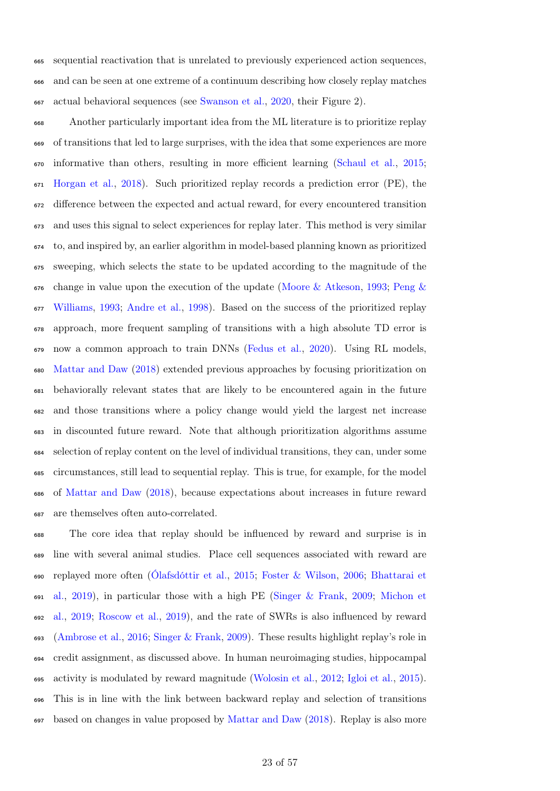sequential reactivation that is unrelated to previously experienced action sequences, and can be seen at one extreme of a continuum describing how closely replay matches actual behavioral sequences (see [Swanson et al.,](#page-54-11) [2020,](#page-54-11) their Figure 2).

 Another particularly important idea from the [ML](#page-39-3) literature is to prioritize replay of transitions that led to large surprises, with the idea that some experiences are more informative than others, resulting in more efficient learning [\(Schaul et al.,](#page-52-12) [2015;](#page-52-12) [Horgan et al.,](#page-45-14) [2018\)](#page-45-14). Such prioritized replay records a prediction error (PE), the difference between the expected and actual reward, for every encountered transition and uses this signal to select experiences for replay later. This method is very similar to, and inspired by, an earlier algorithm in model-based planning known as prioritized sweeping, which selects the state to be updated according to the magnitude of the  $\epsilon_{676}$  [c](#page-50-15)hange in value upon the execution of the update [\(Moore & Atkeson,](#page-49-8) [1993;](#page-49-8) [Peng &](#page-50-15) [Williams,](#page-50-15) [1993;](#page-50-15) [Andre et al.,](#page-40-8) [1998\)](#page-40-8). Based on the success of the prioritized replay approach, more frequent sampling of transitions with a high absolute [TD](#page-39-7) error is now a common approach to train [DNNs](#page-39-8) [\(Fedus et al.,](#page-44-8) [2020\)](#page-44-8). Using [RL](#page-39-4) models, [Mattar and Daw](#page-48-12) [\(2018\)](#page-48-12) extended previous approaches by focusing prioritization on behaviorally relevant states that are likely to be encountered again in the future and those transitions where a policy change would yield the largest net increase in discounted future reward. Note that although prioritization algorithms assume selection of replay content on the level of individual transitions, they can, under some circumstances, still lead to sequential replay. This is true, for example, for the model of [Mattar and Daw](#page-48-12) [\(2018\)](#page-48-12), because expectations about increases in future reward are themselves often auto-correlated.

 The core idea that replay should be influenced by reward and surprise is in line with several animal studies. Place cell sequences associated with reward are [r](#page-40-9)eplayed more often [\(Ólafsdóttir et al.,](#page-50-9) [2015;](#page-50-9) [Foster & Wilson,](#page-44-3) [2006;](#page-44-3) [Bhattarai et](#page-40-9) [al.,](#page-40-9) [2019\)](#page-40-9), in particular those with a high [PE](#page-39-6) [\(Singer & Frank,](#page-53-8) [2009;](#page-53-8) [Michon et](#page-48-13) [al.,](#page-48-13) [2019;](#page-48-13) [Roscow et al.,](#page-51-13) [2019\)](#page-51-13), and the rate of [SWRs](#page-39-0) is also influenced by reward [\(Ambrose et al.,](#page-40-6) [2016;](#page-40-6) [Singer & Frank,](#page-53-8) [2009\)](#page-53-8). These results highlight replay's role in credit assignment, as discussed above. In human neuroimaging studies, hippocampal activity is modulated by reward magnitude [\(Wolosin et al.,](#page-56-11) [2012;](#page-56-11) [Igloi et al.,](#page-46-14) [2015\)](#page-46-14). This is in line with the link between backward replay and selection of transitions based on changes in value proposed by [Mattar and Daw](#page-48-12) [\(2018\)](#page-48-12). Replay is also more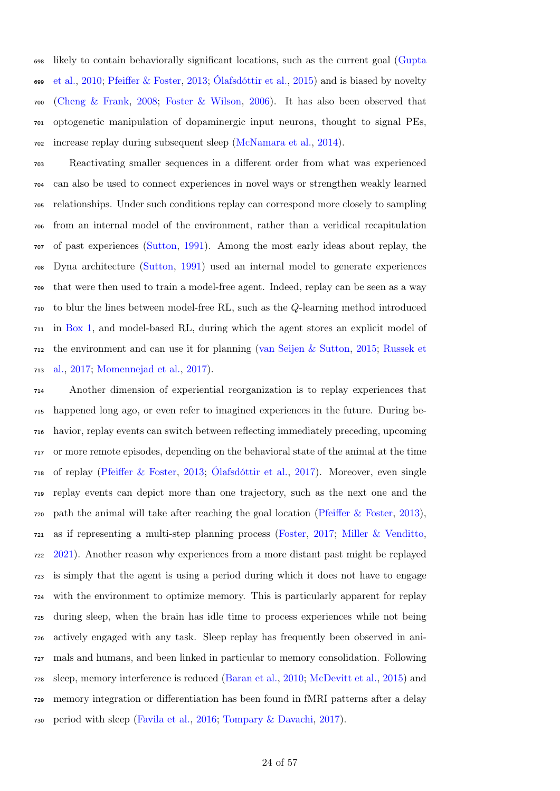[l](#page-45-6)ikely to contain behaviorally significant locations, such as the current goal [\(Gupta](#page-45-6) [et al.,](#page-45-6) [2010;](#page-45-6) [Pfeiffer & Foster,](#page-51-8) [2013;](#page-51-8) [Ólafsdóttir et al.,](#page-50-9) [2015\)](#page-50-9) and is biased by novelty [\(Cheng & Frank,](#page-42-13) [2008;](#page-42-13) [Foster & Wilson,](#page-44-3) [2006\)](#page-44-3). It has also been observed that optogenetic manipulation of dopaminergic input neurons, thought to signal [PEs,](#page-39-6) increase replay during subsequent sleep [\(McNamara et al.,](#page-48-14) [2014\)](#page-48-14).

 Reactivating smaller sequences in a different order from what was experienced can also be used to connect experiences in novel ways or strengthen weakly learned relationships. Under such conditions replay can correspond more closely to sampling from an internal model of the environment, rather than a veridical recapitulation of past experiences [\(Sutton,](#page-54-12) [1991\)](#page-54-12). Among the most early ideas about replay, the Dyna architecture [\(Sutton,](#page-54-12) [1991\)](#page-54-12) used an internal model to generate experiences that were then used to train a model-free agent. Indeed, replay can be seen as a way to blur the lines between model-free [RL,](#page-39-4) such as the Q-learning method introduced in [Box 1,](#page-7-0) and model-based [RL,](#page-39-4) during which the agent stores an explicit model of [t](#page-52-6)he environment and can use it for planning [\(van Seijen & Sutton,](#page-55-4) [2015;](#page-55-4) [Russek et](#page-52-6) [al.,](#page-52-6) [2017;](#page-52-6) [Momennejad et al.,](#page-49-9) [2017\)](#page-49-9).

 Another dimension of experiential reorganization is to replay experiences that happened long ago, or even refer to imagined experiences in the future. During be- havior, replay events can switch between reflecting immediately preceding, upcoming or more remote episodes, depending on the behavioral state of the animal at the time of replay [\(Pfeiffer & Foster,](#page-51-8) [2013;](#page-51-8) [Ólafsdóttir et al.,](#page-50-6) [2017\)](#page-50-6). Moreover, even single replay events can depict more than one trajectory, such as the next one and the path the animal will take after reaching the goal location [\(Pfeiffer & Foster,](#page-51-8) [2013\)](#page-51-8), as if representing a multi-step planning process [\(Foster,](#page-44-1) [2017;](#page-44-1) [Miller & Venditto,](#page-48-15) [2021\)](#page-48-15). Another reason why experiences from a more distant past might be replayed is simply that the agent is using a period during which it does not have to engage with the environment to optimize memory. This is particularly apparent for replay during sleep, when the brain has idle time to process experiences while not being actively engaged with any task. Sleep replay has frequently been observed in ani- mals and humans, and been linked in particular to memory consolidation. Following sleep, memory interference is reduced [\(Baran et al.,](#page-40-10) [2010;](#page-40-10) [McDevitt et al.,](#page-48-11) [2015\)](#page-48-11) and memory integration or differentiation has been found in [fMRI](#page-39-12) patterns after a delay period with sleep [\(Favila et al.,](#page-43-9) [2016;](#page-43-9) [Tompary & Davachi,](#page-55-9) [2017\)](#page-55-9).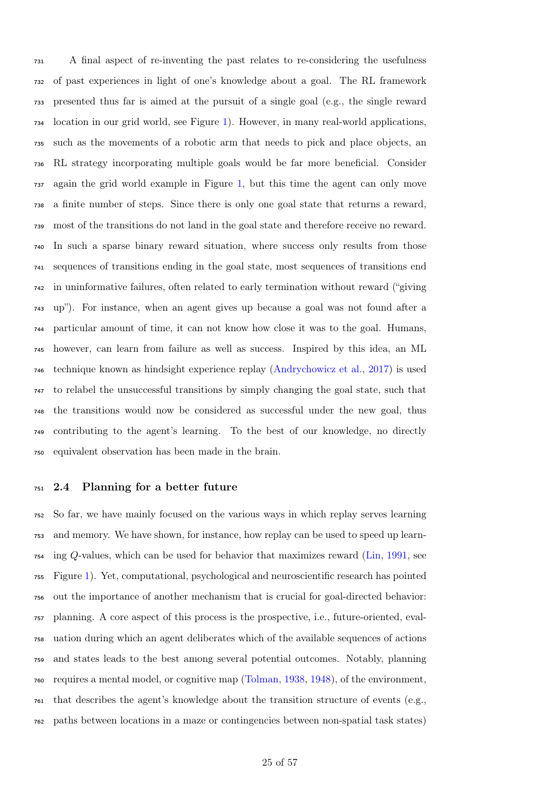A final aspect of re-inventing the past relates to re-considering the usefulness of past experiences in light of one's knowledge about a goal. The [RL](#page-39-4) framework presented thus far is aimed at the pursuit of a single goal (e.g., the single reward location in our grid world, see Figure [1\)](#page-13-0). However, in many real-world applications, such as the movements of a robotic arm that needs to pick and place objects, an [RL](#page-39-4) strategy incorporating multiple goals would be far more beneficial. Consider again the grid world example in Figure [1,](#page-13-0) but this time the agent can only move a finite number of steps. Since there is only one goal state that returns a reward, most of the transitions do not land in the goal state and therefore receive no reward. In such a sparse binary reward situation, where success only results from those sequences of transitions ending in the goal state, most sequences of transitions end in uninformative failures, often related to early termination without reward ("giving up"). For instance, when an agent gives up because a goal was not found after a particular amount of time, it can not know how close it was to the goal. Humans, however, can learn from failure as well as success. Inspired by this idea, an [ML](#page-39-3) technique known as hindsight experience replay [\(Andrychowicz et al.,](#page-40-11) [2017\)](#page-40-11) is used to relabel the unsuccessful transitions by simply changing the goal state, such that the transitions would now be considered as successful under the new goal, thus contributing to the agent's learning. To the best of our knowledge, no directly equivalent observation has been made in the brain.

#### 2.4 Planning for a better future

 So far, we have mainly focused on the various ways in which replay serves learning and memory. We have shown, for instance, how replay can be used to speed up learn- ing Q-values, which can be used for behavior that maximizes reward [\(Lin,](#page-47-5) [1991,](#page-47-5) see Figure [1\)](#page-13-0). Yet, computational, psychological and neuroscientific research has pointed out the importance of another mechanism that is crucial for goal-directed behavior: planning. A core aspect of this process is the prospective, i.e., future-oriented, eval- uation during which an agent deliberates which of the available sequences of actions and states leads to the best among several potential outcomes. Notably, planning requires a mental model, or cognitive map [\(Tolman,](#page-54-13) [1938,](#page-54-13) [1948\)](#page-55-10), of the environment, that describes the agent's knowledge about the transition structure of events (e.g., paths between locations in a maze or contingencies between non-spatial task states)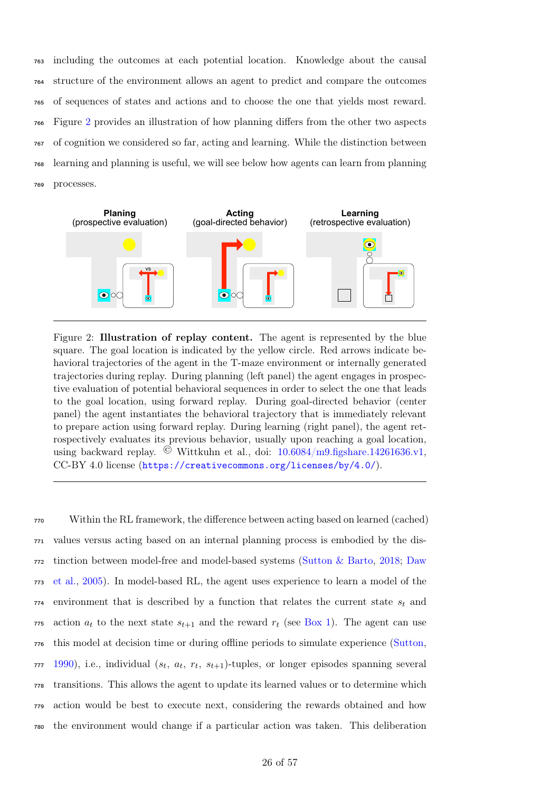including the outcomes at each potential location. Knowledge about the causal structure of the environment allows an agent to predict and compare the outcomes of sequences of states and actions and to choose the one that yields most reward. Figure [2](#page-25-0) provides an illustration of how planning differs from the other two aspects of cognition we considered so far, acting and learning. While the distinction between learning and planning is useful, we will see below how agents can learn from planning processes.

<span id="page-25-0"></span>

Figure 2: Illustration of replay content. The agent is represented by the blue square. The goal location is indicated by the yellow circle. Red arrows indicate behavioral trajectories of the agent in the T-maze environment or internally generated trajectories during replay. During planning (left panel) the agent engages in prospective evaluation of potential behavioral sequences in order to select the one that leads to the goal location, using forward replay. During goal-directed behavior (center panel) the agent instantiates the behavioral trajectory that is immediately relevant to prepare action using forward replay. During learning (right panel), the agent retrospectively evaluates its previous behavior, usually upon reaching a goal location, using backward replay. © Wittkuhn et al., doi: [10.6084/m9.figshare.14261636.v1,](https://doi.org/10.6084/m9.figshare.14261636.v1) CC-BY 4.0 license (<https://creativecommons.org/licenses/by/4.0/>).

 Within the [RL](#page-39-4) framework, the difference between acting based on learned (cached) values versus acting based on an internal planning process is embodied by the dis- [t](#page-42-12)inction between model-free and model-based systems [\(Sutton & Barto,](#page-54-6) [2018;](#page-54-6) [Daw](#page-42-12) [et al.,](#page-42-12) [2005\)](#page-42-12). In model-based [RL,](#page-39-4) the agent uses experience to learn a model of the environment that is described by a function that relates the current state  $s_t$  and 775 action  $a_t$  to the next state  $s_{t+1}$  and the reward  $r_t$  (see [Box 1\)](#page-7-0). The agent can use this model at decision time or during offline periods to simulate experience [\(Sutton,](#page-54-14) , i.e., individual  $(s_t, a_t, r_t, s_{t+1})$ -tuples, or longer episodes spanning several transitions. This allows the agent to update its learned values or to determine which action would be best to execute next, considering the rewards obtained and how the environment would change if a particular action was taken. This deliberation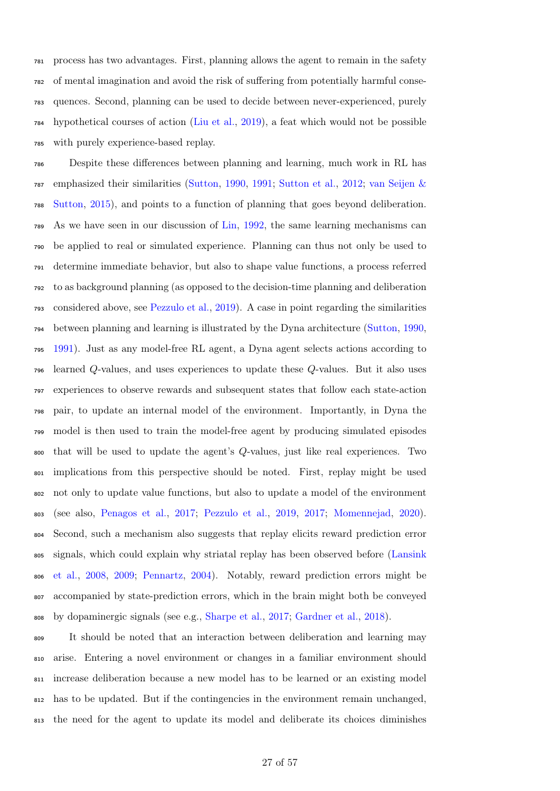process has two advantages. First, planning allows the agent to remain in the safety of mental imagination and avoid the risk of suffering from potentially harmful conse- quences. Second, planning can be used to decide between never-experienced, purely hypothetical courses of action [\(Liu et al.,](#page-48-16) [2019\)](#page-48-16), a feat which would not be possible with purely experience-based replay.

 Despite these differences between planning and learning, much work in [RL](#page-39-4) has [e](#page-55-4)mphasized their similarities [\(Sutton,](#page-54-14) [1990,](#page-54-14) [1991;](#page-54-12) [Sutton et al.,](#page-54-15) [2012;](#page-54-15) [van Seijen &](#page-55-4) [Sutton,](#page-55-4) [2015\)](#page-55-4), and points to a function of planning that goes beyond deliberation. As we have seen in our discussion of [Lin,](#page-47-7) [1992,](#page-47-7) the same learning mechanisms can be applied to real or simulated experience. Planning can thus not only be used to determine immediate behavior, but also to shape value functions, a process referred to as background planning (as opposed to the decision-time planning and deliberation considered above, see [Pezzulo et al.,](#page-51-14) [2019\)](#page-51-14). A case in point regarding the similarities between planning and learning is illustrated by the Dyna architecture [\(Sutton,](#page-54-14) [1990,](#page-54-14) [1991\)](#page-54-12). Just as any model-free [RL](#page-39-4) agent, a Dyna agent selects actions according to learned Q-values, and uses experiences to update these Q-values. But it also uses experiences to observe rewards and subsequent states that follow each state-action pair, to update an internal model of the environment. Importantly, in Dyna the model is then used to train the model-free agent by producing simulated episodes that will be used to update the agent's Q-values, just like real experiences. Two implications from this perspective should be noted. First, replay might be used not only to update value functions, but also to update a model of the environment (see also, [Penagos et al.,](#page-50-16) [2017;](#page-50-16) [Pezzulo et al.,](#page-51-14) [2019,](#page-51-14) [2017;](#page-51-15) [Momennejad,](#page-49-7) [2020\)](#page-49-7). Second, such a mechanism also suggests that replay elicits reward prediction error [s](#page-47-4)ignals, which could explain why striatal replay has been observed before [\(Lansink](#page-47-4) [et al.,](#page-47-4) [2008,](#page-47-4) [2009;](#page-47-3) [Pennartz,](#page-50-8) [2004\)](#page-50-8). Notably, reward prediction errors might be accompanied by state-prediction errors, which in the brain might both be conveyed by dopaminergic signals (see e.g., [Sharpe et al.,](#page-52-13) [2017;](#page-52-13) [Gardner et al.,](#page-44-12) [2018\)](#page-44-12).

 It should be noted that an interaction between deliberation and learning may arise. Entering a novel environment or changes in a familiar environment should increase deliberation because a new model has to be learned or an existing model has to be updated. But if the contingencies in the environment remain unchanged, the need for the agent to update its model and deliberate its choices diminishes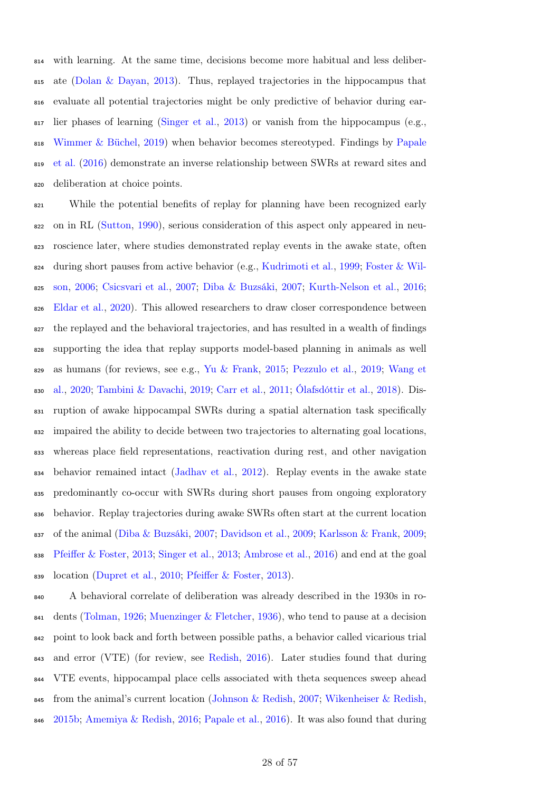with learning. At the same time, decisions become more habitual and less deliber- $\frac{1}{815}$  ate [\(Dolan & Dayan,](#page-42-16) [2013\)](#page-42-16). Thus, replayed trajectories in the hippocampus that evaluate all potential trajectories might be only predictive of behavior during ear- $\frac{1}{817}$  lier phases of learning [\(Singer et al.,](#page-53-13) [2013\)](#page-53-13) or vanish from the hippocampus (e.g., [Wimmer & Büchel,](#page-56-12) [2019\)](#page-56-12) when behavior becomes stereotyped. Findings by [Papale](#page-50-17) [et al.](#page-50-17) [\(2016\)](#page-50-17) demonstrate an inverse relationship between [SWRs](#page-39-0) at reward sites and deliberation at choice points.

 While the potential benefits of replay for planning have been recognized early on in [RL](#page-39-4) [\(Sutton,](#page-54-14) [1990\)](#page-54-14), serious consideration of this aspect only appeared in neu- roscience later, where studies demonstrated replay events in the awake state, often [d](#page-44-3)uring short pauses from active behavior (e.g., [Kudrimoti et al.,](#page-46-0) [1999;](#page-46-0) [Foster & Wil-](#page-44-3) [son,](#page-44-3) [2006;](#page-44-3) [Csicsvari et al.,](#page-42-3) [2007;](#page-42-3) [Diba & Buzsáki,](#page-42-4) [2007;](#page-42-4) [Kurth-Nelson et al.,](#page-47-2) [2016;](#page-47-2) [Eldar et al.,](#page-43-10) [2020\)](#page-43-10). This allowed researchers to draw closer correspondence between the replayed and the behavioral trajectories, and has resulted in a wealth of findings supporting the idea that replay supports model-based planning in animals as well [a](#page-55-11)s humans (for reviews, see e.g., [Yu & Frank,](#page-56-13) [2015;](#page-56-13) [Pezzulo et al.,](#page-51-14) [2019;](#page-51-14) [Wang et](#page-55-11) [al.,](#page-55-11) [2020;](#page-55-11) [Tambini & Davachi,](#page-54-3) [2019;](#page-54-3) [Carr et al.,](#page-41-5) [2011;](#page-41-5) [Ólafsdóttir et al.,](#page-50-18) [2018\)](#page-50-18). Dis- ruption of awake hippocampal [SWRs](#page-39-0) during a spatial alternation task specifically impaired the ability to decide between two trajectories to alternating goal locations, whereas place field representations, reactivation during rest, and other navigation behavior remained intact [\(Jadhav et al.,](#page-46-3) [2012\)](#page-46-3). Replay events in the awake state predominantly co-occur with [SWRs](#page-39-0) during short pauses from ongoing exploratory behavior. Replay trajectories during awake [SWRs](#page-39-0) often start at the current location of the animal [\(Diba & Buzsáki,](#page-42-4) [2007;](#page-42-4) [Davidson et al.,](#page-42-5) [2009;](#page-42-5) [Karlsson & Frank,](#page-46-4) [2009;](#page-46-4) [Pfeiffer & Foster,](#page-51-8) [2013;](#page-51-8) [Singer et al.,](#page-53-13) [2013;](#page-53-13) [Ambrose et al.,](#page-40-6) [2016\)](#page-40-6) and end at the goal location [\(Dupret et al.,](#page-43-11) [2010;](#page-43-11) [Pfeiffer & Foster,](#page-51-8) [2013\)](#page-51-8).

 A behavioral correlate of deliberation was already described in the 1930s in ro-841 dents [\(Tolman,](#page-54-16) [1926;](#page-54-16) [Muenzinger & Fletcher,](#page-49-10) [1936\)](#page-49-10), who tend to pause at a decision point to look back and forth between possible paths, a behavior called vicarious trial and error (VTE) (for review, see [Redish,](#page-51-16) [2016\)](#page-51-16). Later studies found that during [VTE](#page-39-14) events, hippocampal place cells associated with theta sequences sweep ahead 845 from the animal's current location [\(Johnson & Redish,](#page-46-11) [2007;](#page-46-11) [Wikenheiser & Redish,](#page-55-5) [2015b;](#page-55-5) [Amemiya & Redish,](#page-40-12) [2016;](#page-40-12) [Papale et al.,](#page-50-17) [2016\)](#page-50-17). It was also found that during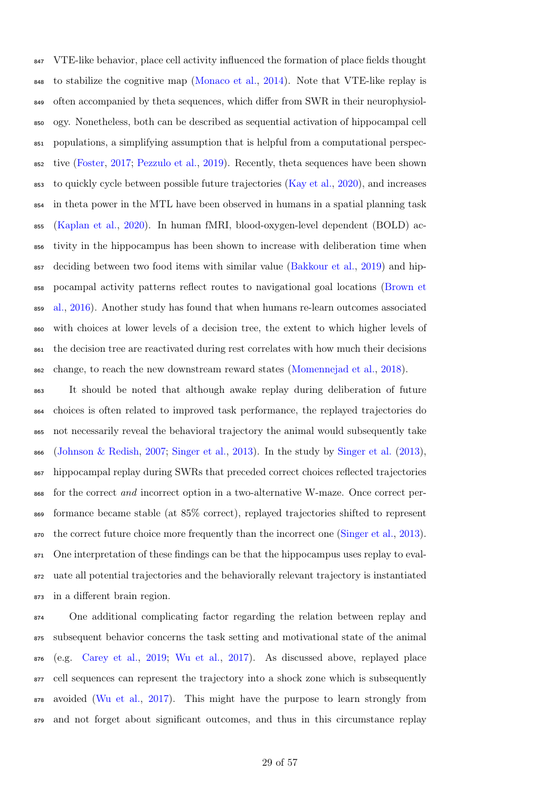[VTE-](#page-39-14)like behavior, place cell activity influenced the formation of place fields thought to stabilize the cognitive map [\(Monaco et al.,](#page-49-11) [2014\)](#page-49-11). Note that [VTE-](#page-39-14)like replay is often accompanied by theta sequences, which differ from [SWR](#page-39-0) in their neurophysiol- ogy. Nonetheless, both can be described as sequential activation of hippocampal cell populations, a simplifying assumption that is helpful from a computational perspec- tive [\(Foster,](#page-44-1) [2017;](#page-44-1) [Pezzulo et al.,](#page-51-14) [2019\)](#page-51-14). Recently, theta sequences have been shown to quickly cycle between possible future trajectories [\(Kay et al.,](#page-46-15) [2020\)](#page-46-15), and increases in theta power in the [MTL](#page-39-2) have been observed in humans in a spatial planning task [\(Kaplan et al.,](#page-46-16) [2020\)](#page-46-16). In human [fMRI,](#page-39-12) blood-oxygen-level dependent (BOLD) ac- tivity in the hippocampus has been shown to increase with deliberation time when deciding between two food items with similar value [\(Bakkour et al.,](#page-40-13) [2019\)](#page-40-13) and hip- [p](#page-41-15)ocampal activity patterns reflect routes to navigational goal locations [\(Brown et](#page-41-15) [al.,](#page-41-15) [2016\)](#page-41-15). Another study has found that when humans re-learn outcomes associated with choices at lower levels of a decision tree, the extent to which higher levels of the decision tree are reactivated during rest correlates with how much their decisions change, to reach the new downstream reward states [\(Momennejad et al.,](#page-49-12) [2018\)](#page-49-12).

 It should be noted that although awake replay during deliberation of future choices is often related to improved task performance, the replayed trajectories do not necessarily reveal the behavioral trajectory the animal would subsequently take  $\frac{1}{866}$  [\(Johnson & Redish,](#page-46-11) [2007;](#page-46-11) [Singer et al.,](#page-53-13) [2013\)](#page-53-13). In the study by [Singer et al.](#page-53-13) [\(2013\)](#page-53-13), hippocampal replay during [SWRs](#page-39-0) that preceded correct choices reflected trajectories for the correct and incorrect option in a two-alternative W-maze. Once correct per- formance became stable (at 85% correct), replayed trajectories shifted to represent the correct future choice more frequently than the incorrect one [\(Singer et al.,](#page-53-13) [2013\)](#page-53-13). One interpretation of these findings can be that the hippocampus uses replay to eval- uate all potential trajectories and the behaviorally relevant trajectory is instantiated in a different brain region.

 One additional complicating factor regarding the relation between replay and subsequent behavior concerns the task setting and motivational state of the animal (e.g. [Carey et al.,](#page-41-13) [2019;](#page-41-13) [Wu et al.,](#page-56-10) [2017\)](#page-56-10). As discussed above, replayed place cell sequences can represent the trajectory into a shock zone which is subsequently avoided [\(Wu et al.,](#page-56-10) [2017\)](#page-56-10). This might have the purpose to learn strongly from and not forget about significant outcomes, and thus in this circumstance replay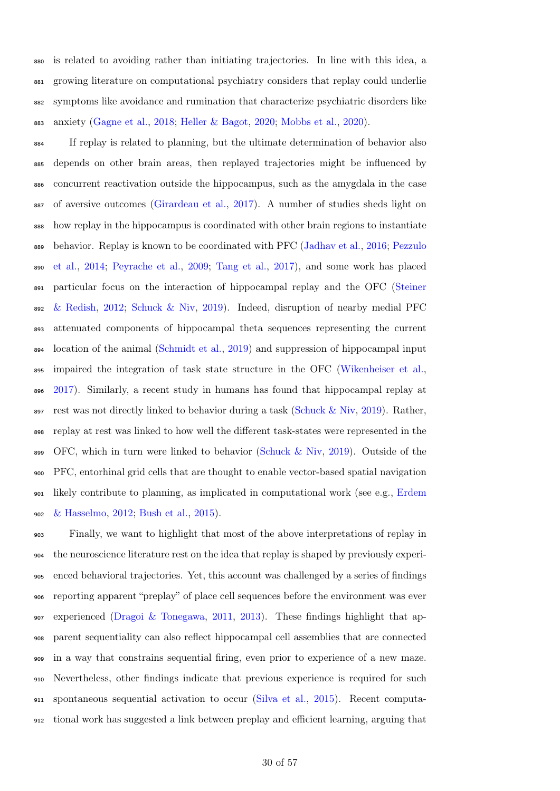is related to avoiding rather than initiating trajectories. In line with this idea, a growing literature on computational psychiatry considers that replay could underlie symptoms like avoidance and rumination that characterize psychiatric disorders like anxiety [\(Gagne et al.,](#page-44-13) [2018;](#page-44-13) [Heller & Bagot,](#page-45-15) [2020;](#page-45-15) [Mobbs et al.,](#page-49-13) [2020\)](#page-49-13).

 If replay is related to planning, but the ultimate determination of behavior also depends on other brain areas, then replayed trajectories might be influenced by concurrent reactivation outside the hippocampus, such as the amygdala in the case of aversive outcomes [\(Girardeau et al.,](#page-44-14) [2017\)](#page-44-14). A number of studies sheds light on how replay in the hippocampus is coordinated with other brain regions to instantiate [b](#page-51-17)ehavior. Replay is known to be coordinated with [PFC](#page-39-1) [\(Jadhav et al.,](#page-46-5) [2016;](#page-46-5) [Pezzulo](#page-51-17) [et al.,](#page-51-17) [2014;](#page-51-17) [Peyrache et al.,](#page-51-4) [2009;](#page-51-4) [Tang et al.,](#page-54-8) [2017\)](#page-54-8), and some work has placed [p](#page-53-14)articular focus on the interaction of hippocampal replay and the [OFC](#page-39-15) [\(Steiner](#page-53-14) [& Redish,](#page-53-14) [2012;](#page-53-14) [Schuck & Niv,](#page-52-1) [2019\)](#page-52-1). Indeed, disruption of nearby medial [PFC](#page-39-1) attenuated components of hippocampal theta sequences representing the current location of the animal [\(Schmidt et al.,](#page-52-14) [2019\)](#page-52-14) and suppression of hippocampal input impaired the integration of task state structure in the [OFC](#page-39-15) [\(Wikenheiser et al.,](#page-55-12) [2017\)](#page-55-12). Similarly, a recent study in humans has found that hippocampal replay at 897 rest was not directly linked to behavior during a task [\(Schuck & Niv,](#page-52-1) [2019\)](#page-52-1). Rather, replay at rest was linked to how well the different task-states were represented in the [OFC,](#page-39-15) which in turn were linked to behavior (Schuck  $\&$  Niv, [2019\)](#page-52-1). Outside of the [PFC,](#page-39-1) entorhinal grid cells that are thought to enable vector-based spatial navigation [l](#page-43-12)ikely contribute to planning, as implicated in computational work (see e.g., [Erdem](#page-43-12) [& Hasselmo,](#page-43-12) [2012;](#page-43-12) [Bush et al.,](#page-41-16) [2015\)](#page-41-16).

 Finally, we want to highlight that most of the above interpretations of replay in the neuroscience literature rest on the idea that replay is shaped by previously experi- enced behavioral trajectories. Yet, this account was challenged by a series of findings reporting apparent "preplay" of place cell sequences before the environment was ever experienced [\(Dragoi & Tonegawa,](#page-43-13) [2011,](#page-43-13) [2013\)](#page-43-14). These findings highlight that ap- parent sequentiality can also reflect hippocampal cell assemblies that are connected in a way that constrains sequential firing, even prior to experience of a new maze. Nevertheless, other findings indicate that previous experience is required for such spontaneous sequential activation to occur [\(Silva et al.,](#page-53-15) [2015\)](#page-53-15). Recent computa-tional work has suggested a link between preplay and efficient learning, arguing that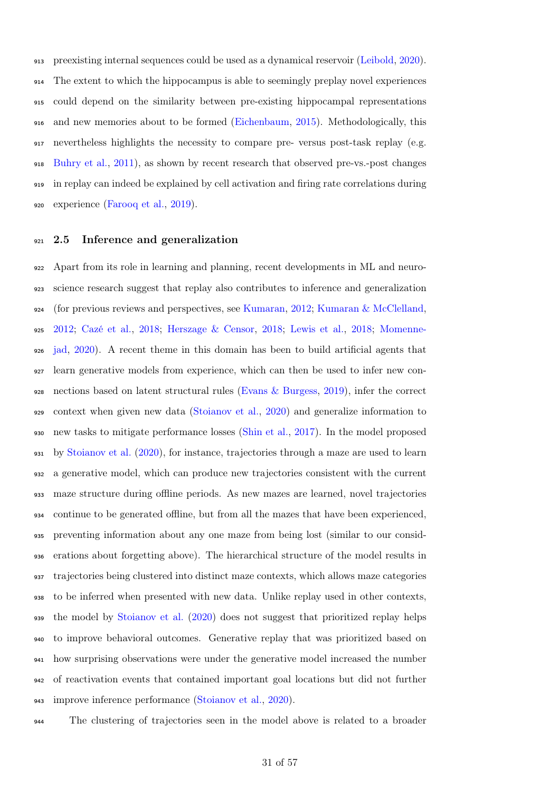preexisting internal sequences could be used as a dynamical reservoir [\(Leibold,](#page-47-12) [2020\)](#page-47-12). The extent to which the hippocampus is able to seemingly preplay novel experiences could depend on the similarity between pre-existing hippocampal representations and new memories about to be formed [\(Eichenbaum,](#page-43-15) [2015\)](#page-43-15). Methodologically, this nevertheless highlights the necessity to compare pre- versus post-task replay (e.g. [Buhry et al.,](#page-41-17) [2011\)](#page-41-17), as shown by recent research that observed pre-vs.-post changes in replay can indeed be explained by cell activation and firing rate correlations during experience [\(Farooq et al.,](#page-43-16) [2019\)](#page-43-16).

#### 921 2.5 Inference and generalization

 Apart from its role in learning and planning, recent developments in [ML](#page-39-3) and neuro- science research suggest that replay also contributes to inference and generalization (for previous reviews and perspectives, see [Kumaran,](#page-47-13) [2012;](#page-47-13) [Kumaran & McClelland,](#page-47-14) [2012;](#page-47-14) [Cazé et al.,](#page-42-9) [2018;](#page-42-9) [Herszage & Censor,](#page-45-16) [2018;](#page-45-16) [Lewis et al.,](#page-47-15) [2018;](#page-47-15) [Momenne-](#page-49-7) [jad,](#page-49-7) [2020\)](#page-49-7). A recent theme in this domain has been to build artificial agents that learn generative models from experience, which can then be used to infer new con- nections based on latent structural rules [\(Evans & Burgess,](#page-43-17) [2019\)](#page-43-17), infer the correct context when given new data [\(Stoianov et al.,](#page-53-16) [2020\)](#page-53-16) and generalize information to new tasks to mitigate performance losses [\(Shin et al.,](#page-52-8) [2017\)](#page-52-8). In the model proposed by [Stoianov et al.](#page-53-16) [\(2020\)](#page-53-16), for instance, trajectories through a maze are used to learn a generative model, which can produce new trajectories consistent with the current maze structure during offline periods. As new mazes are learned, novel trajectories continue to be generated offline, but from all the mazes that have been experienced, preventing information about any one maze from being lost (similar to our consid- erations about forgetting above). The hierarchical structure of the model results in trajectories being clustered into distinct maze contexts, which allows maze categories to be inferred when presented with new data. Unlike replay used in other contexts, the model by [Stoianov et al.](#page-53-16) [\(2020\)](#page-53-16) does not suggest that prioritized replay helps to improve behavioral outcomes. Generative replay that was prioritized based on how surprising observations were under the generative model increased the number of reactivation events that contained important goal locations but did not further improve inference performance [\(Stoianov et al.,](#page-53-16) [2020\)](#page-53-16).

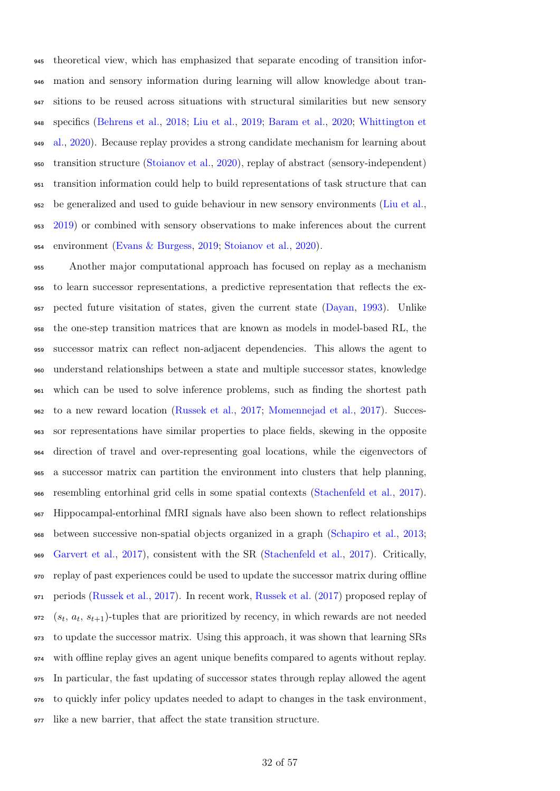theoretical view, which has emphasized that separate encoding of transition infor- mation and sensory information during learning will allow knowledge about tran- sitions to be reused across situations with structural similarities but new sensory [s](#page-55-13)pecifics [\(Behrens et al.,](#page-40-3) [2018;](#page-40-3) [Liu et al.,](#page-48-5) [2019;](#page-48-5) [Baram et al.,](#page-40-14) [2020;](#page-40-14) [Whittington et](#page-55-13) [al.,](#page-55-13) [2020\)](#page-55-13). Because replay provides a strong candidate mechanism for learning about transition structure [\(Stoianov et al.,](#page-53-16) [2020\)](#page-53-16), replay of abstract (sensory-independent) transition information could help to build representations of task structure that can <sub>952</sub> be generalized and used to guide behaviour in new sensory environments [\(Liu et al.,](#page-48-5) [2019\)](#page-48-5) or combined with sensory observations to make inferences about the current environment [\(Evans & Burgess,](#page-43-17) [2019;](#page-43-17) [Stoianov et al.,](#page-53-16) [2020\)](#page-53-16).

 Another major computational approach has focused on replay as a mechanism to learn successor representations, a predictive representation that reflects the ex- pected future visitation of states, given the current state [\(Dayan,](#page-42-17) [1993\)](#page-42-17). Unlike the one-step transition matrices that are known as models in model-based [RL,](#page-39-4) the successor matrix can reflect non-adjacent dependencies. This allows the agent to understand relationships between a state and multiple successor states, knowledge which can be used to solve inference problems, such as finding the shortest path to a new reward location [\(Russek et al.,](#page-52-6) [2017;](#page-52-6) [Momennejad et al.,](#page-49-9) [2017\)](#page-49-9). Succes- sor representations have similar properties to place fields, skewing in the opposite direction of travel and over-representing goal locations, while the eigenvectors of a successor matrix can partition the environment into clusters that help planning, resembling entorhinal grid cells in some spatial contexts [\(Stachenfeld et al.,](#page-53-6) [2017\)](#page-53-6). Hippocampal-entorhinal [fMRI](#page-39-12) signals have also been shown to reflect relationships between successive non-spatial objects organized in a graph [\(Schapiro et al.,](#page-52-15) [2013;](#page-52-15) [Garvert et al.,](#page-44-15) [2017\)](#page-44-15), consistent with the [SR](#page-39-16) [\(Stachenfeld et al.,](#page-53-6) [2017\)](#page-53-6). Critically, replay of past experiences could be used to update the successor matrix during offline periods [\(Russek et al.,](#page-52-6) [2017\)](#page-52-6). In recent work, [Russek et al.](#page-52-6) [\(2017\)](#page-52-6) proposed replay of 972 ( $s_t$ ,  $a_t$ ,  $s_{t+1}$ )-tuples that are prioritized by recency, in which rewards are not needed to update the successor matrix. Using this approach, it was shown that learning [SRs](#page-39-16) with offline replay gives an agent unique benefits compared to agents without replay. In particular, the fast updating of successor states through replay allowed the agent to quickly infer policy updates needed to adapt to changes in the task environment, like a new barrier, that affect the state transition structure.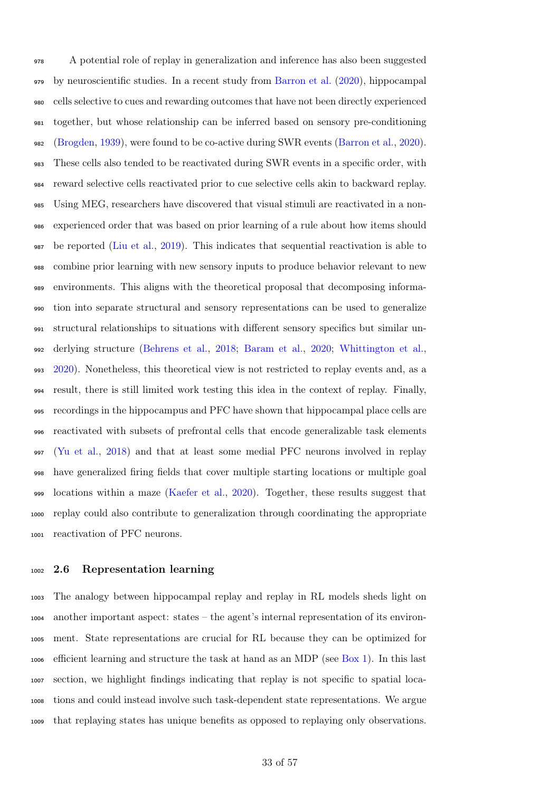A potential role of replay in generalization and inference has also been suggested by neuroscientific studies. In a recent study from [Barron et al.](#page-40-15) [\(2020\)](#page-40-15), hippocampal cells selective to cues and rewarding outcomes that have not been directly experienced together, but whose relationship can be inferred based on sensory pre-conditioning [\(Brogden,](#page-41-18) [1939\)](#page-41-18), were found to be co-active during [SWR](#page-39-0) events [\(Barron et al.,](#page-40-15) [2020\)](#page-40-15). These cells also tended to be reactivated during [SWR](#page-39-0) events in a specific order, with reward selective cells reactivated prior to cue selective cells akin to backward replay. Using [MEG,](#page-39-11) researchers have discovered that visual stimuli are reactivated in a non- experienced order that was based on prior learning of a rule about how items should be reported [\(Liu et al.,](#page-48-5) [2019\)](#page-48-5). This indicates that sequential reactivation is able to combine prior learning with new sensory inputs to produce behavior relevant to new environments. This aligns with the theoretical proposal that decomposing informa- tion into separate structural and sensory representations can be used to generalize structural relationships to situations with different sensory specifics but similar un- derlying structure [\(Behrens et al.,](#page-40-3) [2018;](#page-40-3) [Baram et al.,](#page-40-14) [2020;](#page-40-14) [Whittington et al.,](#page-55-13) [2020\)](#page-55-13). Nonetheless, this theoretical view is not restricted to replay events and, as a result, there is still limited work testing this idea in the context of replay. Finally, recordings in the hippocampus and [PFC](#page-39-1) have shown that hippocampal place cells are reactivated with subsets of prefrontal cells that encode generalizable task elements [\(Yu et al.,](#page-56-5) [2018\)](#page-56-5) and that at least some medial [PFC](#page-39-1) neurons involved in replay have generalized firing fields that cover multiple starting locations or multiple goal locations within a maze [\(Kaefer et al.,](#page-46-6) [2020\)](#page-46-6). Together, these results suggest that replay could also contribute to generalization through coordinating the appropriate reactivation of [PFC](#page-39-1) neurons.

### 2.6 Representation learning

 The analogy between hippocampal replay and replay in [RL](#page-39-4) models sheds light on another important aspect: states – the agent's internal representation of its environ- ment. State representations are crucial for [RL](#page-39-4) because they can be optimized for efficient learning and structure the task at hand as an [MDP](#page-39-5) (see [Box 1\)](#page-7-0). In this last section, we highlight findings indicating that replay is not specific to spatial loca- tions and could instead involve such task-dependent state representations. We argue that replaying states has unique benefits as opposed to replaying only observations.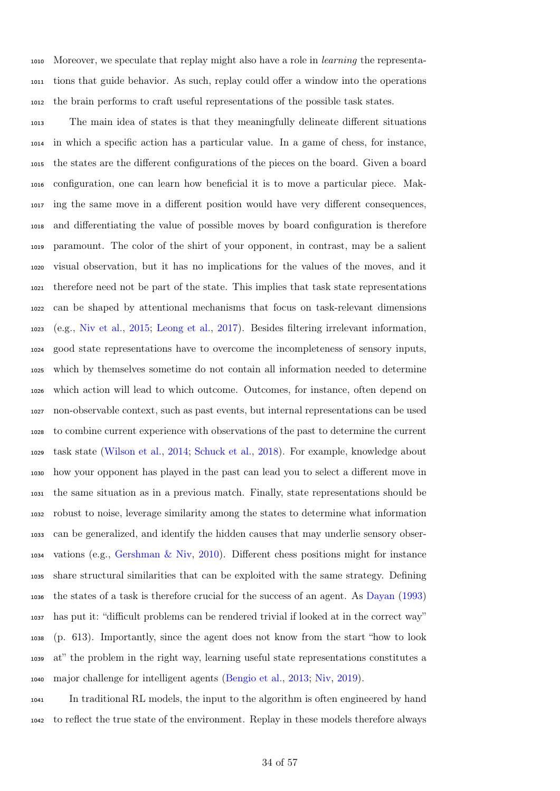Moreover, we speculate that replay might also have a role in learning the representa- tions that guide behavior. As such, replay could offer a window into the operations the brain performs to craft useful representations of the possible task states.

 The main idea of states is that they meaningfully delineate different situations in which a specific action has a particular value. In a game of chess, for instance, the states are the different configurations of the pieces on the board. Given a board configuration, one can learn how beneficial it is to move a particular piece. Mak- ing the same move in a different position would have very different consequences, and differentiating the value of possible moves by board configuration is therefore paramount. The color of the shirt of your opponent, in contrast, may be a salient visual observation, but it has no implications for the values of the moves, and it therefore need not be part of the state. This implies that task state representations can be shaped by attentional mechanisms that focus on task-relevant dimensions (e.g., [Niv et al.,](#page-49-14) [2015;](#page-49-14) [Leong et al.,](#page-47-16) [2017\)](#page-47-16). Besides filtering irrelevant information, good state representations have to overcome the incompleteness of sensory inputs, which by themselves sometime do not contain all information needed to determine which action will lead to which outcome. Outcomes, for instance, often depend on non-observable context, such as past events, but internal representations can be used to combine current experience with observations of the past to determine the current task state [\(Wilson et al.,](#page-56-6) [2014;](#page-56-6) [Schuck et al.,](#page-52-5) [2018\)](#page-52-5). For example, knowledge about how your opponent has played in the past can lead you to select a different move in the same situation as in a previous match. Finally, state representations should be robust to noise, leverage similarity among the states to determine what information can be generalized, and identify the hidden causes that may underlie sensory obser- vations (e.g., [Gershman & Niv,](#page-44-16) [2010\)](#page-44-16). Different chess positions might for instance share structural similarities that can be exploited with the same strategy. Defining the states of a task is therefore crucial for the success of an agent. As [Dayan](#page-42-17) [\(1993\)](#page-42-17) has put it: "difficult problems can be rendered trivial if looked at in the correct way" (p. 613). Importantly, since the agent does not know from the start "how to look at" the problem in the right way, learning useful state representations constitutes a major challenge for intelligent agents [\(Bengio et al.,](#page-40-16) [2013;](#page-40-16) [Niv,](#page-49-15) [2019\)](#page-49-15).

 In traditional [RL](#page-39-4) models, the input to the algorithm is often engineered by hand to reflect the true state of the environment. Replay in these models therefore always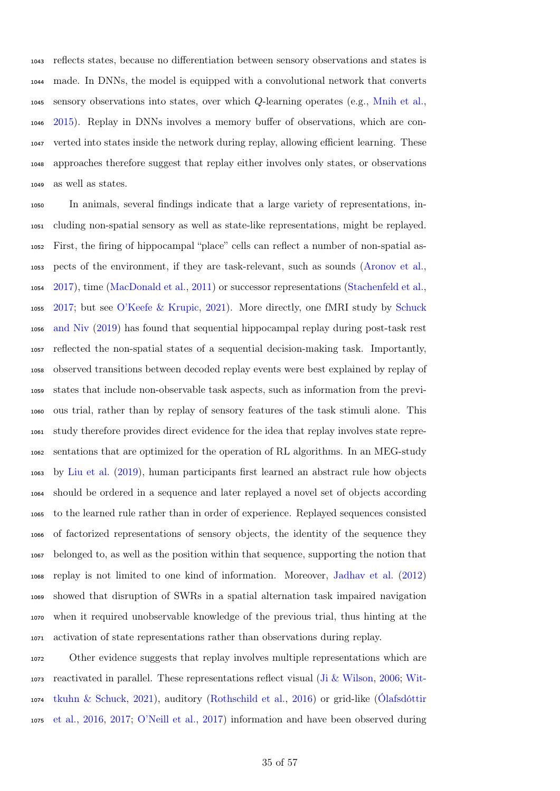reflects states, because no differentiation between sensory observations and states is made. In [DNNs,](#page-39-8) the model is equipped with a convolutional network that converts sensory observations into states, over which Q-learning operates (e.g., [Mnih et al.,](#page-49-6) [2015\)](#page-49-6). Replay in [DNNs](#page-39-8) involves a memory buffer of observations, which are con- verted into states inside the network during replay, allowing efficient learning. These approaches therefore suggest that replay either involves only states, or observations as well as states.

 In animals, several findings indicate that a large variety of representations, in- cluding non-spatial sensory as well as state-like representations, might be replayed. First, the firing of hippocampal "place" cells can reflect a number of non-spatial as- pects of the environment, if they are task-relevant, such as sounds [\(Aronov et al.,](#page-40-2) [2017\)](#page-40-2), time [\(MacDonald et al.,](#page-48-6) [2011\)](#page-48-6) or successor representations [\(Stachenfeld et al.,](#page-53-6) [2017;](#page-53-6) but see [O'Keefe & Krupic,](#page-49-5) [2021\)](#page-49-5). More directly, one [fMRI](#page-39-12) study by [Schuck](#page-52-1) [and Niv](#page-52-1) [\(2019\)](#page-52-1) has found that sequential hippocampal replay during post-task rest reflected the non-spatial states of a sequential decision-making task. Importantly, observed transitions between decoded replay events were best explained by replay of states that include non-observable task aspects, such as information from the previ- ous trial, rather than by replay of sensory features of the task stimuli alone. This study therefore provides direct evidence for the idea that replay involves state repre- sentations that are optimized for the operation of [RL](#page-39-4) algorithms. In an [MEG-](#page-39-11)study by [Liu et al.](#page-48-5) [\(2019\)](#page-48-5), human participants first learned an abstract rule how objects should be ordered in a sequence and later replayed a novel set of objects according to the learned rule rather than in order of experience. Replayed sequences consisted of factorized representations of sensory objects, the identity of the sequence they belonged to, as well as the position within that sequence, supporting the notion that replay is not limited to one kind of information. Moreover, [Jadhav et al.](#page-46-3) [\(2012\)](#page-46-3) showed that disruption of [SWRs](#page-39-0) in a spatial alternation task impaired navigation when it required unobservable knowledge of the previous trial, thus hinting at the activation of state representations rather than observations during replay.

 Other evidence suggests that replay involves multiple representations which are [r](#page-56-3)eactivated in parallel. These representations reflect visual [\(Ji & Wilson,](#page-46-7) [2006;](#page-46-7) [Wit-](#page-56-3) [tkuhn & Schuck,](#page-56-3) [2021\)](#page-56-3), auditory [\(Rothschild et al.,](#page-51-2) [2016\)](#page-51-2) or grid-like [\(Ólafsdóttir](#page-50-5) [et al.,](#page-50-5) [2016,](#page-50-5) [2017;](#page-50-6) [O'Neill et al.,](#page-50-7) [2017\)](#page-50-7) information and have been observed during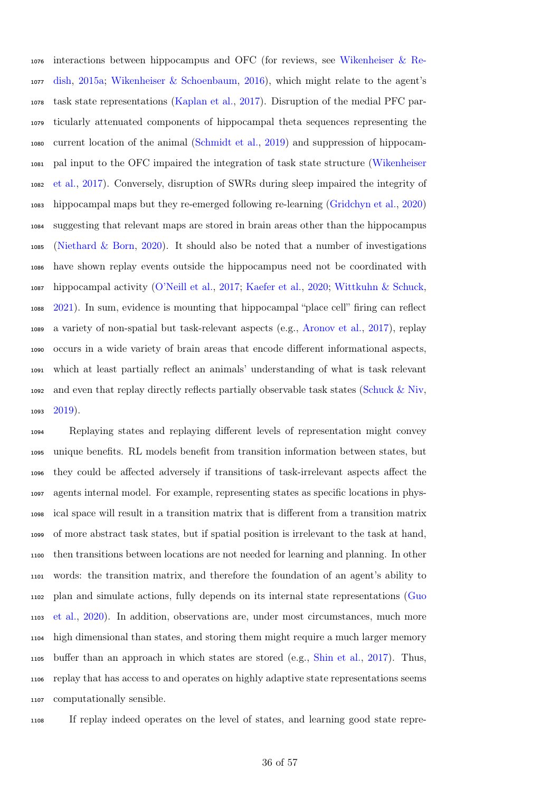[i](#page-55-14)nteractions between hippocampus and [OFC](#page-39-15) (for reviews, see [Wikenheiser & Re-](#page-55-14) [dish,](#page-55-14) [2015a;](#page-55-14) [Wikenheiser & Schoenbaum,](#page-55-15) [2016\)](#page-55-15), which might relate to the agent's task state representations [\(Kaplan et al.,](#page-46-8) [2017\)](#page-46-8). Disruption of the medial [PFC](#page-39-1) par- ticularly attenuated components of hippocampal theta sequences representing the current location of the animal [\(Schmidt et al.,](#page-52-14) [2019\)](#page-52-14) and suppression of hippocam- [p](#page-55-12)al input to the [OFC](#page-39-15) impaired the integration of task state structure [\(Wikenheiser](#page-55-12) [et al.,](#page-55-12) [2017\)](#page-55-12). Conversely, disruption of [SWRs](#page-39-0) during sleep impaired the integrity of hippocampal maps but they re-emerged following re-learning [\(Gridchyn et al.,](#page-45-17) [2020\)](#page-45-17) suggesting that relevant maps are stored in brain areas other than the hippocampus [\(Niethard & Born,](#page-49-16) [2020\)](#page-49-16). It should also be noted that a number of investigations have shown replay events outside the hippocampus need not be coordinated with hippocampal activity [\(O'Neill et al.,](#page-50-7) [2017;](#page-50-7) [Kaefer et al.,](#page-46-6) [2020;](#page-46-6) [Wittkuhn & Schuck,](#page-56-3) [2021\)](#page-56-3). In sum, evidence is mounting that hippocampal "place cell" firing can reflect a variety of non-spatial but task-relevant aspects (e.g., [Aronov et al.,](#page-40-2) [2017\)](#page-40-2), replay occurs in a wide variety of brain areas that encode different informational aspects, which at least partially reflect an animals' understanding of what is task relevant and even that replay directly reflects partially observable task states [\(Schuck & Niv,](#page-52-1)  $2019$ ).

 Replaying states and replaying different levels of representation might convey unique benefits. [RL](#page-39-4) models benefit from transition information between states, but they could be affected adversely if transitions of task-irrelevant aspects affect the agents internal model. For example, representing states as specific locations in phys- ical space will result in a transition matrix that is different from a transition matrix of more abstract task states, but if spatial position is irrelevant to the task at hand, then transitions between locations are not needed for learning and planning. In other words: the transition matrix, and therefore the foundation of an agent's ability to [p](#page-45-18)lan and simulate actions, fully depends on its internal state representations [\(Guo](#page-45-18) [et al.,](#page-45-18) [2020\)](#page-45-18). In addition, observations are, under most circumstances, much more high dimensional than states, and storing them might require a much larger memory buffer than an approach in which states are stored (e.g., [Shin et al.,](#page-52-8) [2017\)](#page-52-8). Thus, replay that has access to and operates on highly adaptive state representations seems computationally sensible.

If replay indeed operates on the level of states, and learning good state repre-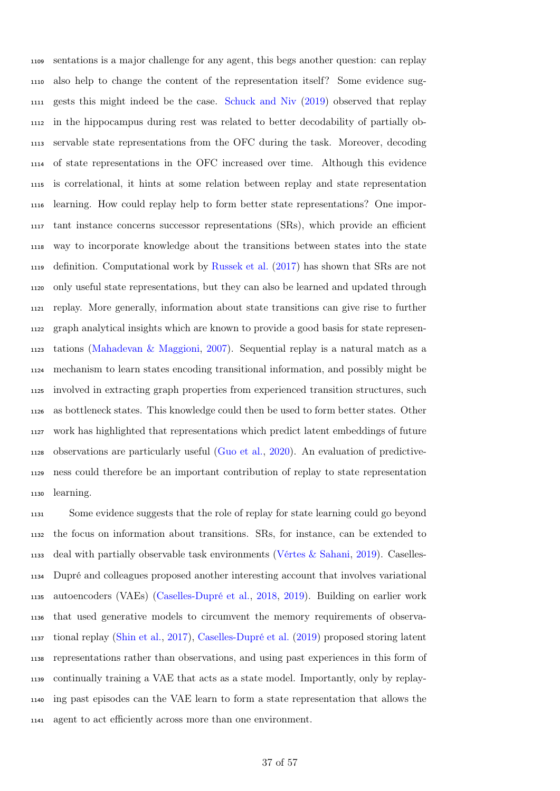sentations is a major challenge for any agent, this begs another question: can replay also help to change the content of the representation itself? Some evidence sug- gests this might indeed be the case. [Schuck and Niv](#page-52-1) [\(2019\)](#page-52-1) observed that replay in the hippocampus during rest was related to better decodability of partially ob- servable state representations from the [OFC](#page-39-15) during the task. Moreover, decoding of state representations in the [OFC](#page-39-15) increased over time. Although this evidence is correlational, it hints at some relation between replay and state representation learning. How could replay help to form better state representations? One impor- tant instance concerns [successor representations](#page-39-16) [\(SRs\)](#page-39-16), which provide an efficient way to incorporate knowledge about the transitions between states into the state definition. Computational work by [Russek et al.](#page-52-6) [\(2017\)](#page-52-6) has shown that [SRs](#page-39-16) are not only useful state representations, but they can also be learned and updated through replay. More generally, information about state transitions can give rise to further graph analytical insights which are known to provide a good basis for state represen- tations [\(Mahadevan & Maggioni,](#page-48-17) [2007\)](#page-48-17). Sequential replay is a natural match as a mechanism to learn states encoding transitional information, and possibly might be involved in extracting graph properties from experienced transition structures, such as bottleneck states. This knowledge could then be used to form better states. Other work has highlighted that representations which predict latent embeddings of future observations are particularly useful [\(Guo et al.,](#page-45-18) [2020\)](#page-45-18). An evaluation of predictive- ness could therefore be an important contribution of replay to state representation learning.

 Some evidence suggests that the role of replay for state learning could go beyond the focus on information about transitions. [SRs,](#page-39-16) for instance, can be extended to deal with partially observable task environments [\(Vértes & Sahani,](#page-55-16) [2019\)](#page-55-16). Caselles- Dupré and colleagues proposed another interesting account that involves variational autoencoders (VAEs) [\(Caselles-Dupré et al.,](#page-42-18) [2018,](#page-42-18) [2019\)](#page-42-10). Building on earlier work that used generative models to circumvent the memory requirements of observa- tional replay [\(Shin et al.,](#page-52-8) [2017\)](#page-52-8), [Caselles-Dupré et al.](#page-42-10) [\(2019\)](#page-42-10) proposed storing latent representations rather than observations, and using past experiences in this form of continually training a [VAE](#page-39-17) that acts as a state model. Importantly, only by replay- ing past episodes can the [VAE](#page-39-17) learn to form a state representation that allows the agent to act efficiently across more than one environment.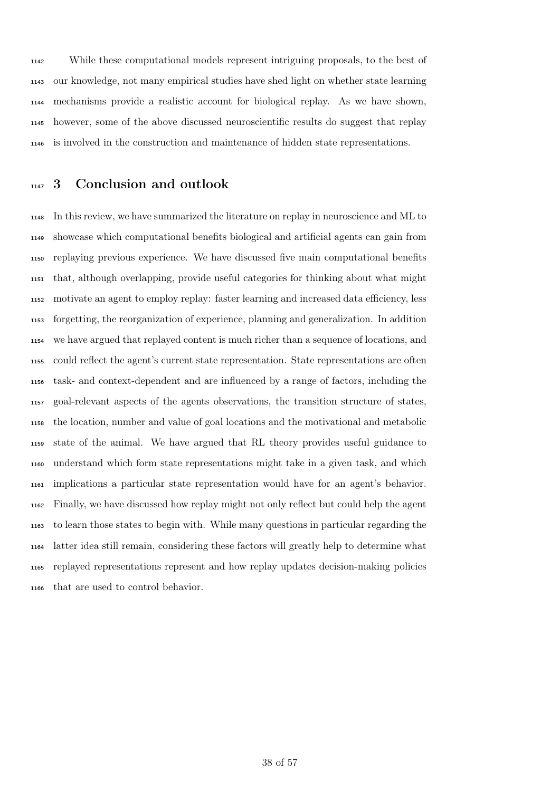While these computational models represent intriguing proposals, to the best of our knowledge, not many empirical studies have shed light on whether state learning mechanisms provide a realistic account for biological replay. As we have shown, however, some of the above discussed neuroscientific results do suggest that replay is involved in the construction and maintenance of hidden state representations.

# <sup>1147</sup> 3 Conclusion and outlook

 In this review, we have summarized the literature on replay in neuroscience and [ML](#page-39-3) to showcase which computational benefits biological and artificial agents can gain from replaying previous experience. We have discussed five main computational benefits that, although overlapping, provide useful categories for thinking about what might motivate an agent to employ replay: faster learning and increased data efficiency, less forgetting, the reorganization of experience, planning and generalization. In addition we have argued that replayed content is much richer than a sequence of locations, and could reflect the agent's current state representation. State representations are often task- and context-dependent and are influenced by a range of factors, including the goal-relevant aspects of the agents observations, the transition structure of states, the location, number and value of goal locations and the motivational and metabolic state of the animal. We have argued that [RL](#page-39-4) theory provides useful guidance to understand which form state representations might take in a given task, and which implications a particular state representation would have for an agent's behavior. Finally, we have discussed how replay might not only reflect but could help the agent to learn those states to begin with. While many questions in particular regarding the latter idea still remain, considering these factors will greatly help to determine what replayed representations represent and how replay updates decision-making policies that are used to control behavior.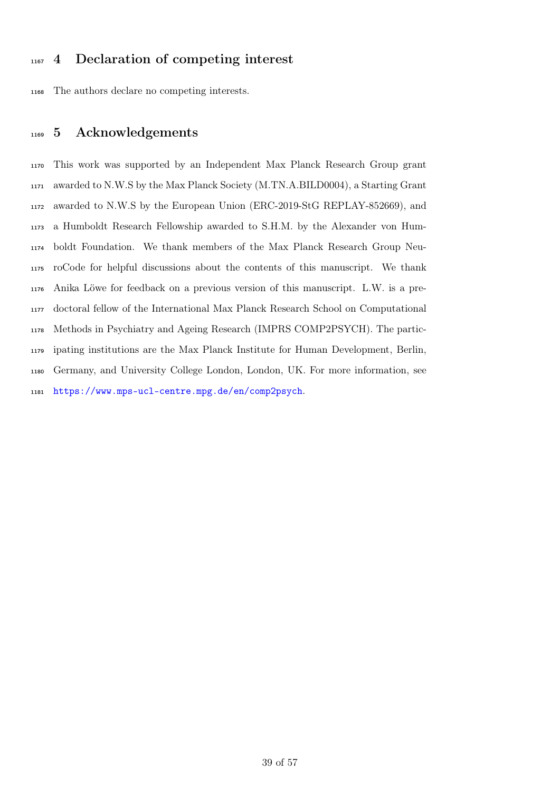# 4 Declaration of competing interest

The authors declare no competing interests.

# 5 Acknowledgements

 This work was supported by an Independent Max Planck Research Group grant awarded to N.W.S by the Max Planck Society (M.TN.A.BILD0004), a Starting Grant awarded to N.W.S by the European Union (ERC-2019-StG REPLAY-852669), and a Humboldt Research Fellowship awarded to S.H.M. by the Alexander von Hum- boldt Foundation. We thank members of the Max Planck Research Group Neu- roCode for helpful discussions about the contents of this manuscript. We thank Anika Löwe for feedback on a previous version of this manuscript. L.W. is a pre- doctoral fellow of the International Max Planck Research School on Computational Methods in Psychiatry and Ageing Research (IMPRS COMP2PSYCH). The partic- ipating institutions are the Max Planck Institute for Human Development, Berlin, Germany, and University College London, London, UK. For more information, see <https://www.mps-ucl-centre.mpg.de/en/comp2psych>.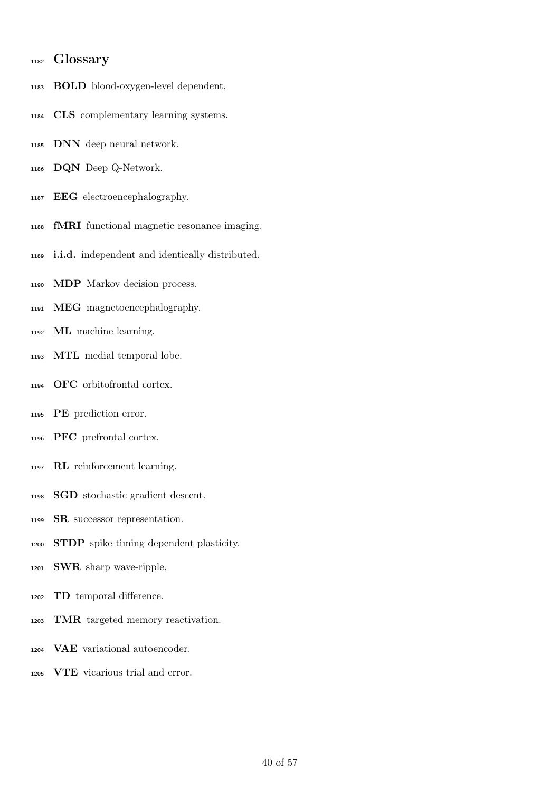## Glossary

- BOLD blood-oxygen-level dependent.
- CLS complementary learning systems.
- <span id="page-39-8"></span>DNN deep neural network.
- DQN Deep Q-Network.
- EEG electroencephalography.
- <span id="page-39-12"></span>fMRI functional magnetic resonance imaging.
- <span id="page-39-9"></span>i.i.d. independent and identically distributed.
- <span id="page-39-5"></span>MDP Markov decision process.
- <span id="page-39-11"></span>MEG magnetoencephalography.
- <span id="page-39-3"></span>ML machine learning.
- <span id="page-39-2"></span>MTL medial temporal lobe.
- <span id="page-39-15"></span>OFC orbitofrontal cortex.
- <span id="page-39-6"></span>PE prediction error.
- <span id="page-39-1"></span>PFC prefrontal cortex.
- <span id="page-39-4"></span>RL reinforcement learning.
- <span id="page-39-10"></span>SGD stochastic gradient descent.
- <span id="page-39-16"></span>SR successor representation.
- STDP spike timing dependent plasticity.
- <span id="page-39-0"></span>SWR sharp wave-ripple.
- <span id="page-39-7"></span>TD temporal difference.
- <span id="page-39-13"></span>TMR targeted memory reactivation.
- <span id="page-39-17"></span>VAE variational autoencoder.
- <span id="page-39-14"></span>VTE vicarious trial and error.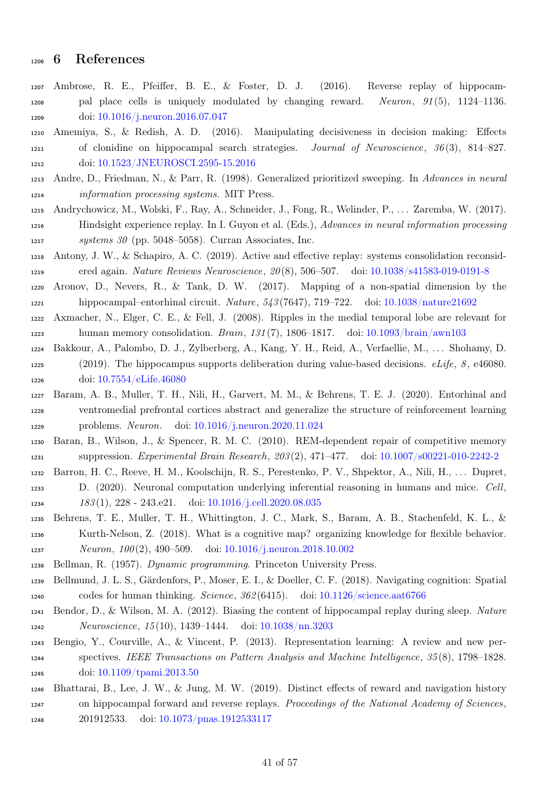# 6 References

- <span id="page-40-6"></span> Ambrose, R. E., Pfeiffer, B. E., & Foster, D. J. (2016). Reverse replay of hippocam- pal place cells is uniquely modulated by changing reward. Neuron,  $91(5)$ ,  $1124-1136$ . doi: [10.1016/j.neuron.2016.07.047](https://doi.org/10.1016/j.neuron.2016.07.047)
- <span id="page-40-12"></span> Amemiya, S., & Redish, A. D. (2016). Manipulating decisiveness in decision making: Effects of clonidine on hippocampal search strategies. Journal of Neuroscience, 36 (3), 814–827. doi: [10.1523/JNEUROSCI.2595-15.2016](https://doi.org/10.1523/JNEUROSCI.2595-15.2016)
- <span id="page-40-8"></span> Andre, D., Friedman, N., & Parr, R. (1998). Generalized prioritized sweeping. In Advances in neural information processing systems. MIT Press.
- <span id="page-40-11"></span> Andrychowicz, M., Wolski, F., Ray, A., Schneider, J., Fong, R., Welinder, P., . . . Zaremba, W. (2017). Hindsight experience replay. In I. Guyon et al. (Eds.), Advances in neural information processing systems 30 (pp. 5048–5058). Curran Associates, Inc.
- <span id="page-40-7"></span> Antony, J. W., & Schapiro, A. C. (2019). Active and effective replay: systems consolidation reconsid-ered again. Nature Reviews Neuroscience, 20 (8), 506–507. doi: [10.1038/s41583-019-0191-8](https://doi.org/10.1038/s41583-019-0191-8)
- <span id="page-40-2"></span> Aronov, D., Nevers, R., & Tank, D. W. (2017). Mapping of a non-spatial dimension by the hippocampal–entorhinal circuit. Nature, 543 (7647), 719–722. doi: [10.1038/nature21692](https://doi.org/10.1038/nature21692)
- <span id="page-40-0"></span> Axmacher, N., Elger, C. E., & Fell, J. (2008). Ripples in the medial temporal lobe are relevant for human memory consolidation. Brain, 131 (7), 1806–1817. doi: [10.1093/brain/awn103](https://doi.org/10.1093/brain/awn103)
- <span id="page-40-13"></span> Bakkour, A., Palombo, D. J., Zylberberg, A., Kang, Y. H., Reid, A., Verfaellie, M., . . . Shohamy, D. 1225 (2019). The hippocampus supports deliberation during value-based decisions. eLife, 8, e46080. doi: [10.7554/eLife.46080](https://doi.org/10.7554/eLife.46080)
- <span id="page-40-14"></span> Baram, A. B., Muller, T. H., Nili, H., Garvert, M. M., & Behrens, T. E. J. (2020). Entorhinal and ventromedial prefrontal cortices abstract and generalize the structure of reinforcement learning problems. Neuron. doi: [10.1016/j.neuron.2020.11.024](https://doi.org/10.1016/j.neuron.2020.11.024)
- <span id="page-40-10"></span> Baran, B., Wilson, J., & Spencer, R. M. C. (2010). REM-dependent repair of competitive memory suppression. Experimental Brain Research, 203 (2), 471–477. doi: [10.1007/s00221-010-2242-2](https://doi.org/10.1007/s00221-010-2242-2)
- <span id="page-40-15"></span>Barron, H. C., Reeve, H. M., Koolschijn, R. S., Perestenko, P. V., Shpektor, A., Nili, H., . . . Dupret,
- D. (2020). Neuronal computation underlying inferential reasoning in humans and mice. Cell, 183 (1), 228 - 243.e21. doi: [10.1016/j.cell.2020.08.035](https://doi.org/10.1016/j.cell.2020.08.035)
- <span id="page-40-3"></span> Behrens, T. E., Muller, T. H., Whittington, J. C., Mark, S., Baram, A. B., Stachenfeld, K. L., & Kurth-Nelson, Z. (2018). What is a cognitive map? organizing knowledge for flexible behavior. Neuron, 100 (2), 490–509. doi: [10.1016/j.neuron.2018.10.002](https://doi.org/10.1016/j.neuron.2018.10.002)
- <span id="page-40-5"></span><span id="page-40-4"></span>Bellman, R. (1957). Dynamic programming. Princeton University Press.
- Bellmund, J. L. S., Gärdenfors, P., Moser, E. I., & Doeller, C. F. (2018). Navigating cognition: Spatial codes for human thinking. Science, 362 (6415). doi: [10.1126/science.aat6766](https://doi.org/10.1126/science.aat6766)
- <span id="page-40-1"></span> Bendor, D., & Wilson, M. A. (2012). Biasing the content of hippocampal replay during sleep. Nature Neuroscience, 15 (10), 1439–1444. doi: [10.1038/nn.3203](https://doi.org/10.1038/nn.3203)
- <span id="page-40-16"></span> Bengio, Y., Courville, A., & Vincent, P. (2013). Representation learning: A review and new per- spectives. IEEE Transactions on Pattern Analysis and Machine Intelligence, 35 (8), 1798–1828. doi: [10.1109/tpami.2013.50](https://doi.org/10.1109/tpami.2013.50)
- <span id="page-40-9"></span> Bhattarai, B., Lee, J. W., & Jung, M. W. (2019). Distinct effects of reward and navigation history on hippocampal forward and reverse replays. Proceedings of the National Academy of Sciences, 201912533. doi: [10.1073/pnas.1912533117](https://doi.org/10.1073/pnas.1912533117)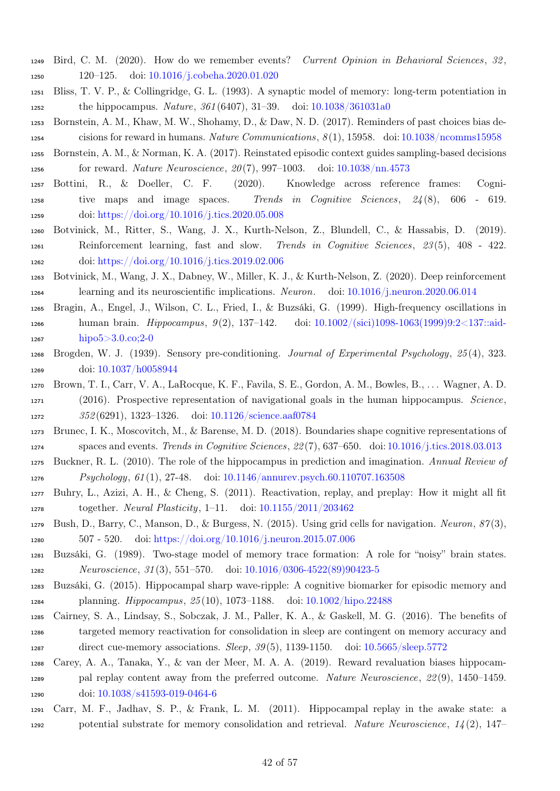- <span id="page-41-12"></span> Bird, C. M. (2020). How do we remember events? Current Opinion in Behavioral Sciences, 32 , 120–125. doi: [10.1016/j.cobeha.2020.01.020](https://doi.org/10.1016/j.cobeha.2020.01.020)
- <span id="page-41-4"></span> Bliss, T. V. P., & Collingridge, G. L. (1993). A synaptic model of memory: long-term potentiation in the hippocampus. Nature, 361 (6407), 31–39. doi: [10.1038/361031a0](https://doi.org/10.1038/361031a0)
- <span id="page-41-10"></span> Bornstein, A. M., Khaw, M. W., Shohamy, D., & Daw, N. D. (2017). Reminders of past choices bias de-cisions for reward in humans. Nature Communications, 8 (1), 15958. doi: [10.1038/ncomms15958](https://doi.org/10.1038/ncomms15958)
- <span id="page-41-9"></span> Bornstein, A. M., & Norman, K. A. (2017). Reinstated episodic context guides sampling-based decisions for reward. Nature Neuroscience, 20 (7), 997–1003. doi: [10.1038/nn.4573](https://doi.org/10.1038/nn.4573)
- <span id="page-41-6"></span> Bottini, R., & Doeller, C. F. (2020). Knowledge across reference frames: Cogni- tive maps and image spaces. Trends in Cognitive Sciences, 24 (8), 606 - 619. doi: [https://doi.org/10.1016/j.tics.2020.05.008](https://doi.org/https://doi.org/10.1016/j.tics.2020.05.008)
- <span id="page-41-8"></span> Botvinick, M., Ritter, S., Wang, J. X., Kurth-Nelson, Z., Blundell, C., & Hassabis, D. (2019). Reinforcement learning, fast and slow. Trends in Cognitive Sciences, 23 (5), 408 - 422. doi: [https://doi.org/10.1016/j.tics.2019.02.006](https://doi.org/https://doi.org/10.1016/j.tics.2019.02.006)
- <span id="page-41-7"></span> Botvinick, M., Wang, J. X., Dabney, W., Miller, K. J., & Kurth-Nelson, Z. (2020). Deep reinforcement learning and its neuroscientific implications. Neuron. doi: [10.1016/j.neuron.2020.06.014](https://doi.org/10.1016/j.neuron.2020.06.014)
- <span id="page-41-3"></span> Bragin, A., Engel, J., Wilson, C. L., Fried, I., & Buzsáki, G. (1999). High-frequency oscillations in human brain. Hippocampus, 9 (2), 137–142. doi: [10.1002/\(sici\)1098-1063\(1999\)9:2<137::aid](https://doi.org/10.1002/(sici)1098-1063(1999)9:2<137::aid-hipo5>3.0.co;2-0)[hipo5>3.0.co;2-0](https://doi.org/10.1002/(sici)1098-1063(1999)9:2<137::aid-hipo5>3.0.co;2-0)
- <span id="page-41-18"></span> Brogden, W. J. (1939). Sensory pre-conditioning. Journal of Experimental Psychology, 25 (4), 323. doi: [10.1037/h0058944](https://doi.org/10.1037/h0058944)
- <span id="page-41-15"></span> Brown, T. I., Carr, V. A., LaRocque, K. F., Favila, S. E., Gordon, A. M., Bowles, B., . . . Wagner, A. D. (2016). Prospective representation of navigational goals in the human hippocampus. Science, 352 (6291), 1323–1326. doi: [10.1126/science.aaf0784](https://doi.org/10.1126/science.aaf0784)
- <span id="page-41-11"></span> Brunec, I. K., Moscovitch, M., & Barense, M. D. (2018). Boundaries shape cognitive representations of spaces and events. Trends in Cognitive Sciences, 22 (7), 637–650. doi: [10.1016/j.tics.2018.03.013](https://doi.org/10.1016/j.tics.2018.03.013)
- <span id="page-41-0"></span> Buckner, R. L. (2010). The role of the hippocampus in prediction and imagination. Annual Review of Psychology, 61 (1), 27-48. doi: [10.1146/annurev.psych.60.110707.163508](https://doi.org/10.1146/annurev.psych.60.110707.163508)
- <span id="page-41-17"></span> Buhry, L., Azizi, A. H., & Cheng, S. (2011). Reactivation, replay, and preplay: How it might all fit together. Neural Plasticity, 1–11. doi: [10.1155/2011/203462](https://doi.org/10.1155/2011/203462)
- <span id="page-41-16"></span> Bush, D., Barry, C., Manson, D., & Burgess, N. (2015). Using grid cells for navigation. Neuron, 87 (3), 507 - 520. doi: [https://doi.org/10.1016/j.neuron.2015.07.006](https://doi.org/https://doi.org/10.1016/j.neuron.2015.07.006)
- <span id="page-41-1"></span> Buzsáki, G. (1989). Two-stage model of memory trace formation: A role for "noisy" brain states. Neuroscience, 31 (3), 551–570. doi: [10.1016/0306-4522\(89\)90423-5](https://doi.org/10.1016/0306-4522(89)90423-5)
- <span id="page-41-2"></span> Buzsáki, G. (2015). Hippocampal sharp wave-ripple: A cognitive biomarker for episodic memory and planning. Hippocampus, 25 (10), 1073–1188. doi: [10.1002/hipo.22488](https://doi.org/10.1002/hipo.22488)
- <span id="page-41-14"></span> Cairney, S. A., Lindsay, S., Sobczak, J. M., Paller, K. A., & Gaskell, M. G. (2016). The benefits of targeted memory reactivation for consolidation in sleep are contingent on memory accuracy and direct cue-memory associations. Sleep, 39 (5), 1139-1150. doi: [10.5665/sleep.5772](https://doi.org/10.5665/sleep.5772)
- <span id="page-41-13"></span>Carey, A. A., Tanaka, Y., & van der Meer, M. A. A. (2019). Reward revaluation biases hippocam-
- pal replay content away from the preferred outcome. Nature Neuroscience, 22 (9), 1450–1459. doi: [10.1038/s41593-019-0464-6](https://doi.org/10.1038/s41593-019-0464-6)
- <span id="page-41-5"></span> Carr, M. F., Jadhav, S. P., & Frank, L. M. (2011). Hippocampal replay in the awake state: a potential substrate for memory consolidation and retrieval. Nature Neuroscience, 14 (2), 147–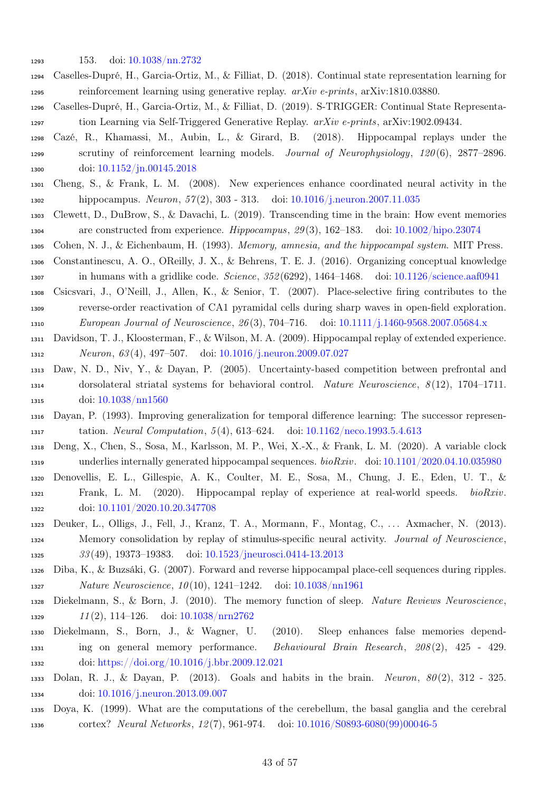- <span id="page-42-18"></span>153. doi: [10.1038/nn.2732](https://doi.org/10.1038/nn.2732)
- Caselles-Dupré, H., Garcia-Ortiz, M., & Filliat, D. (2018). Continual state representation learning for reinforcement learning using generative replay. arXiv e-prints, arXiv:1810.03880.
- <span id="page-42-10"></span> Caselles-Dupré, H., Garcia-Ortiz, M., & Filliat, D. (2019). S-TRIGGER: Continual State Representa-tion Learning via Self-Triggered Generative Replay. arXiv e-prints, arXiv:1902.09434.
- <span id="page-42-9"></span> Cazé, R., Khamassi, M., Aubin, L., & Girard, B. (2018). Hippocampal replays under the scrutiny of reinforcement learning models. Journal of Neurophysiology, 120 (6), 2877–2896. doi: [10.1152/jn.00145.2018](https://doi.org/10.1152/jn.00145.2018)
- <span id="page-42-13"></span> Cheng, S., & Frank, L. M. (2008). New experiences enhance coordinated neural activity in the hippocampus. Neuron, 57 (2), 303 - 313. doi: [10.1016/j.neuron.2007.11.035](https://doi.org/10.1016/j.neuron.2007.11.035)
- <span id="page-42-14"></span> Clewett, D., DuBrow, S., & Davachi, L. (2019). Transcending time in the brain: How event memories are constructed from experience. Hippocampus, 29 (3), 162–183. doi: [10.1002/hipo.23074](https://doi.org/10.1002/hipo.23074)
- <span id="page-42-8"></span><span id="page-42-0"></span>Cohen, N. J., & Eichenbaum, H. (1993). Memory, amnesia, and the hippocampal system. MIT Press.
- Constantinescu, A. O., OReilly, J. X., & Behrens, T. E. J. (2016). Organizing conceptual knowledge in humans with a gridlike code. Science, 352 (6292), 1464–1468. doi: [10.1126/science.aaf0941](https://doi.org/10.1126/science.aaf0941)
- <span id="page-42-3"></span> Csicsvari, J., O'Neill, J., Allen, K., & Senior, T. (2007). Place-selective firing contributes to the reverse-order reactivation of CA1 pyramidal cells during sharp waves in open-field exploration. European Journal of Neuroscience, 26 (3), 704–716. doi: [10.1111/j.1460-9568.2007.05684.x](https://doi.org/10.1111/j.1460-9568.2007.05684.x)
- <span id="page-42-5"></span> Davidson, T. J., Kloosterman, F., & Wilson, M. A. (2009). Hippocampal replay of extended experience. Neuron, 63 (4), 497–507. doi: [10.1016/j.neuron.2009.07.027](https://doi.org/10.1016/j.neuron.2009.07.027)
- <span id="page-42-12"></span> Daw, N. D., Niv, Y., & Dayan, P. (2005). Uncertainty-based competition between prefrontal and 1314 dorsolateral striatal systems for behavioral control. Nature Neuroscience, 8(12), 1704–1711. doi: [10.1038/nn1560](https://doi.org/10.1038/nn1560)
- <span id="page-42-17"></span> Dayan, P. (1993). Improving generalization for temporal difference learning: The successor represen-tation. Neural Computation, 5 (4), 613–624. doi: [10.1162/neco.1993.5.4.613](https://doi.org/10.1162/neco.1993.5.4.613)
- <span id="page-42-6"></span> Deng, X., Chen, S., Sosa, M., Karlsson, M. P., Wei, X.-X., & Frank, L. M. (2020). A variable clock underlies internally generated hippocampal sequences. bioRxiv. doi: [10.1101/2020.04.10.035980](https://doi.org/10.1101/2020.04.10.035980)
- <span id="page-42-7"></span> Denovellis, E. L., Gillespie, A. K., Coulter, M. E., Sosa, M., Chung, J. E., Eden, U. T., & Frank, L. M. (2020). Hippocampal replay of experience at real-world speeds. bioRxiv. doi: [10.1101/2020.10.20.347708](https://doi.org/10.1101/2020.10.20.347708)
- <span id="page-42-1"></span> Deuker, L., Olligs, J., Fell, J., Kranz, T. A., Mormann, F., Montag, C., . . . Axmacher, N. (2013). Memory consolidation by replay of stimulus-specific neural activity. Journal of Neuroscience, 33 (49), 19373–19383. doi: [10.1523/jneurosci.0414-13.2013](https://doi.org/10.1523/jneurosci.0414-13.2013)
- <span id="page-42-4"></span> Diba, K., & Buzsáki, G. (2007). Forward and reverse hippocampal place-cell sequences during ripples. Nature Neuroscience, 10 (10), 1241–1242. doi: [10.1038/nn1961](https://doi.org/10.1038/nn1961)
- <span id="page-42-2"></span> Diekelmann, S., & Born, J. (2010). The memory function of sleep. Nature Reviews Neuroscience, 1329  $11(2)$ , 114–126. doi:  $10.1038/n \text{rn} 2762$
- <span id="page-42-15"></span> Diekelmann, S., Born, J., & Wagner, U. (2010). Sleep enhances false memories depend- ing on general memory performance. Behavioural Brain Research, 208 (2), 425 - 429. doi: [https://doi.org/10.1016/j.bbr.2009.12.021](https://doi.org/https://doi.org/10.1016/j.bbr.2009.12.021)
- <span id="page-42-16"></span> Dolan, R. J., & Dayan, P. (2013). Goals and habits in the brain. Neuron, 80 (2), 312 - 325. doi: [10.1016/j.neuron.2013.09.007](https://doi.org/10.1016/j.neuron.2013.09.007)
- <span id="page-42-11"></span> Doya, K. (1999). What are the computations of the cerebellum, the basal ganglia and the cerebral cortex? Neural Networks, 12 (7), 961-974. doi: [10.1016/S0893-6080\(99\)00046-5](https://doi.org/10.1016/S0893-6080(99)00046-5)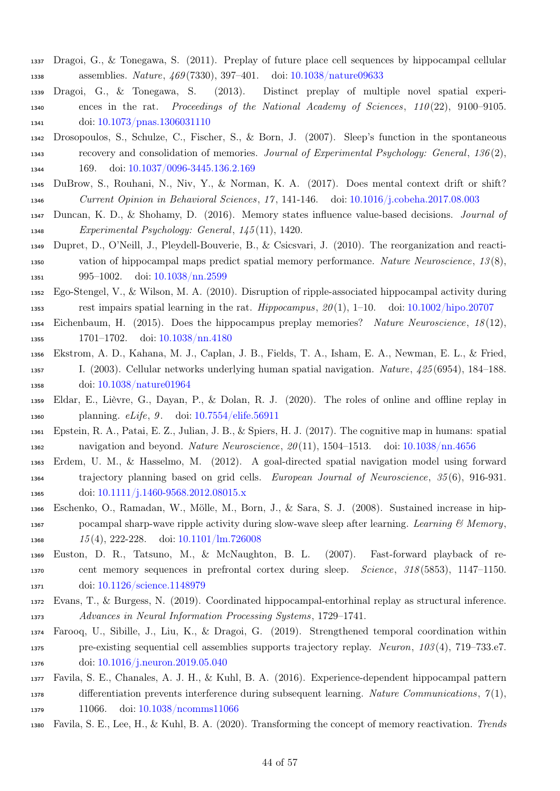- <span id="page-43-13"></span> Dragoi, G., & Tonegawa, S. (2011). Preplay of future place cell sequences by hippocampal cellular assemblies. Nature, 469 (7330), 397–401. doi: [10.1038/nature09633](https://doi.org/10.1038/nature09633)
- <span id="page-43-14"></span> Dragoi, G., & Tonegawa, S. (2013). Distinct preplay of multiple novel spatial experi- ences in the rat. Proceedings of the National Academy of Sciences, 110 (22), 9100–9105. 1341 doi: [10.1073/pnas.1306031110](https://doi.org/10.1073/pnas.1306031110)
- <span id="page-43-8"></span> Drosopoulos, S., Schulze, C., Fischer, S., & Born, J. (2007). Sleep's function in the spontaneous recovery and consolidation of memories. Journal of Experimental Psychology: General, 136 (2), 1344 169. doi: [10.1037/0096-3445.136.2.169](https://doi.org/10.1037/0096-3445.136.2.169)
- <span id="page-43-6"></span> DuBrow, S., Rouhani, N., Niv, Y., & Norman, K. A. (2017). Does mental context drift or shift? Current Opinion in Behavioral Sciences, 17 , 141-146. doi: [10.1016/j.cobeha.2017.08.003](https://doi.org/10.1016/j.cobeha.2017.08.003)
- <span id="page-43-5"></span> Duncan, K. D., & Shohamy, D. (2016). Memory states influence value-based decisions. Journal of Experimental Psychology: General, 145 (11), 1420.
- <span id="page-43-11"></span> Dupret, D., O'Neill, J., Pleydell-Bouverie, B., & Csicsvari, J. (2010). The reorganization and reacti- vation of hippocampal maps predict spatial memory performance. Nature Neuroscience, 13 (8), 995–1002. doi: [10.1038/nn.2599](https://doi.org/10.1038/nn.2599)
- <span id="page-43-1"></span> Ego-Stengel, V., & Wilson, M. A. (2010). Disruption of ripple-associated hippocampal activity during 1353 rest impairs spatial learning in the rat. Hippocampus,  $20(1)$ , 1–10. doi: [10.1002/hipo.20707](https://doi.org/10.1002/hipo.20707)
- <span id="page-43-15"></span> Eichenbaum, H. (2015). Does the hippocampus preplay memories? Nature Neuroscience, 18 (12), 1701–1702. doi: [10.1038/nn.4180](https://doi.org/10.1038/nn.4180)
- <span id="page-43-0"></span> Ekstrom, A. D., Kahana, M. J., Caplan, J. B., Fields, T. A., Isham, E. A., Newman, E. L., & Fried, I. (2003). Cellular networks underlying human spatial navigation. Nature, 425 (6954), 184–188. doi: [10.1038/nature01964](https://doi.org/10.1038/nature01964)
- <span id="page-43-10"></span> Eldar, E., Lièvre, G., Dayan, P., & Dolan, R. J. (2020). The roles of online and offline replay in planning. eLife, 9 . doi: [10.7554/elife.56911](https://doi.org/10.7554/elife.56911)
- <span id="page-43-3"></span> Epstein, R. A., Patai, E. Z., Julian, J. B., & Spiers, H. J. (2017). The cognitive map in humans: spatial navigation and beyond. Nature Neuroscience, 20 (11), 1504–1513. doi: [10.1038/nn.4656](https://doi.org/10.1038/nn.4656)
- <span id="page-43-12"></span> Erdem, U. M., & Hasselmo, M. (2012). A goal-directed spatial navigation model using forward trajectory planning based on grid cells. European Journal of Neuroscience, 35 (6), 916-931. 1365 doi: [10.1111/j.1460-9568.2012.08015.x](https://doi.org/10.1111/j.1460-9568.2012.08015.x)
- <span id="page-43-4"></span> Eschenko, O., Ramadan, W., Mölle, M., Born, J., & Sara, S. J. (2008). Sustained increase in hip-1367 pocampal sharp-wave ripple activity during slow-wave sleep after learning. Learning  $\mathcal B$  Memory, 1368 15(4), 222-228. doi: [10.1101/lm.726008](https://doi.org/10.1101/lm.726008)
- <span id="page-43-2"></span> Euston, D. R., Tatsuno, M., & McNaughton, B. L. (2007). Fast-forward playback of re-1370 cent memory sequences in prefrontal cortex during sleep. Science, 318(5853), 1147–1150. doi: [10.1126/science.1148979](https://doi.org/10.1126/science.1148979)
- <span id="page-43-17"></span> Evans, T., & Burgess, N. (2019). Coordinated hippocampal-entorhinal replay as structural inference. Advances in Neural Information Processing Systems , 1729–1741.
- <span id="page-43-16"></span> Farooq, U., Sibille, J., Liu, K., & Dragoi, G. (2019). Strengthened temporal coordination within pre-existing sequential cell assemblies supports trajectory replay. Neuron, 103 (4), 719–733.e7. doi: [10.1016/j.neuron.2019.05.040](https://doi.org/10.1016/j.neuron.2019.05.040)
- <span id="page-43-9"></span> Favila, S. E., Chanales, A. J. H., & Kuhl, B. A. (2016). Experience-dependent hippocampal pattern 1378 differentiation prevents interference during subsequent learning. Nature Communications,  $\gamma(1)$ , 1379 11066. doi: [10.1038/ncomms11066](https://doi.org/10.1038/ncomms11066)
- <span id="page-43-7"></span>Favila, S. E., Lee, H., & Kuhl, B. A. (2020). Transforming the concept of memory reactivation. Trends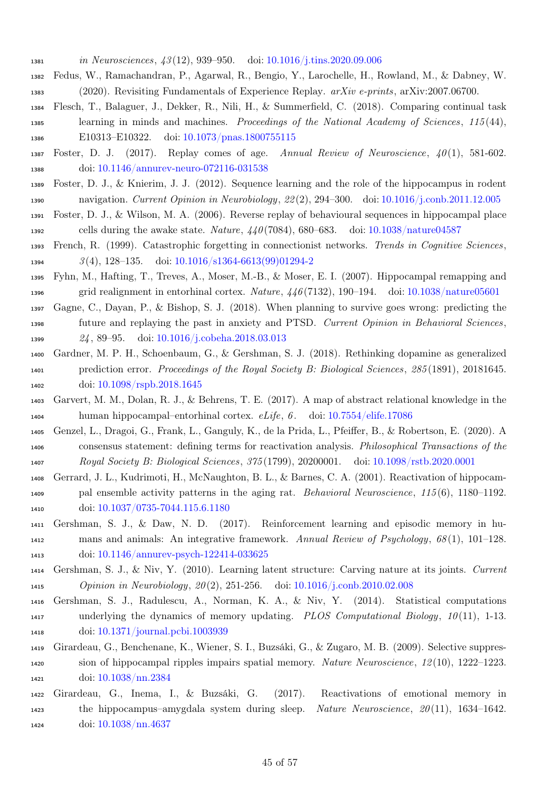- in Neurosciences, 43 (12), 939–950. doi: [10.1016/j.tins.2020.09.006](https://doi.org/10.1016/j.tins.2020.09.006)
- <span id="page-44-8"></span> Fedus, W., Ramachandran, P., Agarwal, R., Bengio, Y., Larochelle, H., Rowland, M., & Dabney, W. (2020). Revisiting Fundamentals of Experience Replay. arXiv e-prints, arXiv:2007.06700.
- <span id="page-44-11"></span> Flesch, T., Balaguer, J., Dekker, R., Nili, H., & Summerfield, C. (2018). Comparing continual task learning in minds and machines. Proceedings of the National Academy of Sciences, 115 (44), E10313–E10322. doi: [10.1073/pnas.1800755115](https://doi.org/10.1073/pnas.1800755115)
- <span id="page-44-1"></span>1387 Foster, D. J. (2017). Replay comes of age. Annual Review of Neuroscience,  $40(1)$ , 581-602. doi: [10.1146/annurev-neuro-072116-031538](https://doi.org/10.1146/annurev-neuro-072116-031538)
- <span id="page-44-6"></span> Foster, D. J., & Knierim, J. J. (2012). Sequence learning and the role of the hippocampus in rodent navigation. Current Opinion in Neurobiology, 22 (2), 294–300. doi: [10.1016/j.conb.2011.12.005](https://doi.org/10.1016/j.conb.2011.12.005)
- <span id="page-44-3"></span>Foster, D. J., & Wilson, M. A. (2006). Reverse replay of behavioural sequences in hippocampal place
- 1392 cells during the awake state. Nature,  $440(7084)$ , 680–683. doi: [10.1038/nature04587](https://doi.org/10.1038/nature04587)
- <span id="page-44-10"></span> French, R. (1999). Catastrophic forgetting in connectionist networks. Trends in Cognitive Sciences, 3 (4), 128–135. doi: [10.1016/s1364-6613\(99\)01294-2](https://doi.org/10.1016/s1364-6613(99)01294-2)
- <span id="page-44-4"></span> Fyhn, M., Hafting, T., Treves, A., Moser, M.-B., & Moser, E. I. (2007). Hippocampal remapping and grid realignment in entorhinal cortex. Nature, 446 (7132), 190–194. doi: [10.1038/nature05601](https://doi.org/10.1038/nature05601)
- <span id="page-44-13"></span> Gagne, C., Dayan, P., & Bishop, S. J. (2018). When planning to survive goes wrong: predicting the future and replaying the past in anxiety and PTSD. Current Opinion in Behavioral Sciences, 24 , 89–95. doi: [10.1016/j.cobeha.2018.03.013](https://doi.org/10.1016/j.cobeha.2018.03.013)
- <span id="page-44-12"></span> Gardner, M. P. H., Schoenbaum, G., & Gershman, S. J. (2018). Rethinking dopamine as generalized prediction error. Proceedings of the Royal Society B: Biological Sciences , 285 (1891), 20181645. doi: [10.1098/rspb.2018.1645](https://doi.org/10.1098/rspb.2018.1645)
- <span id="page-44-15"></span> Garvert, M. M., Dolan, R. J., & Behrens, T. E. (2017). A map of abstract relational knowledge in the human hippocampal–entorhinal cortex. eLife, 6 . doi: [10.7554/elife.17086](https://doi.org/10.7554/elife.17086)
- <span id="page-44-5"></span> Genzel, L., Dragoi, G., Frank, L., Ganguly, K., de la Prida, L., Pfeiffer, B., & Robertson, E. (2020). A consensus statement: defining terms for reactivation analysis. Philosophical Transactions of the Royal Society B: Biological Sciences, 375 (1799), 20200001. doi: [10.1098/rstb.2020.0001](https://doi.org/10.1098/rstb.2020.0001)
- <span id="page-44-0"></span> Gerrard, J. L., Kudrimoti, H., McNaughton, B. L., & Barnes, C. A. (2001). Reactivation of hippocam- pal ensemble activity patterns in the aging rat. Behavioral Neuroscience, 115 (6), 1180–1192. doi: [10.1037/0735-7044.115.6.1180](https://doi.org/10.1037/0735-7044.115.6.1180)
- <span id="page-44-7"></span> Gershman, S. J., & Daw, N. D. (2017). Reinforcement learning and episodic memory in hu- mans and animals: An integrative framework. Annual Review of Psychology, 68 (1), 101–128. doi: [10.1146/annurev-psych-122414-033625](https://doi.org/10.1146/annurev-psych-122414-033625)
- <span id="page-44-16"></span> Gershman, S. J., & Niv, Y. (2010). Learning latent structure: Carving nature at its joints. Current Opinion in Neurobiology, 20 (2), 251-256. doi: [10.1016/j.conb.2010.02.008](https://doi.org/10.1016/j.conb.2010.02.008)
- <span id="page-44-9"></span> Gershman, S. J., Radulescu, A., Norman, K. A., & Niv, Y. (2014). Statistical computations underlying the dynamics of memory updating. PLOS Computational Biology, 10 (11), 1-13. doi: [10.1371/journal.pcbi.1003939](https://doi.org/10.1371/journal.pcbi.1003939)
- <span id="page-44-2"></span> Girardeau, G., Benchenane, K., Wiener, S. I., Buzsáki, G., & Zugaro, M. B. (2009). Selective suppres- sion of hippocampal ripples impairs spatial memory. Nature Neuroscience, 12 (10), 1222–1223. doi: [10.1038/nn.2384](https://doi.org/10.1038/nn.2384)
- <span id="page-44-14"></span> Girardeau, G., Inema, I., & Buzsáki, G. (2017). Reactivations of emotional memory in the hippocampus–amygdala system during sleep. Nature Neuroscience, 20 (11), 1634–1642. doi: [10.1038/nn.4637](https://doi.org/10.1038/nn.4637)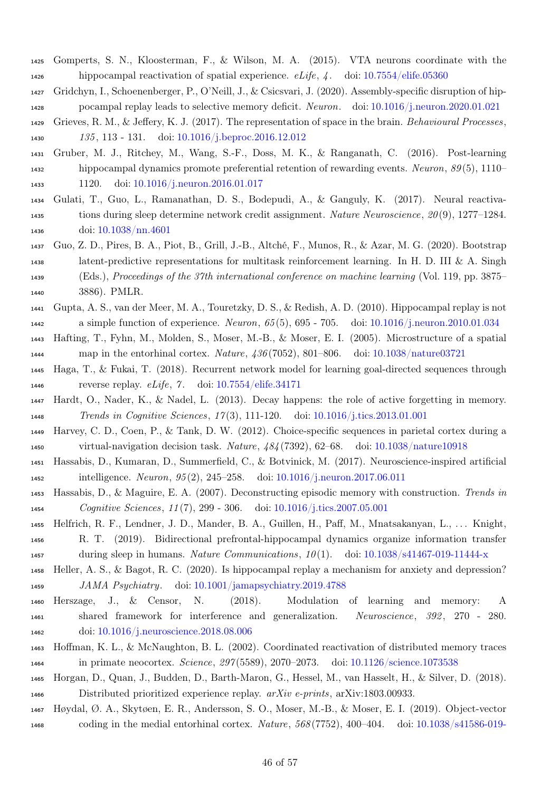- <span id="page-45-5"></span> Gomperts, S. N., Kloosterman, F., & Wilson, M. A. (2015). VTA neurons coordinate with the hippocampal reactivation of spatial experience. eLife, 4 . doi: [10.7554/elife.05360](https://doi.org/10.7554/elife.05360)
- <span id="page-45-17"></span> Gridchyn, I., Schoenenberger, P., O'Neill, J., & Csicsvari, J. (2020). Assembly-specific disruption of hip-pocampal replay leads to selective memory deficit. Neuron. doi: [10.1016/j.neuron.2020.01.021](https://doi.org/10.1016/j.neuron.2020.01.021)
- <span id="page-45-7"></span> Grieves, R. M., & Jeffery, K. J. (2017). The representation of space in the brain. Behavioural Processes, 135 , 113 - 131. doi: [10.1016/j.beproc.2016.12.012](https://doi.org/10.1016/j.beproc.2016.12.012)
- <span id="page-45-1"></span> Gruber, M. J., Ritchey, M., Wang, S.-F., Doss, M. K., & Ranganath, C. (2016). Post-learning hippocampal dynamics promote preferential retention of rewarding events. Neuron, 89 (5), 1110– 1120. doi: [10.1016/j.neuron.2016.01.017](https://doi.org/10.1016/j.neuron.2016.01.017)
- <span id="page-45-4"></span> Gulati, T., Guo, L., Ramanathan, D. S., Bodepudi, A., & Ganguly, K. (2017). Neural reactiva- tions during sleep determine network credit assignment. Nature Neuroscience, 20 (9), 1277–1284. doi: [10.1038/nn.4601](https://doi.org/10.1038/nn.4601)
- <span id="page-45-18"></span> Guo, Z. D., Pires, B. A., Piot, B., Grill, J.-B., Altché, F., Munos, R., & Azar, M. G. (2020). Bootstrap latent-predictive representations for multitask reinforcement learning. In H. D. III & A. Singh (Eds.), Proceedings of the 37th international conference on machine learning (Vol. 119, pp. 3875– 3886). PMLR.
- <span id="page-45-6"></span> Gupta, A. S., van der Meer, M. A., Touretzky, D. S., & Redish, A. D. (2010). Hippocampal replay is not a simple function of experience. Neuron, 65 (5), 695 - 705. doi: [10.1016/j.neuron.2010.01.034](https://doi.org/10.1016/j.neuron.2010.01.034)
- <span id="page-45-8"></span> Hafting, T., Fyhn, M., Molden, S., Moser, M.-B., & Moser, E. I. (2005). Microstructure of a spatial map in the entorhinal cortex. Nature, 436 (7052), 801–806. doi: [10.1038/nature03721](https://doi.org/10.1038/nature03721)
- <span id="page-45-11"></span> Haga, T., & Fukai, T. (2018). Recurrent network model for learning goal-directed sequences through reverse replay. eLife, 7 . doi: [10.7554/elife.34171](https://doi.org/10.7554/elife.34171)
- <span id="page-45-12"></span> Hardt, O., Nader, K., & Nadel, L. (2013). Decay happens: the role of active forgetting in memory. Trends in Cognitive Sciences, 17 (3), 111-120. doi: [10.1016/j.tics.2013.01.001](https://doi.org/10.1016/j.tics.2013.01.001)
- <span id="page-45-3"></span> Harvey, C. D., Coen, P., & Tank, D. W. (2012). Choice-specific sequences in parietal cortex during a virtual-navigation decision task. Nature, 484 (7392), 62–68. doi: [10.1038/nature10918](https://doi.org/10.1038/nature10918)
- <span id="page-45-10"></span> Hassabis, D., Kumaran, D., Summerfield, C., & Botvinick, M. (2017). Neuroscience-inspired artificial intelligence. Neuron, 95 (2), 245–258. doi: [10.1016/j.neuron.2017.06.011](https://doi.org/10.1016/j.neuron.2017.06.011)
- <span id="page-45-13"></span> Hassabis, D., & Maguire, E. A. (2007). Deconstructing episodic memory with construction. Trends in Cognitive Sciences, 11 (7), 299 - 306. doi: [10.1016/j.tics.2007.05.001](https://doi.org/10.1016/j.tics.2007.05.001)
- <span id="page-45-0"></span> Helfrich, R. F., Lendner, J. D., Mander, B. A., Guillen, H., Paff, M., Mnatsakanyan, L., . . . Knight, R. T. (2019). Bidirectional prefrontal-hippocampal dynamics organize information transfer 1457 during sleep in humans. Nature Communications,  $10(1)$ . doi: [10.1038/s41467-019-11444-x](https://doi.org/10.1038/s41467-019-11444-x)
- <span id="page-45-15"></span> Heller, A. S., & Bagot, R. C. (2020). Is hippocampal replay a mechanism for anxiety and depression? JAMA Psychiatry. doi: [10.1001/jamapsychiatry.2019.4788](https://doi.org/10.1001/jamapsychiatry.2019.4788)
- <span id="page-45-16"></span> Herszage, J., & Censor, N. (2018). Modulation of learning and memory: A shared framework for interference and generalization. Neuroscience, 392 , 270 - 280. doi: [10.1016/j.neuroscience.2018.08.006](https://doi.org/10.1016/j.neuroscience.2018.08.006)
- <span id="page-45-2"></span> Hoffman, K. L., & McNaughton, B. L. (2002). Coordinated reactivation of distributed memory traces in primate neocortex. Science, 297 (5589), 2070–2073. doi: [10.1126/science.1073538](https://doi.org/10.1126/science.1073538)
- <span id="page-45-14"></span> Horgan, D., Quan, J., Budden, D., Barth-Maron, G., Hessel, M., van Hasselt, H., & Silver, D. (2018). Distributed prioritized experience replay. arXiv e-prints, arXiv:1803.00933.
- <span id="page-45-9"></span> Høydal, Ø. A., Skytøen, E. R., Andersson, S. O., Moser, M.-B., & Moser, E. I. (2019). Object-vector coding in the medial entorhinal cortex. Nature, 568 (7752), 400–404. doi: [10.1038/s41586-019-](https://doi.org/10.1038/s41586-019-1077-7)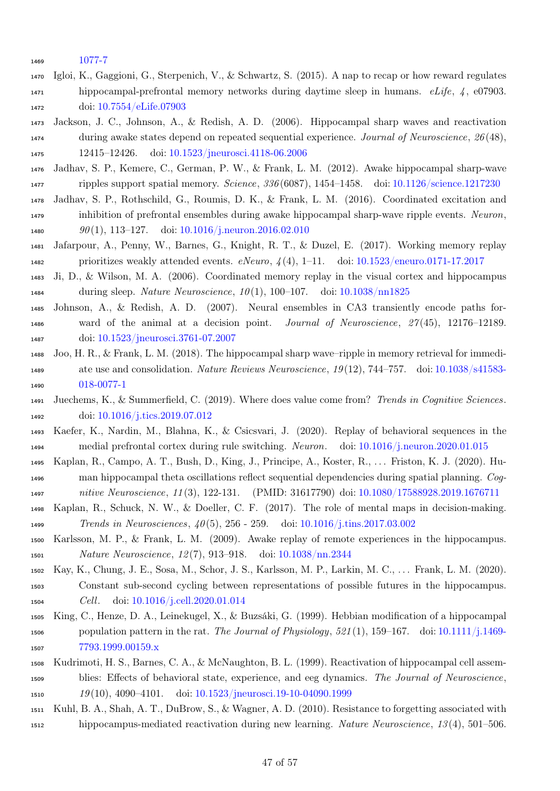<span id="page-46-14"></span>[1077-7](https://doi.org/10.1038/s41586-019-1077-7)

- Igloi, K., Gaggioni, G., Sterpenich, V., & Schwartz, S. (2015). A nap to recap or how reward regulates hippocampal-prefrontal memory networks during daytime sleep in humans.  $eLife, \, 4, \, 07903$ . doi: [10.7554/eLife.07903](https://doi.org/10.7554/eLife.07903)
- <span id="page-46-10"></span> Jackson, J. C., Johnson, A., & Redish, A. D. (2006). Hippocampal sharp waves and reactivation during awake states depend on repeated sequential experience. Journal of Neuroscience, 26 (48), 12415–12426. doi: [10.1523/jneurosci.4118-06.2006](https://doi.org/10.1523/jneurosci.4118-06.2006)
- <span id="page-46-3"></span> Jadhav, S. P., Kemere, C., German, P. W., & Frank, L. M. (2012). Awake hippocampal sharp-wave ripples support spatial memory. Science, 336 (6087), 1454–1458. doi: [10.1126/science.1217230](https://doi.org/10.1126/science.1217230)
- <span id="page-46-5"></span> Jadhav, S. P., Rothschild, G., Roumis, D. K., & Frank, L. M. (2016). Coordinated excitation and inhibition of prefrontal ensembles during awake hippocampal sharp-wave ripple events. Neuron, 1480 90(1), 113-127. doi: [10.1016/j.neuron.2016.02.010](https://doi.org/10.1016/j.neuron.2016.02.010)
- <span id="page-46-13"></span> Jafarpour, A., Penny, W., Barnes, G., Knight, R. T., & Duzel, E. (2017). Working memory replay 1482 prioritizes weakly attended events.  $eNeuro$ ,  $\lambda(4)$ , 1–11. doi: [10.1523/eneuro.0171-17.2017](https://doi.org/10.1523/eneuro.0171-17.2017)
- <span id="page-46-7"></span> Ji, D., & Wilson, M. A. (2006). Coordinated memory replay in the visual cortex and hippocampus 1484 during sleep. Nature Neuroscience,  $10(1)$ , 100–107. doi: [10.1038/nn1825](https://doi.org/10.1038/nn1825)
- <span id="page-46-11"></span> Johnson, A., & Redish, A. D. (2007). Neural ensembles in CA3 transiently encode paths for- ward of the animal at a decision point. Journal of Neuroscience, 27 (45), 12176–12189. doi: [10.1523/jneurosci.3761-07.2007](https://doi.org/10.1523/jneurosci.3761-07.2007)
- <span id="page-46-1"></span> Joo, H. R., & Frank, L. M. (2018). The hippocampal sharp wave–ripple in memory retrieval for immedi- ate use and consolidation. Nature Reviews Neuroscience, 19 (12), 744–757. doi: [10.1038/s41583-](https://doi.org/10.1038/s41583-018-0077-1) [018-0077-1](https://doi.org/10.1038/s41583-018-0077-1)
- <span id="page-46-9"></span> Juechems, K., & Summerfield, C. (2019). Where does value come from? Trends in Cognitive Sciences. doi: [10.1016/j.tics.2019.07.012](https://doi.org/10.1016/j.tics.2019.07.012)
- <span id="page-46-6"></span> Kaefer, K., Nardin, M., Blahna, K., & Csicsvari, J. (2020). Replay of behavioral sequences in the medial prefrontal cortex during rule switching. Neuron. doi: [10.1016/j.neuron.2020.01.015](https://doi.org/10.1016/j.neuron.2020.01.015)
- <span id="page-46-16"></span> Kaplan, R., Campo, A. T., Bush, D., King, J., Principe, A., Koster, R., . . . Friston, K. J. (2020). Hu- man hippocampal theta oscillations reflect sequential dependencies during spatial planning. Cog-nitive Neuroscience, 11 (3), 122-131. (PMID: 31617790) doi: [10.1080/17588928.2019.1676711](https://doi.org/10.1080/17588928.2019.1676711)
- <span id="page-46-8"></span> Kaplan, R., Schuck, N. W., & Doeller, C. F. (2017). The role of mental maps in decision-making. Trends in Neurosciences, 40 (5), 256 - 259. doi: [10.1016/j.tins.2017.03.002](https://doi.org/10.1016/j.tins.2017.03.002)
- <span id="page-46-4"></span> Karlsson, M. P., & Frank, L. M. (2009). Awake replay of remote experiences in the hippocampus. Nature Neuroscience, 12 (7), 913–918. doi: [10.1038/nn.2344](https://doi.org/10.1038/nn.2344)
- <span id="page-46-15"></span> Kay, K., Chung, J. E., Sosa, M., Schor, J. S., Karlsson, M. P., Larkin, M. C., . . . Frank, L. M. (2020). Constant sub-second cycling between representations of possible futures in the hippocampus. Cell. doi: [10.1016/j.cell.2020.01.014](https://doi.org/10.1016/j.cell.2020.01.014)
- <span id="page-46-2"></span> King, C., Henze, D. A., Leinekugel, X., & Buzsáki, G. (1999). Hebbian modification of a hippocampal 1506 population pattern in the rat. The Journal of Physiology,  $521(1)$ , 159–167. doi: [10.1111/j.1469-](https://doi.org/10.1111/j.1469-7793.1999.00159.x) [7793.1999.00159.x](https://doi.org/10.1111/j.1469-7793.1999.00159.x)
- <span id="page-46-0"></span> Kudrimoti, H. S., Barnes, C. A., & McNaughton, B. L. (1999). Reactivation of hippocampal cell assem- blies: Effects of behavioral state, experience, and eeg dynamics. The Journal of Neuroscience, 19 (10), 4090–4101. doi: [10.1523/jneurosci.19-10-04090.1999](https://doi.org/10.1523/jneurosci.19-10-04090.1999)
- <span id="page-46-12"></span> Kuhl, B. A., Shah, A. T., DuBrow, S., & Wagner, A. D. (2010). Resistance to forgetting associated with hippocampus-mediated reactivation during new learning. Nature Neuroscience, 13 (4), 501–506.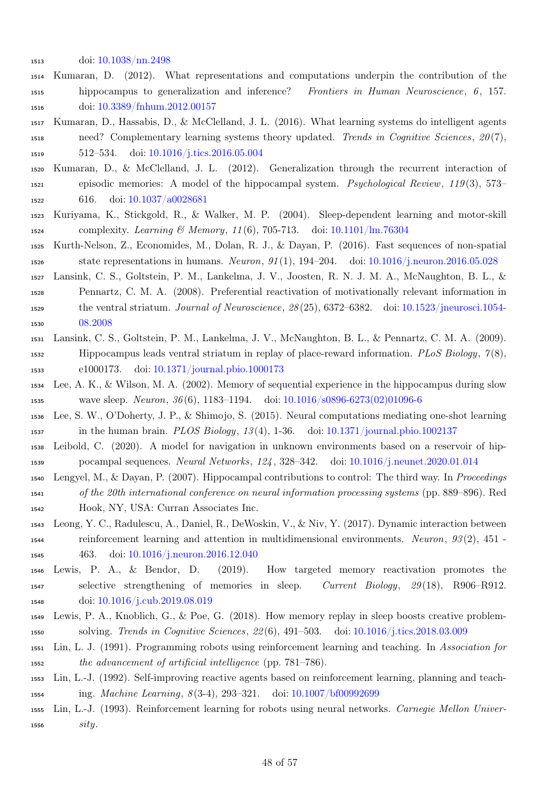- <span id="page-47-13"></span>doi: [10.1038/nn.2498](https://doi.org/10.1038/nn.2498)
- Kumaran, D. (2012). What representations and computations underpin the contribution of the hippocampus to generalization and inference? Frontiers in Human Neuroscience, 6 , 157. doi: [10.3389/fnhum.2012.00157](https://doi.org/10.3389/fnhum.2012.00157)
- <span id="page-47-6"></span> Kumaran, D., Hassabis, D., & McClelland, J. L. (2016). What learning systems do intelligent agents need? Complementary learning systems theory updated. Trends in Cognitive Sciences,  $20(7)$ , 512–534. doi: [10.1016/j.tics.2016.05.004](https://doi.org/10.1016/j.tics.2016.05.004)
- <span id="page-47-14"></span> Kumaran, D., & McClelland, J. L. (2012). Generalization through the recurrent interaction of episodic memories: A model of the hippocampal system. Psychological Review, 119 (3), 573– 616. doi: [10.1037/a0028681](https://doi.org/10.1037/a0028681)
- <span id="page-47-11"></span> Kuriyama, K., Stickgold, R., & Walker, M. P. (2004). Sleep-dependent learning and motor-skill complexity. Learning & Memory, 11 (6), 705-713. doi: [10.1101/lm.76304](https://doi.org/10.1101/lm.76304)
- <span id="page-47-2"></span> Kurth-Nelson, Z., Economides, M., Dolan, R. J., & Dayan, P. (2016). Fast sequences of non-spatial 1526 state representations in humans. Neuron,  $91(1)$ , 194–204. doi: [10.1016/j.neuron.2016.05.028](https://doi.org/10.1016/j.neuron.2016.05.028)
- <span id="page-47-4"></span> Lansink, C. S., Goltstein, P. M., Lankelma, J. V., Joosten, R. N. J. M. A., McNaughton, B. L., & Pennartz, C. M. A. (2008). Preferential reactivation of motivationally relevant information in the ventral striatum. Journal of Neuroscience, 28 (25), 6372–6382. doi: [10.1523/jneurosci.1054-](https://doi.org/10.1523/jneurosci.1054-08.2008) [08.2008](https://doi.org/10.1523/jneurosci.1054-08.2008)
- <span id="page-47-3"></span> Lansink, C. S., Goltstein, P. M., Lankelma, J. V., McNaughton, B. L., & Pennartz, C. M. A. (2009). 1532 Hippocampus leads ventral striatum in replay of place-reward information. PLoS Biology,  $\gamma(8)$ , e1000173. doi: [10.1371/journal.pbio.1000173](https://doi.org/10.1371/journal.pbio.1000173)
- <span id="page-47-0"></span> Lee, A. K., & Wilson, M. A. (2002). Memory of sequential experience in the hippocampus during slow wave sleep. Neuron, 36 (6), 1183–1194. doi: [10.1016/s0896-6273\(02\)01096-6](https://doi.org/10.1016/s0896-6273(02)01096-6)
- <span id="page-47-10"></span> Lee, S. W., O'Doherty, J. P., & Shimojo, S. (2015). Neural computations mediating one-shot learning in the human brain. PLOS Biology, 13 (4), 1-36. doi: [10.1371/journal.pbio.1002137](https://doi.org/10.1371/journal.pbio.1002137)
- <span id="page-47-12"></span> Leibold, C. (2020). A model for navigation in unknown environments based on a reservoir of hip-pocampal sequences. Neural Networks, 124 , 328–342. doi: [10.1016/j.neunet.2020.01.014](https://doi.org/10.1016/j.neunet.2020.01.014)
- <span id="page-47-9"></span>Lengyel, M., & Dayan, P. (2007). Hippocampal contributions to control: The third way. In Proceedings
- of the 20th international conference on neural information processing systems (pp. 889–896). Red Hook, NY, USA: Curran Associates Inc.
- <span id="page-47-16"></span> Leong, Y. C., Radulescu, A., Daniel, R., DeWoskin, V., & Niv, Y. (2017). Dynamic interaction between reinforcement learning and attention in multidimensional environments. Neuron, 93 (2), 451 - 463. doi: [10.1016/j.neuron.2016.12.040](https://doi.org/10.1016/j.neuron.2016.12.040)
- <span id="page-47-1"></span> Lewis, P. A., & Bendor, D. (2019). How targeted memory reactivation promotes the selective strengthening of memories in sleep. Current Biology, 29 (18), R906–R912. doi: [10.1016/j.cub.2019.08.019](https://doi.org/10.1016/j.cub.2019.08.019)
- <span id="page-47-15"></span> Lewis, P. A., Knoblich, G., & Poe, G. (2018). How memory replay in sleep boosts creative problem-solving. Trends in Cognitive Sciences, 22 (6), 491–503. doi: [10.1016/j.tics.2018.03.009](https://doi.org/10.1016/j.tics.2018.03.009)
- <span id="page-47-5"></span> Lin, L. J. (1991). Programming robots using reinforcement learning and teaching. In Association for the advancement of artificial intelligence (pp. 781–786).
- <span id="page-47-7"></span> Lin, L.-J. (1992). Self-improving reactive agents based on reinforcement learning, planning and teach-ing. Machine Learning, 8 (3-4), 293–321. doi: [10.1007/bf00992699](https://doi.org/10.1007/bf00992699)
- <span id="page-47-8"></span> Lin, L.-J. (1993). Reinforcement learning for robots using neural networks. Carnegie Mellon Univer-sity.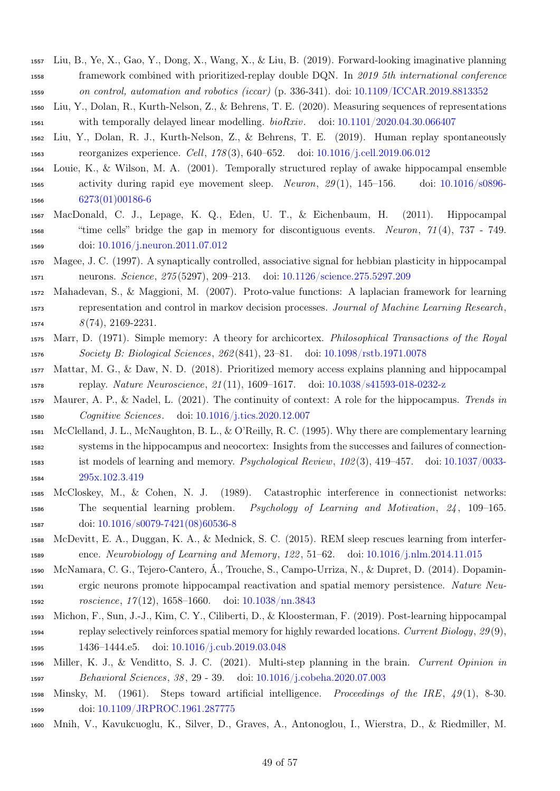- <span id="page-48-16"></span> Liu, B., Ye, X., Gao, Y., Dong, X., Wang, X., & Liu, B. (2019). Forward-looking imaginative planning framework combined with prioritized-replay double DQN. In 2019 5th international conference on control, automation and robotics (iccar) (p. 336-341). doi: [10.1109/ICCAR.2019.8813352](https://doi.org/10.1109/ICCAR.2019.8813352)
- <span id="page-48-4"></span> Liu, Y., Dolan, R., Kurth-Nelson, Z., & Behrens, T. E. (2020). Measuring sequences of representations with temporally delayed linear modelling. bioRxiv. doi: [10.1101/2020.04.30.066407](https://doi.org/10.1101/2020.04.30.066407)
- <span id="page-48-5"></span> Liu, Y., Dolan, R. J., Kurth-Nelson, Z., & Behrens, T. E. (2019). Human replay spontaneously reorganizes experience. Cell, 178 (3), 640–652. doi: [10.1016/j.cell.2019.06.012](https://doi.org/10.1016/j.cell.2019.06.012)
- <span id="page-48-2"></span> Louie, K., & Wilson, M. A. (2001). Temporally structured replay of awake hippocampal ensemble activity during rapid eye movement sleep. Neuron, 29 (1), 145–156. doi: [10.1016/s0896-](https://doi.org/10.1016/s0896-6273(01)00186-6) [6273\(01\)00186-6](https://doi.org/10.1016/s0896-6273(01)00186-6)
- <span id="page-48-6"></span> MacDonald, C. J., Lepage, K. Q., Eden, U. T., & Eichenbaum, H. (2011). Hippocampal "time cells" bridge the gap in memory for discontiguous events. Neuron, 71 (4), 737 - 749. doi: [10.1016/j.neuron.2011.07.012](https://doi.org/10.1016/j.neuron.2011.07.012)
- <span id="page-48-3"></span> Magee, J. C. (1997). A synaptically controlled, associative signal for hebbian plasticity in hippocampal neurons. Science, 275 (5297), 209–213. doi: [10.1126/science.275.5297.209](https://doi.org/10.1126/science.275.5297.209)
- <span id="page-48-17"></span> Mahadevan, S., & Maggioni, M. (2007). Proto-value functions: A laplacian framework for learning representation and control in markov decision processes. Journal of Machine Learning Research,  $8(74), 2169-2231.$
- <span id="page-48-0"></span> Marr, D. (1971). Simple memory: A theory for archicortex. Philosophical Transactions of the Royal Society B: Biological Sciences, 262 (841), 23–81. doi: [10.1098/rstb.1971.0078](https://doi.org/10.1098/rstb.1971.0078)
- <span id="page-48-12"></span> Mattar, M. G., & Daw, N. D. (2018). Prioritized memory access explains planning and hippocampal replay. Nature Neuroscience, 21 (11), 1609–1617. doi: [10.1038/s41593-018-0232-z](https://doi.org/10.1038/s41593-018-0232-z)
- <span id="page-48-9"></span> Maurer, A. P., & Nadel, L. (2021). The continuity of context: A role for the hippocampus. Trends in Cognitive Sciences. doi: [10.1016/j.tics.2020.12.007](https://doi.org/10.1016/j.tics.2020.12.007)
- <span id="page-48-1"></span> McClelland, J. L., McNaughton, B. L., & O'Reilly, R. C. (1995). Why there are complementary learning systems in the hippocampus and neocortex: Insights from the successes and failures of connection- ist models of learning and memory. Psychological Review, 102 (3), 419–457. doi: [10.1037/0033-](https://doi.org/10.1037/0033-295x.102.3.419) [295x.102.3.419](https://doi.org/10.1037/0033-295x.102.3.419)
- <span id="page-48-10"></span> McCloskey, M., & Cohen, N. J. (1989). Catastrophic interference in connectionist networks: The sequential learning problem. Psychology of Learning and Motivation, 24 , 109–165. doi: [10.1016/s0079-7421\(08\)60536-8](https://doi.org/10.1016/s0079-7421(08)60536-8)
- <span id="page-48-11"></span> McDevitt, E. A., Duggan, K. A., & Mednick, S. C. (2015). REM sleep rescues learning from interfer-ence. Neurobiology of Learning and Memory, 122 , 51–62. doi: [10.1016/j.nlm.2014.11.015](https://doi.org/10.1016/j.nlm.2014.11.015)
- <span id="page-48-14"></span> McNamara, C. G., Tejero-Cantero, Á., Trouche, S., Campo-Urriza, N., & Dupret, D. (2014). Dopamin- ergic neurons promote hippocampal reactivation and spatial memory persistence. Nature Neu-roscience, 17 (12), 1658–1660. doi: [10.1038/nn.3843](https://doi.org/10.1038/nn.3843)
- <span id="page-48-13"></span> Michon, F., Sun, J.-J., Kim, C. Y., Ciliberti, D., & Kloosterman, F. (2019). Post-learning hippocampal replay selectively reinforces spatial memory for highly rewarded locations. Current Biology, 29 (9), 1436–1444.e5. doi: [10.1016/j.cub.2019.03.048](https://doi.org/10.1016/j.cub.2019.03.048)
- <span id="page-48-15"></span> Miller, K. J., & Venditto, S. J. C. (2021). Multi-step planning in the brain. Current Opinion in Behavioral Sciences, 38 , 29 - 39. doi: [10.1016/j.cobeha.2020.07.003](https://doi.org/10.1016/j.cobeha.2020.07.003)
- <span id="page-48-7"></span>1598 Minsky, M. (1961). Steps toward artificial intelligence. Proceedings of the IRE,  $49(1)$ , 8-30. doi: [10.1109/JRPROC.1961.287775](https://doi.org/10.1109/JRPROC.1961.287775)
- <span id="page-48-8"></span>Mnih, V., Kavukcuoglu, K., Silver, D., Graves, A., Antonoglou, I., Wierstra, D., & Riedmiller, M.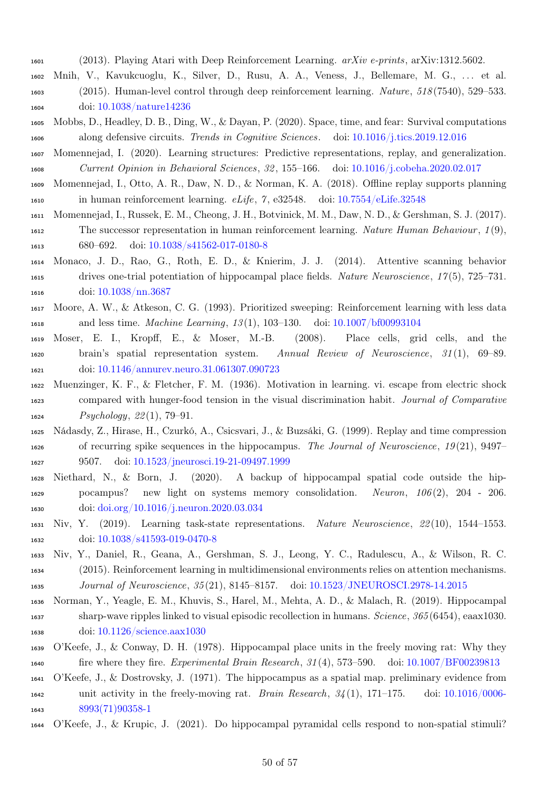- (2013). Playing Atari with Deep Reinforcement Learning. arXiv e-prints, arXiv:1312.5602.
- <span id="page-49-6"></span> Mnih, V., Kavukcuoglu, K., Silver, D., Rusu, A. A., Veness, J., Bellemare, M. G., . . . et al. (2015). Human-level control through deep reinforcement learning. Nature, 518 (7540), 529–533. doi: [10.1038/nature14236](https://doi.org/10.1038/nature14236)
- <span id="page-49-13"></span> Mobbs, D., Headley, D. B., Ding, W., & Dayan, P. (2020). Space, time, and fear: Survival computations along defensive circuits. Trends in Cognitive Sciences. doi: [10.1016/j.tics.2019.12.016](https://doi.org/10.1016/j.tics.2019.12.016)
- <span id="page-49-7"></span> Momennejad, I. (2020). Learning structures: Predictive representations, replay, and generalization. Current Opinion in Behavioral Sciences, 32 , 155–166. doi: [10.1016/j.cobeha.2020.02.017](https://doi.org/10.1016/j.cobeha.2020.02.017)
- <span id="page-49-12"></span> Momennejad, I., Otto, A. R., Daw, N. D., & Norman, K. A. (2018). Offline replay supports planning in human reinforcement learning. eLife, 7 , e32548. doi: [10.7554/eLife.32548](https://doi.org/10.7554/eLife.32548)
- <span id="page-49-9"></span>Momennejad, I., Russek, E. M., Cheong, J. H., Botvinick, M. M., Daw, N. D., & Gershman, S. J. (2017).
- 1612 The successor representation in human reinforcement learning. Nature Human Behaviour,  $1(9)$ , 680–692. doi: [10.1038/s41562-017-0180-8](https://doi.org/10.1038/s41562-017-0180-8)
- <span id="page-49-11"></span> Monaco, J. D., Rao, G., Roth, E. D., & Knierim, J. J. (2014). Attentive scanning behavior drives one-trial potentiation of hippocampal place fields. Nature Neuroscience, 17 (5), 725–731. doi: [10.1038/nn.3687](https://doi.org/10.1038/nn.3687)
- <span id="page-49-8"></span> Moore, A. W., & Atkeson, C. G. (1993). Prioritized sweeping: Reinforcement learning with less data and less time. Machine Learning, 13 (1), 103–130. doi: [10.1007/bf00993104](https://doi.org/10.1007/bf00993104)
- <span id="page-49-2"></span> Moser, E. I., Kropff, E., & Moser, M.-B. (2008). Place cells, grid cells, and the brain's spatial representation system. Annual Review of Neuroscience, 31 (1), 69–89. doi: [10.1146/annurev.neuro.31.061307.090723](https://doi.org/10.1146/annurev.neuro.31.061307.090723)
- <span id="page-49-10"></span> Muenzinger, K. F., & Fletcher, F. M. (1936). Motivation in learning. vi. escape from electric shock compared with hunger-food tension in the visual discrimination habit. Journal of Comparative Psychology, 22 (1), 79–91.
- <span id="page-49-3"></span> Nádasdy, Z., Hirase, H., Czurkó, A., Csicsvari, J., & Buzsáki, G. (1999). Replay and time compression of recurring spike sequences in the hippocampus. The Journal of Neuroscience, 19 (21), 9497– 9507. doi: [10.1523/jneurosci.19-21-09497.1999](https://doi.org/10.1523/jneurosci.19-21-09497.1999)
- <span id="page-49-16"></span> Niethard, N., & Born, J. (2020). A backup of hippocampal spatial code outside the hip- pocampus? new light on systems memory consolidation. Neuron, 106 (2), 204 - 206. doi: [doi.org/10.1016/j.neuron.2020.03.034](https://doi.org/doi.org/10.1016/j.neuron.2020.03.034)
- <span id="page-49-15"></span> Niv, Y. (2019). Learning task-state representations. Nature Neuroscience, 22 (10), 1544–1553. doi: [10.1038/s41593-019-0470-8](https://doi.org/10.1038/s41593-019-0470-8)
- <span id="page-49-14"></span> Niv, Y., Daniel, R., Geana, A., Gershman, S. J., Leong, Y. C., Radulescu, A., & Wilson, R. C. (2015). Reinforcement learning in multidimensional environments relies on attention mechanisms. Journal of Neuroscience, 35 (21), 8145–8157. doi: [10.1523/JNEUROSCI.2978-14.2015](https://doi.org/10.1523/JNEUROSCI.2978-14.2015)
- <span id="page-49-4"></span> Norman, Y., Yeagle, E. M., Khuvis, S., Harel, M., Mehta, A. D., & Malach, R. (2019). Hippocampal sharp-wave ripples linked to visual episodic recollection in humans. Science, 365 (6454), eaax1030. doi: [10.1126/science.aax1030](https://doi.org/10.1126/science.aax1030)
- <span id="page-49-1"></span> O'Keefe, J., & Conway, D. H. (1978). Hippocampal place units in the freely moving rat: Why they fire where they fire. Experimental Brain Research, 31 (4), 573–590. doi: [10.1007/BF00239813](https://doi.org/10.1007/BF00239813)
- <span id="page-49-0"></span> O'Keefe, J., & Dostrovsky, J. (1971). The hippocampus as a spatial map. preliminary evidence from 1642 unit activity in the freely-moving rat. Brain Research,  $34(1)$ , 171–175. doi: [10.1016/0006-](https://doi.org/10.1016/0006-8993(71)90358-1) [8993\(71\)90358-1](https://doi.org/10.1016/0006-8993(71)90358-1)
- <span id="page-49-5"></span>O'Keefe, J., & Krupic, J. (2021). Do hippocampal pyramidal cells respond to non-spatial stimuli?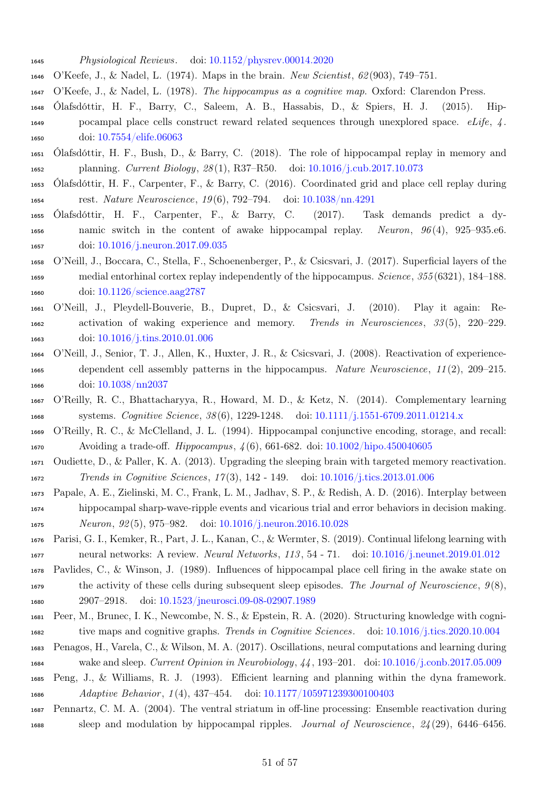- Physiological Reviews. doi: [10.1152/physrev.00014.2020](https://doi.org/10.1152/physrev.00014.2020)
- <span id="page-50-1"></span>O'Keefe, J., & Nadel, L. (1974). Maps in the brain. New Scientist, 62 (903), 749–751.
- <span id="page-50-9"></span><span id="page-50-0"></span>O'Keefe, J., & Nadel, L. (1978). The hippocampus as a cognitive map. Oxford: Clarendon Press.
- Ólafsdóttir, H. F., Barry, C., Saleem, A. B., Hassabis, D., & Spiers, H. J. (2015). Hip- pocampal place cells construct reward related sequences through unexplored space. eLife, 4 . doi: [10.7554/elife.06063](https://doi.org/10.7554/elife.06063)
- <span id="page-50-18"></span> Ólafsdóttir, H. F., Bush, D., & Barry, C. (2018). The role of hippocampal replay in memory and planning. Current Biology, 28 (1), R37–R50. doi: [10.1016/j.cub.2017.10.073](https://doi.org/10.1016/j.cub.2017.10.073)
- <span id="page-50-5"></span> Ólafsdóttir, H. F., Carpenter, F., & Barry, C. (2016). Coordinated grid and place cell replay during rest. Nature Neuroscience, 19 (6), 792–794. doi: [10.1038/nn.4291](https://doi.org/10.1038/nn.4291)
- <span id="page-50-6"></span> Ólafsdóttir, H. F., Carpenter, F., & Barry, C. (2017). Task demands predict a dy-1656 namic switch in the content of awake hippocampal replay. Neuron,  $96(4)$ ,  $925-935.$ e6. doi: [10.1016/j.neuron.2017.09.035](https://doi.org/10.1016/j.neuron.2017.09.035)
- <span id="page-50-7"></span> O'Neill, J., Boccara, C., Stella, F., Schoenenberger, P., & Csicsvari, J. (2017). Superficial layers of the medial entorhinal cortex replay independently of the hippocampus. Science, 355 (6321), 184–188. doi: [10.1126/science.aag2787](https://doi.org/10.1126/science.aag2787)
- <span id="page-50-4"></span> O'Neill, J., Pleydell-Bouverie, B., Dupret, D., & Csicsvari, J. (2010). Play it again: Re- activation of waking experience and memory. Trends in Neurosciences, 33 (5), 220–229. doi: [10.1016/j.tins.2010.01.006](https://doi.org/10.1016/j.tins.2010.01.006)
- <span id="page-50-11"></span> O'Neill, J., Senior, T. J., Allen, K., Huxter, J. R., & Csicsvari, J. (2008). Reactivation of experience- dependent cell assembly patterns in the hippocampus. Nature Neuroscience, 11 (2), 209–215. doi: [10.1038/nn2037](https://doi.org/10.1038/nn2037)
- <span id="page-50-14"></span> O'Reilly, R. C., Bhattacharyya, R., Howard, M. D., & Ketz, N. (2014). Complementary learning systems. Cognitive Science, 38 (6), 1229-1248. doi: [10.1111/j.1551-6709.2011.01214.x](https://doi.org/10.1111/j.1551-6709.2011.01214.x)
- <span id="page-50-13"></span> O'Reilly, R. C., & McClelland, J. L. (1994). Hippocampal conjunctive encoding, storage, and recall: Avoiding a trade-off. Hippocampus, 4 (6), 661-682. doi: [10.1002/hipo.450040605](https://doi.org/10.1002/hipo.450040605)
- <span id="page-50-3"></span> Oudiette, D., & Paller, K. A. (2013). Upgrading the sleeping brain with targeted memory reactivation. Trends in Cognitive Sciences, 17 (3), 142 - 149. doi: [10.1016/j.tics.2013.01.006](https://doi.org/10.1016/j.tics.2013.01.006)
- <span id="page-50-17"></span> Papale, A. E., Zielinski, M. C., Frank, L. M., Jadhav, S. P., & Redish, A. D. (2016). Interplay between hippocampal sharp-wave-ripple events and vicarious trial and error behaviors in decision making. Neuron, 92 (5), 975–982. doi: [10.1016/j.neuron.2016.10.028](https://doi.org/10.1016/j.neuron.2016.10.028)
- <span id="page-50-12"></span> Parisi, G. I., Kemker, R., Part, J. L., Kanan, C., & Wermter, S. (2019). Continual lifelong learning with neural networks: A review. Neural Networks, 113 , 54 - 71. doi: [10.1016/j.neunet.2019.01.012](https://doi.org/10.1016/j.neunet.2019.01.012)
- <span id="page-50-2"></span> Pavlides, C., & Winson, J. (1989). Influences of hippocampal place cell firing in the awake state on 1679 the activity of these cells during subsequent sleep episodes. The Journal of Neuroscience,  $9(8)$ , 2907–2918. doi: [10.1523/jneurosci.09-08-02907.1989](https://doi.org/10.1523/jneurosci.09-08-02907.1989)
- <span id="page-50-10"></span> Peer, M., Brunec, I. K., Newcombe, N. S., & Epstein, R. A. (2020). Structuring knowledge with cogni-tive maps and cognitive graphs. Trends in Cognitive Sciences. doi: [10.1016/j.tics.2020.10.004](https://doi.org/10.1016/j.tics.2020.10.004)
- <span id="page-50-16"></span> Penagos, H., Varela, C., & Wilson, M. A. (2017). Oscillations, neural computations and learning during wake and sleep. Current Opinion in Neurobiology, 44 , 193–201. doi: [10.1016/j.conb.2017.05.009](https://doi.org/10.1016/j.conb.2017.05.009)
- <span id="page-50-15"></span> Peng, J., & Williams, R. J. (1993). Efficient learning and planning within the dyna framework. Adaptive Behavior , 1 (4), 437–454. doi: [10.1177/105971239300100403](https://doi.org/10.1177/105971239300100403)
- <span id="page-50-8"></span> Pennartz, C. M. A. (2004). The ventral striatum in off-line processing: Ensemble reactivation during sleep and modulation by hippocampal ripples. Journal of Neuroscience, 24 (29), 6446–6456.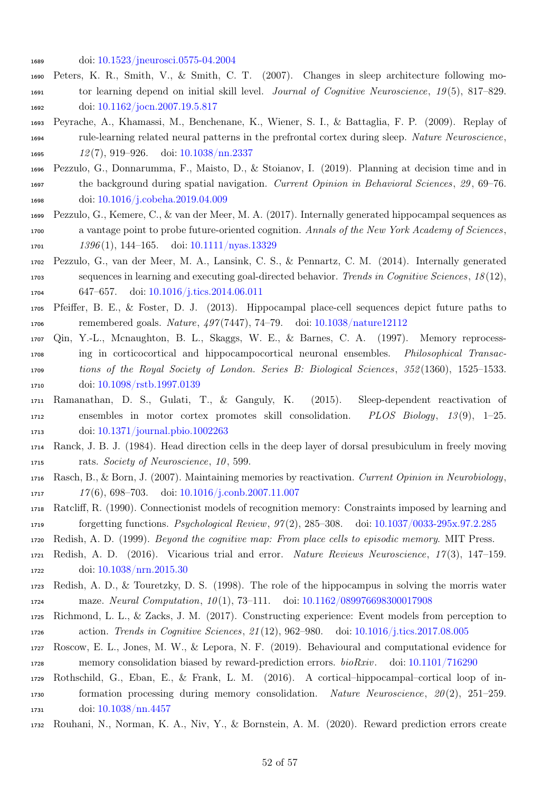- <span id="page-51-12"></span>doi: [10.1523/jneurosci.0575-04.2004](https://doi.org/10.1523/jneurosci.0575-04.2004)
- Peters, K. R., Smith, V., & Smith, C. T. (2007). Changes in sleep architecture following mo- tor learning depend on initial skill level. Journal of Cognitive Neuroscience, 19 (5), 817–829. 1692 doi: [10.1162/jocn.2007.19.5.817](https://doi.org/10.1162/jocn.2007.19.5.817)
- <span id="page-51-4"></span> Peyrache, A., Khamassi, M., Benchenane, K., Wiener, S. I., & Battaglia, F. P. (2009). Replay of rule-learning related neural patterns in the prefrontal cortex during sleep. Nature Neuroscience, 12 (7), 919–926. doi: [10.1038/nn.2337](https://doi.org/10.1038/nn.2337)
- <span id="page-51-14"></span> Pezzulo, G., Donnarumma, F., Maisto, D., & Stoianov, I. (2019). Planning at decision time and in the background during spatial navigation. Current Opinion in Behavioral Sciences, 29 , 69–76. doi: [10.1016/j.cobeha.2019.04.009](https://doi.org/10.1016/j.cobeha.2019.04.009)
- <span id="page-51-15"></span> Pezzulo, G., Kemere, C., & van der Meer, M. A. (2017). Internally generated hippocampal sequences as a vantage point to probe future-oriented cognition. Annals of the New York Academy of Sciences,  $1396(1), 144-165$ . doi:  $10.1111/nvas.13329$
- <span id="page-51-17"></span> Pezzulo, G., van der Meer, M. A., Lansink, C. S., & Pennartz, C. M. (2014). Internally generated sequences in learning and executing goal-directed behavior. Trends in Cognitive Sciences, 18 (12), 647–657. doi: [10.1016/j.tics.2014.06.011](https://doi.org/10.1016/j.tics.2014.06.011)
- <span id="page-51-8"></span> Pfeiffer, B. E., & Foster, D. J. (2013). Hippocampal place-cell sequences depict future paths to remembered goals. Nature, 497 (7447), 74–79. doi: [10.1038/nature12112](https://doi.org/10.1038/nature12112)
- <span id="page-51-5"></span> Qin, Y.-L., Mcnaughton, B. L., Skaggs, W. E., & Barnes, C. A. (1997). Memory reprocess- ing in corticocortical and hippocampocortical neuronal ensembles. Philosophical Transac- tions of the Royal Society of London. Series B: Biological Sciences , 352 (1360), 1525–1533. 1710 doi: [10.1098/rstb.1997.0139](https://doi.org/10.1098/rstb.1997.0139)
- <span id="page-51-6"></span> Ramanathan, D. S., Gulati, T., & Ganguly, K. (2015). Sleep-dependent reactivation of ensembles in motor cortex promotes skill consolidation. PLOS Biology, 13 (9), 1–25. doi: [10.1371/journal.pbio.1002263](https://doi.org/10.1371/journal.pbio.1002263)
- <span id="page-51-7"></span> Ranck, J. B. J. (1984). Head direction cells in the deep layer of dorsal presubiculum in freely moving 1715 rats. Society of Neuroscience, 10, 599.
- <span id="page-51-3"></span> Rasch, B., & Born, J. (2007). Maintaining memories by reactivation. Current Opinion in Neurobiology, 17(6), 698–703. doi:  $10.1016/j.comb.2007.11.007$
- <span id="page-51-11"></span> Ratcliff, R. (1990). Connectionist models of recognition memory: Constraints imposed by learning and forgetting functions. Psychological Review, 97 (2), 285–308. doi: [10.1037/0033-295x.97.2.285](https://doi.org/10.1037/0033-295x.97.2.285)
- <span id="page-51-16"></span><span id="page-51-1"></span>Redish, A. D. (1999). Beyond the cognitive map: From place cells to episodic memory. MIT Press.
- Redish, A. D. (2016). Vicarious trial and error. Nature Reviews Neuroscience, 17 (3), 147–159. doi: [10.1038/nrn.2015.30](https://doi.org/10.1038/nrn.2015.30)
- <span id="page-51-0"></span> Redish, A. D., & Touretzky, D. S. (1998). The role of the hippocampus in solving the morris water 1724 maze. Neural Computation, 10(1), 73-111. doi: [10.1162/089976698300017908](https://doi.org/10.1162/089976698300017908)
- <span id="page-51-9"></span> Richmond, L. L., & Zacks, J. M. (2017). Constructing experience: Event models from perception to action. Trends in Cognitive Sciences, 21 (12), 962–980. doi: [10.1016/j.tics.2017.08.005](https://doi.org/10.1016/j.tics.2017.08.005)
- <span id="page-51-13"></span> Roscow, E. L., Jones, M. W., & Lepora, N. F. (2019). Behavioural and computational evidence for memory consolidation biased by reward-prediction errors. bioRxiv. doi: [10.1101/716290](https://doi.org/10.1101/716290)
- <span id="page-51-2"></span> Rothschild, G., Eban, E., & Frank, L. M. (2016). A cortical–hippocampal–cortical loop of in- formation processing during memory consolidation. Nature Neuroscience, 20 (2), 251–259. doi: [10.1038/nn.4457](https://doi.org/10.1038/nn.4457)
- <span id="page-51-10"></span>Rouhani, N., Norman, K. A., Niv, Y., & Bornstein, A. M. (2020). Reward prediction errors create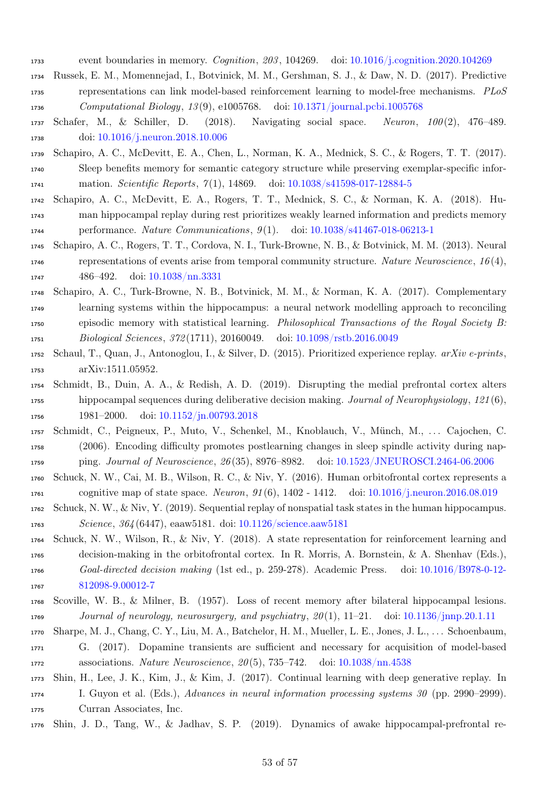- event boundaries in memory. Cognition, 203 , 104269. doi: [10.1016/j.cognition.2020.104269](https://doi.org/10.1016/j.cognition.2020.104269)
- <span id="page-52-6"></span> Russek, E. M., Momennejad, I., Botvinick, M. M., Gershman, S. J., & Daw, N. D. (2017). Predictive representations can link model-based reinforcement learning to model-free mechanisms. PLoS Computational Biology, 13 (9), e1005768. doi: [10.1371/journal.pcbi.1005768](https://doi.org/10.1371/journal.pcbi.1005768)
- <span id="page-52-3"></span> Schafer, M., & Schiller, D. (2018). Navigating social space. Neuron, 100 (2), 476–489. doi: [10.1016/j.neuron.2018.10.006](https://doi.org/10.1016/j.neuron.2018.10.006)
- <span id="page-52-11"></span> Schapiro, A. C., McDevitt, E. A., Chen, L., Norman, K. A., Mednick, S. C., & Rogers, T. T. (2017). Sleep benefits memory for semantic category structure while preserving exemplar-specific infor-mation. Scientific Reports, 7 (1), 14869. doi: [10.1038/s41598-017-12884-5](https://doi.org/10.1038/s41598-017-12884-5)
- <span id="page-52-9"></span> Schapiro, A. C., McDevitt, E. A., Rogers, T. T., Mednick, S. C., & Norman, K. A. (2018). Hu- man hippocampal replay during rest prioritizes weakly learned information and predicts memory performance. Nature Communications, 9 (1). doi: [10.1038/s41467-018-06213-1](https://doi.org/10.1038/s41467-018-06213-1)
- <span id="page-52-15"></span> Schapiro, A. C., Rogers, T. T., Cordova, N. I., Turk-Browne, N. B., & Botvinick, M. M. (2013). Neural 1746 representations of events arise from temporal community structure. Nature Neuroscience,  $16(4)$ , 486–492. doi: [10.1038/nn.3331](https://doi.org/10.1038/nn.3331)
- <span id="page-52-7"></span> Schapiro, A. C., Turk-Browne, N. B., Botvinick, M. M., & Norman, K. A. (2017). Complementary learning systems within the hippocampus: a neural network modelling approach to reconciling episodic memory with statistical learning. Philosophical Transactions of the Royal Society B: Biological Sciences, 372 (1711), 20160049. doi: [10.1098/rstb.2016.0049](https://doi.org/10.1098/rstb.2016.0049)
- <span id="page-52-12"></span> Schaul, T., Quan, J., Antonoglou, I., & Silver, D. (2015). Prioritized experience replay. arXiv e-prints, arXiv:1511.05952.
- <span id="page-52-14"></span> Schmidt, B., Duin, A. A., & Redish, A. D. (2019). Disrupting the medial prefrontal cortex alters hippocampal sequences during deliberative decision making. Journal of Neurophysiology, 121 (6), 1981–2000. doi: [10.1152/jn.00793.2018](https://doi.org/10.1152/jn.00793.2018)
- <span id="page-52-10"></span> Schmidt, C., Peigneux, P., Muto, V., Schenkel, M., Knoblauch, V., Münch, M., . . . Cajochen, C. (2006). Encoding difficulty promotes postlearning changes in sleep spindle activity during nap-ping. Journal of Neuroscience, 26 (35), 8976–8982. doi: [10.1523/JNEUROSCI.2464-06.2006](https://doi.org/10.1523/JNEUROSCI.2464-06.2006)
- <span id="page-52-4"></span> Schuck, N. W., Cai, M. B., Wilson, R. C., & Niv, Y. (2016). Human orbitofrontal cortex represents a 1761 cognitive map of state space. Neuron, 91(6), 1402 - 1412. doi: [10.1016/j.neuron.2016.08.019](https://doi.org/10.1016/j.neuron.2016.08.019)
- <span id="page-52-1"></span> Schuck, N. W., & Niv, Y. (2019). Sequential replay of nonspatial task states in the human hippocampus. Science, 364 (6447), eaaw5181. doi: [10.1126/science.aaw5181](https://doi.org/10.1126/science.aaw5181)
- <span id="page-52-5"></span> Schuck, N. W., Wilson, R., & Niv, Y. (2018). A state representation for reinforcement learning and decision-making in the orbitofrontal cortex. In R. Morris, A. Bornstein, & A. Shenhav (Eds.), Goal-directed decision making (1st ed., p. 259-278). Academic Press. doi: [10.1016/B978-0-12-](https://doi.org/10.1016/B978-0-12-812098-9.00012-7) [812098-9.00012-7](https://doi.org/10.1016/B978-0-12-812098-9.00012-7)
- <span id="page-52-0"></span> Scoville, W. B., & Milner, B. (1957). Loss of recent memory after bilateral hippocampal lesions. Journal of neurology, neurosurgery, and psychiatry, 20 (1), 11–21. doi: [10.1136/jnnp.20.1.11](https://doi.org/10.1136/jnnp.20.1.11)
- <span id="page-52-13"></span>Sharpe, M. J., Chang, C. Y., Liu, M. A., Batchelor, H. M., Mueller, L. E., Jones, J. L., . . . Schoenbaum,
- G. (2017). Dopamine transients are sufficient and necessary for acquisition of model-based associations. Nature Neuroscience, 20 (5), 735–742. doi: [10.1038/nn.4538](https://doi.org/10.1038/nn.4538)
- <span id="page-52-8"></span> Shin, H., Lee, J. K., Kim, J., & Kim, J. (2017). Continual learning with deep generative replay. In I. Guyon et al. (Eds.), Advances in neural information processing systems 30 (pp. 2990–2999). Curran Associates, Inc.
- <span id="page-52-2"></span>Shin, J. D., Tang, W., & Jadhav, S. P. (2019). Dynamics of awake hippocampal-prefrontal re-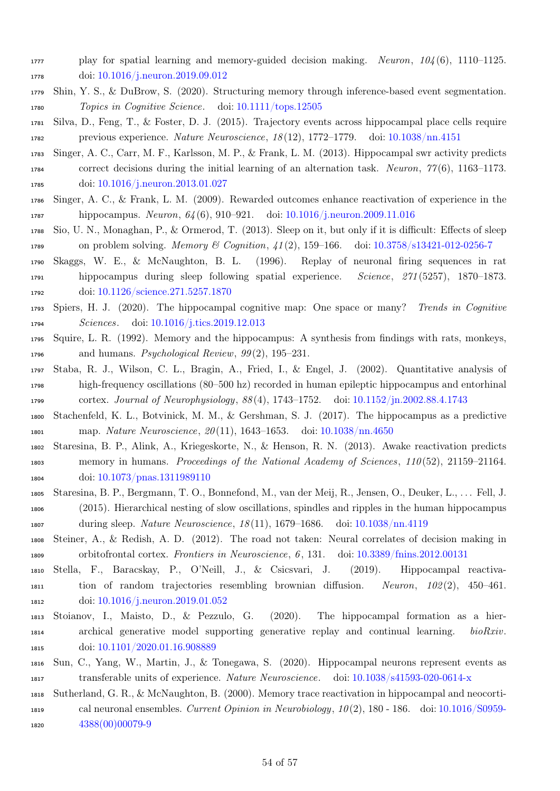- play for spatial learning and memory-guided decision making. Neuron, 104 (6), 1110–1125. doi: [10.1016/j.neuron.2019.09.012](https://doi.org/10.1016/j.neuron.2019.09.012)
- <span id="page-53-10"></span> Shin, Y. S., & DuBrow, S. (2020). Structuring memory through inference-based event segmentation. Topics in Cognitive Science. doi: [10.1111/tops.12505](https://doi.org/10.1111/tops.12505)
- <span id="page-53-15"></span> Silva, D., Feng, T., & Foster, D. J. (2015). Trajectory events across hippocampal place cells require previous experience. Nature Neuroscience, 18 (12), 1772–1779. doi: [10.1038/nn.4151](https://doi.org/10.1038/nn.4151)
- <span id="page-53-13"></span> Singer, A. C., Carr, M. F., Karlsson, M. P., & Frank, L. M. (2013). Hippocampal swr activity predicts correct decisions during the initial learning of an alternation task. Neuron, 77 (6), 1163–1173. doi: [10.1016/j.neuron.2013.01.027](https://doi.org/10.1016/j.neuron.2013.01.027)
- <span id="page-53-8"></span> Singer, A. C., & Frank, L. M. (2009). Rewarded outcomes enhance reactivation of experience in the hippocampus. Neuron, 64 (6), 910–921. doi: [10.1016/j.neuron.2009.11.016](https://doi.org/10.1016/j.neuron.2009.11.016)
- <span id="page-53-11"></span> Sio, U. N., Monaghan, P., & Ormerod, T. (2013). Sleep on it, but only if it is difficult: Effects of sleep 1789 on problem solving. Memory & Cognition,  $\frac{1}{2}$ , 159–166. doi: [10.3758/s13421-012-0256-7](https://doi.org/10.3758/s13421-012-0256-7)
- <span id="page-53-1"></span> Skaggs, W. E., & McNaughton, B. L. (1996). Replay of neuronal firing sequences in rat hippocampus during sleep following spatial experience. Science, 271 (5257), 1870–1873. doi: [10.1126/science.271.5257.1870](https://doi.org/10.1126/science.271.5257.1870)
- <span id="page-53-7"></span> Spiers, H. J. (2020). The hippocampal cognitive map: One space or many? Trends in Cognitive Sciences. doi: [10.1016/j.tics.2019.12.013](https://doi.org/10.1016/j.tics.2019.12.013)
- <span id="page-53-0"></span> Squire, L. R. (1992). Memory and the hippocampus: A synthesis from findings with rats, monkeys, 1796 and humans. Psychological Review,  $99(2)$ , 195–231.
- <span id="page-53-3"></span> Staba, R. J., Wilson, C. L., Bragin, A., Fried, I., & Engel, J. (2002). Quantitative analysis of high-frequency oscillations (80–500 hz) recorded in human epileptic hippocampus and entorhinal cortex. Journal of Neurophysiology, 88 (4), 1743–1752. doi: [10.1152/jn.2002.88.4.1743](https://doi.org/10.1152/jn.2002.88.4.1743)
- <span id="page-53-6"></span> Stachenfeld, K. L., Botvinick, M. M., & Gershman, S. J. (2017). The hippocampus as a predictive map. Nature Neuroscience, 20 (11), 1643–1653. doi: [10.1038/nn.4650](https://doi.org/10.1038/nn.4650)
- <span id="page-53-5"></span> Staresina, B. P., Alink, A., Kriegeskorte, N., & Henson, R. N. (2013). Awake reactivation predicts memory in humans. Proceedings of the National Academy of Sciences, 110 (52), 21159–21164. doi: [10.1073/pnas.1311989110](https://doi.org/10.1073/pnas.1311989110)
- <span id="page-53-4"></span> Staresina, B. P., Bergmann, T. O., Bonnefond, M., van der Meij, R., Jensen, O., Deuker, L., . . . Fell, J. (2015). Hierarchical nesting of slow oscillations, spindles and ripples in the human hippocampus during sleep. Nature Neuroscience, 18 (11), 1679–1686. doi: [10.1038/nn.4119](https://doi.org/10.1038/nn.4119)
- <span id="page-53-14"></span> Steiner, A., & Redish, A. D. (2012). The road not taken: Neural correlates of decision making in orbitofrontal cortex. Frontiers in Neuroscience, 6 , 131. doi: [10.3389/fnins.2012.00131](https://doi.org/10.3389/fnins.2012.00131)
- <span id="page-53-12"></span> Stella, F., Baracskay, P., O'Neill, J., & Csicsvari, J. (2019). Hippocampal reactiva- tion of random trajectories resembling brownian diffusion. Neuron, 102 (2), 450–461. doi: [10.1016/j.neuron.2019.01.052](https://doi.org/10.1016/j.neuron.2019.01.052)
- <span id="page-53-16"></span> Stoianov, I., Maisto, D., & Pezzulo, G. (2020). The hippocampal formation as a hier- archical generative model supporting generative replay and continual learning. bioRxiv. 1815 doi: [10.1101/2020.01.16.908889](https://doi.org/10.1101/2020.01.16.908889)
- <span id="page-53-9"></span> Sun, C., Yang, W., Martin, J., & Tonegawa, S. (2020). Hippocampal neurons represent events as transferable units of experience. Nature Neuroscience. doi: [10.1038/s41593-020-0614-x](https://doi.org/10.1038/s41593-020-0614-x)
- <span id="page-53-2"></span> Sutherland, G. R., & McNaughton, B. (2000). Memory trace reactivation in hippocampal and neocorti- cal neuronal ensembles. Current Opinion in Neurobiology, 10 (2), 180 - 186. doi: [10.1016/S0959-](https://doi.org/10.1016/S0959-4388(00)00079-9) [4388\(00\)00079-9](https://doi.org/10.1016/S0959-4388(00)00079-9)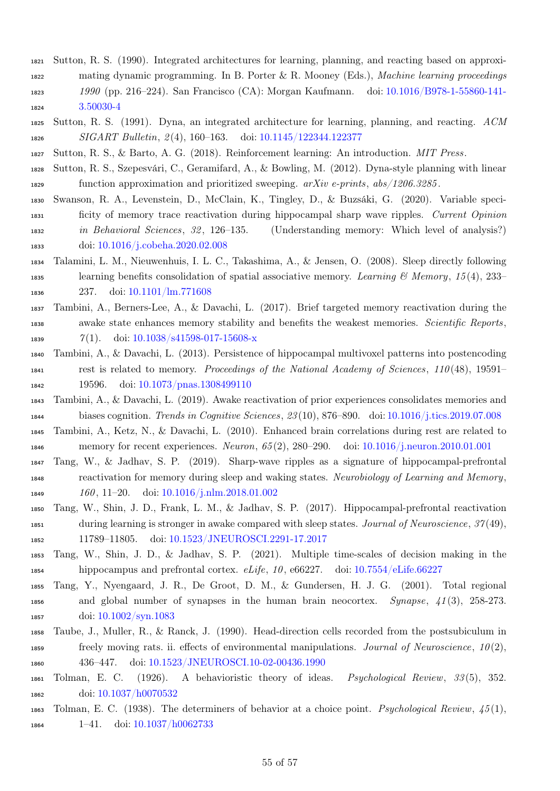- <span id="page-54-14"></span>Sutton, R. S. (1990). Integrated architectures for learning, planning, and reacting based on approxi-
- mating dynamic programming. In B. Porter & R. Mooney (Eds.), Machine learning proceedings 1990 (pp. 216–224). San Francisco (CA): Morgan Kaufmann. doi: [10.1016/B978-1-55860-141-](https://doi.org/10.1016/B978-1-55860-141-3.50030-4) [3.50030-4](https://doi.org/10.1016/B978-1-55860-141-3.50030-4)
- <span id="page-54-12"></span> Sutton, R. S. (1991). Dyna, an integrated architecture for learning, planning, and reacting. ACM 1826 SIGART Bulletin, 2(4), 160–163. doi: [10.1145/122344.122377](https://doi.org/10.1145/122344.122377)
- <span id="page-54-15"></span><span id="page-54-6"></span>Sutton, R. S., & Barto, A. G. (2018). Reinforcement learning: An introduction. MIT Press.
- Sutton, R. S., Szepesvári, C., Geramifard, A., & Bowling, M. (2012). Dyna-style planning with linear function approximation and prioritized sweeping. arXiv e-prints, abs/1206.3285 .
- <span id="page-54-11"></span> Swanson, R. A., Levenstein, D., McClain, K., Tingley, D., & Buzsáki, G. (2020). Variable speci- ficity of memory trace reactivation during hippocampal sharp wave ripples. Current Opinion in Behavioral Sciences, 32 , 126–135. (Understanding memory: Which level of analysis?) doi: [10.1016/j.cobeha.2020.02.008](https://doi.org/10.1016/j.cobeha.2020.02.008)
- <span id="page-54-10"></span> Talamini, L. M., Nieuwenhuis, I. L. C., Takashima, A., & Jensen, O. (2008). Sleep directly following 1835 learning benefits consolidation of spatial associative memory. Learning & Memory, 15(4), 233– 237. doi: [10.1101/lm.771608](https://doi.org/10.1101/lm.771608)
- <span id="page-54-9"></span> Tambini, A., Berners-Lee, A., & Davachi, L. (2017). Brief targeted memory reactivation during the awake state enhances memory stability and benefits the weakest memories. Scientific Reports, 1839  $\gamma(1)$ . doi:  $10.1038/s41598-017-15608-x$
- <span id="page-54-1"></span> Tambini, A., & Davachi, L. (2013). Persistence of hippocampal multivoxel patterns into postencoding rest is related to memory. Proceedings of the National Academy of Sciences, 110 (48), 19591– 19596. doi: [10.1073/pnas.1308499110](https://doi.org/10.1073/pnas.1308499110)
- <span id="page-54-3"></span> Tambini, A., & Davachi, L. (2019). Awake reactivation of prior experiences consolidates memories and biases cognition. Trends in Cognitive Sciences, 23 (10), 876–890. doi: [10.1016/j.tics.2019.07.008](https://doi.org/10.1016/j.tics.2019.07.008)
- <span id="page-54-2"></span> Tambini, A., Ketz, N., & Davachi, L. (2010). Enhanced brain correlations during rest are related to memory for recent experiences. Neuron, 65 (2), 280–290. doi: [10.1016/j.neuron.2010.01.001](https://doi.org/10.1016/j.neuron.2010.01.001)
- <span id="page-54-0"></span> Tang, W., & Jadhav, S. P. (2019). Sharp-wave ripples as a signature of hippocampal-prefrontal reactivation for memory during sleep and waking states. Neurobiology of Learning and Memory, 1849 160, 11–20. doi: [10.1016/j.nlm.2018.01.002](https://doi.org/10.1016/j.nlm.2018.01.002)
- <span id="page-54-8"></span> Tang, W., Shin, J. D., Frank, L. M., & Jadhav, S. P. (2017). Hippocampal-prefrontal reactivation during learning is stronger in awake compared with sleep states. Journal of Neuroscience, 37 (49), 11789–11805. doi: [10.1523/JNEUROSCI.2291-17.2017](https://doi.org/10.1523/JNEUROSCI.2291-17.2017)
- <span id="page-54-4"></span> Tang, W., Shin, J. D., & Jadhav, S. P. (2021). Multiple time-scales of decision making in the hippocampus and prefrontal cortex. eLife, 10 , e66227. doi: [10.7554/eLife.66227](https://doi.org/10.7554/eLife.66227)
- <span id="page-54-7"></span> Tang, Y., Nyengaard, J. R., De Groot, D. M., & Gundersen, H. J. G. (2001). Total regional and global number of synapses in the human brain neocortex. Synapse, 41 (3), 258-273. doi: [10.1002/syn.1083](https://doi.org/10.1002/syn.1083)
- <span id="page-54-5"></span> Taube, J., Muller, R., & Ranck, J. (1990). Head-direction cells recorded from the postsubiculum in 1859 freely moving rats. ii. effects of environmental manipulations. Journal of Neuroscience,  $10(2)$ , 436–447. doi: [10.1523/JNEUROSCI.10-02-00436.1990](https://doi.org/10.1523/JNEUROSCI.10-02-00436.1990)
- <span id="page-54-16"></span> Tolman, E. C. (1926). A behavioristic theory of ideas. Psychological Review, 33 (5), 352. doi: [10.1037/h0070532](https://doi.org/10.1037/h0070532)
- <span id="page-54-13"></span>1863 Tolman, E. C. (1938). The determiners of behavior at a choice point. Psychological Review,  $\frac{45(1)}{100}$ , 1–41. doi: [10.1037/h0062733](https://doi.org/10.1037/h0062733)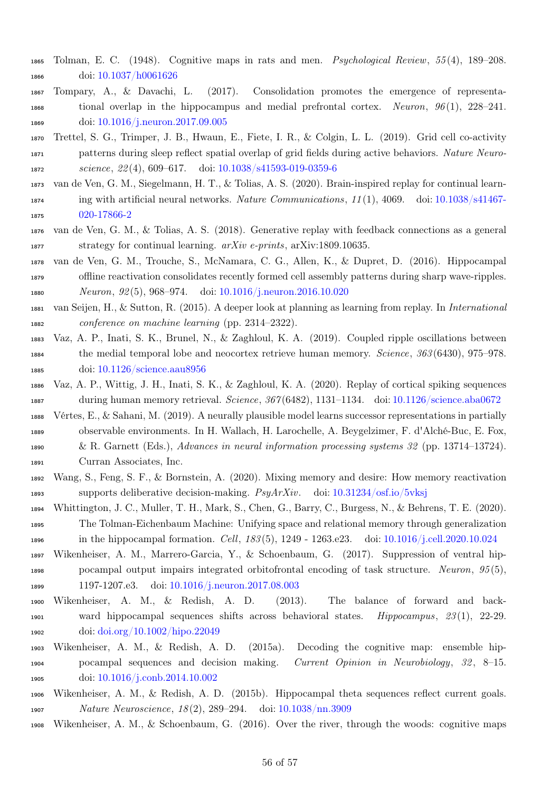- <span id="page-55-10"></span> Tolman, E. C. (1948). Cognitive maps in rats and men. Psychological Review, 55 (4), 189–208. doi: [10.1037/h0061626](https://doi.org/10.1037/h0061626)
- <span id="page-55-9"></span> Tompary, A., & Davachi, L. (2017). Consolidation promotes the emergence of representa-1868 tional overlap in the hippocampus and medial prefrontal cortex. Neuron,  $96(1)$ ,  $228-241$ . doi: [10.1016/j.neuron.2017.09.005](https://doi.org/10.1016/j.neuron.2017.09.005)
- <span id="page-55-2"></span> Trettel, S. G., Trimper, J. B., Hwaun, E., Fiete, I. R., & Colgin, L. L. (2019). Grid cell co-activity patterns during sleep reflect spatial overlap of grid fields during active behaviors. Nature Neuro-1872 science, 22(4), 609-617. doi: [10.1038/s41593-019-0359-6](https://doi.org/10.1038/s41593-019-0359-6)
- <span id="page-55-8"></span> van de Ven, G. M., Siegelmann, H. T., & Tolias, A. S. (2020). Brain-inspired replay for continual learn- ing with artificial neural networks. Nature Communications, 11 (1), 4069. doi: [10.1038/s41467-](https://doi.org/10.1038/s41467-020-17866-2) [020-17866-2](https://doi.org/10.1038/s41467-020-17866-2)
- <span id="page-55-7"></span> van de Ven, G. M., & Tolias, A. S. (2018). Generative replay with feedback connections as a general 1877 strategy for continual learning.  $arXiv$  e-prints,  $arXiv:1809.10635$ .
- <span id="page-55-3"></span> van de Ven, G. M., Trouche, S., McNamara, C. G., Allen, K., & Dupret, D. (2016). Hippocampal offline reactivation consolidates recently formed cell assembly patterns during sharp wave-ripples. Neuron, 92 (5), 968–974. doi: [10.1016/j.neuron.2016.10.020](https://doi.org/10.1016/j.neuron.2016.10.020)
- <span id="page-55-4"></span> van Seijen, H., & Sutton, R. (2015). A deeper look at planning as learning from replay. In International conference on machine learning (pp. 2314–2322).
- <span id="page-55-0"></span> Vaz, A. P., Inati, S. K., Brunel, N., & Zaghloul, K. A. (2019). Coupled ripple oscillations between the medial temporal lobe and neocortex retrieve human memory. Science, 363 (6430), 975–978. doi: [10.1126/science.aau8956](https://doi.org/10.1126/science.aau8956)
- <span id="page-55-1"></span> Vaz, A. P., Wittig, J. H., Inati, S. K., & Zaghloul, K. A. (2020). Replay of cortical spiking sequences during human memory retrieval. Science, 367 (6482), 1131–1134. doi: [10.1126/science.aba0672](https://doi.org/10.1126/science.aba0672)
- <span id="page-55-16"></span> Vértes, E., & Sahani, M. (2019). A neurally plausible model learns successor representations in partially observable environments. In H. Wallach, H. Larochelle, A. Beygelzimer, F. d'Alché-Buc, E. Fox, & R. Garnett (Eds.), Advances in neural information processing systems 32 (pp. 13714–13724).
- <span id="page-55-11"></span>Curran Associates, Inc.
- Wang, S., Feng, S. F., & Bornstein, A. (2020). Mixing memory and desire: How memory reactivation 1893 supports deliberative decision-making.  $PsyArXiv$ . doi: [10.31234/osf.io/5vksj](https://doi.org/10.31234/osf.io/5vksj)
- <span id="page-55-13"></span> Whittington, J. C., Muller, T. H., Mark, S., Chen, G., Barry, C., Burgess, N., & Behrens, T. E. (2020). The Tolman-Eichenbaum Machine: Unifying space and relational memory through generalization in the hippocampal formation. Cell, 183 (5), 1249 - 1263.e23. doi: [10.1016/j.cell.2020.10.024](https://doi.org/10.1016/j.cell.2020.10.024)
- <span id="page-55-12"></span> Wikenheiser, A. M., Marrero-Garcia, Y., & Schoenbaum, G. (2017). Suppression of ventral hip-1898 pocampal output impairs integrated orbitofrontal encoding of task structure. Neuron,  $95(5)$ , 1197-1207.e3. doi: [10.1016/j.neuron.2017.08.003](https://doi.org/10.1016/j.neuron.2017.08.003)
- <span id="page-55-6"></span> Wikenheiser, A. M., & Redish, A. D. (2013). The balance of forward and back-1901 ward hippocampal sequences shifts across behavioral states. *Hippocampus*, 23(1), 22-29. doi: [doi.org/10.1002/hipo.22049](https://doi.org/doi.org/10.1002/hipo.22049)
- <span id="page-55-14"></span> Wikenheiser, A. M., & Redish, A. D. (2015a). Decoding the cognitive map: ensemble hip-1904 pocampal sequences and decision making. Current Opinion in Neurobiology, 32, 8–15. doi: [10.1016/j.conb.2014.10.002](https://doi.org/10.1016/j.conb.2014.10.002)
- <span id="page-55-5"></span> Wikenheiser, A. M., & Redish, A. D. (2015b). Hippocampal theta sequences reflect current goals. Nature Neuroscience, 18 (2), 289–294. doi: [10.1038/nn.3909](https://doi.org/10.1038/nn.3909)
- <span id="page-55-15"></span>Wikenheiser, A. M., & Schoenbaum, G. (2016). Over the river, through the woods: cognitive maps